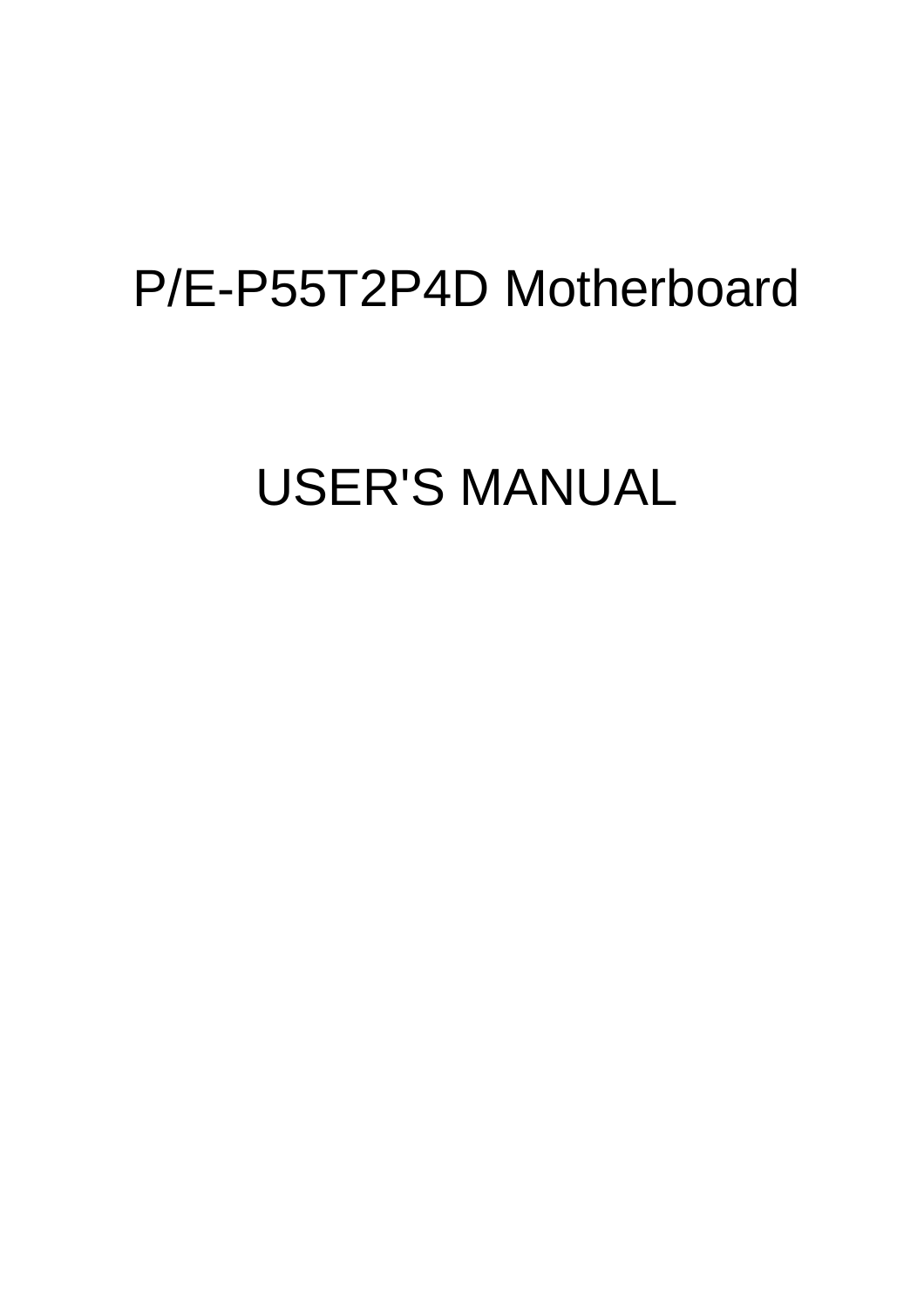# P/E-P55T2P4D Motherboard

## USER'S MANUAL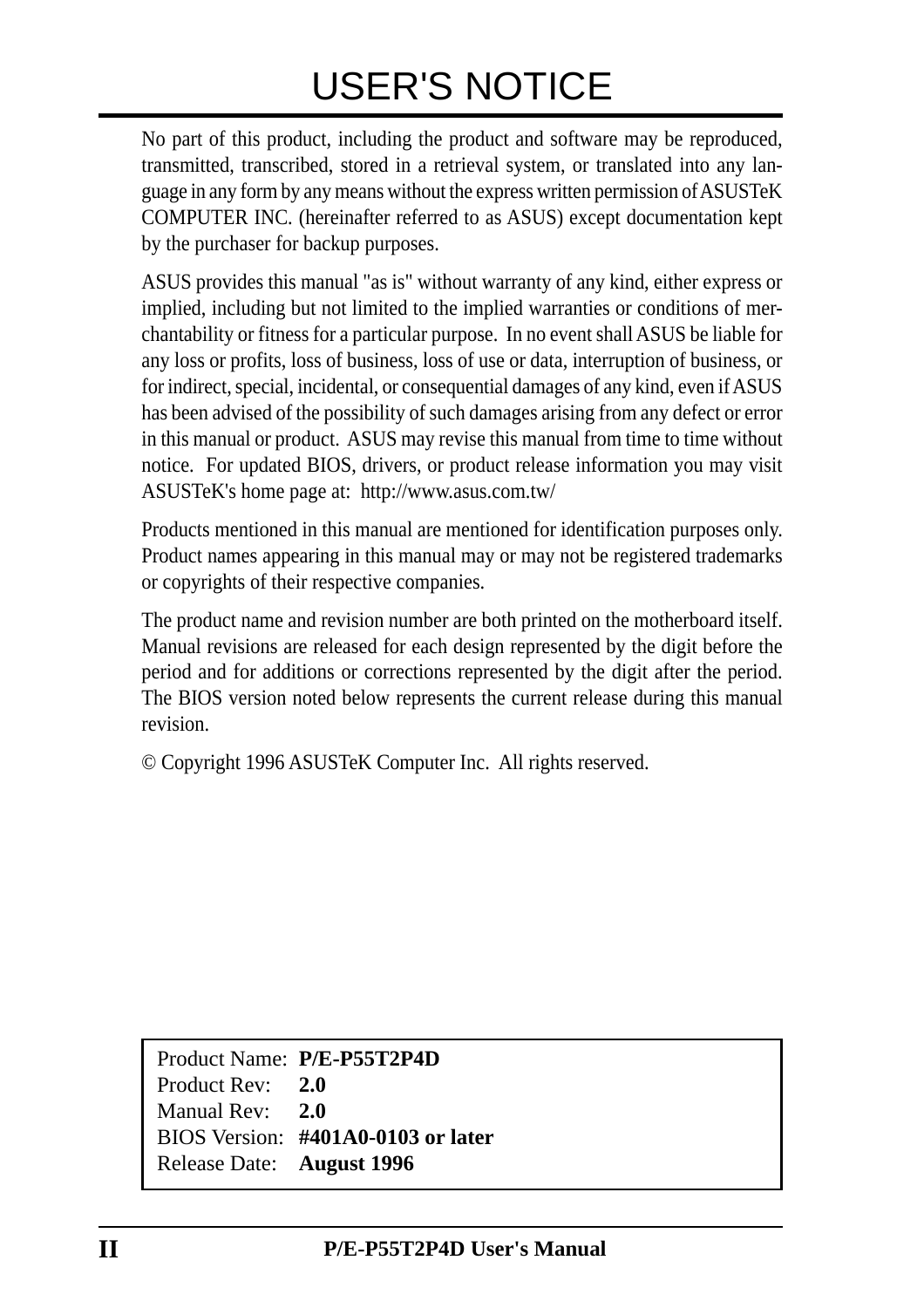## USER'S NOTICE

No part of this product, including the product and software may be reproduced, transmitted, transcribed, stored in a retrieval system, or translated into any language in any form by any means without the express written permission of ASUSTeK COMPUTER INC. (hereinafter referred to as ASUS) except documentation kept by the purchaser for backup purposes.

ASUS provides this manual "as is" without warranty of any kind, either express or implied, including but not limited to the implied warranties or conditions of merchantability or fitness for a particular purpose. In no event shall ASUS be liable for any loss or profits, loss of business, loss of use or data, interruption of business, or for indirect, special, incidental, or consequential damages of any kind, even if ASUS has been advised of the possibility of such damages arising from any defect or error in this manual or product. ASUS may revise this manual from time to time without notice. For updated BIOS, drivers, or product release information you may visit ASUSTeK's home page at: http://www.asus.com.tw/

Products mentioned in this manual are mentioned for identification purposes only. Product names appearing in this manual may or may not be registered trademarks or copyrights of their respective companies.

The product name and revision number are both printed on the motherboard itself. Manual revisions are released for each design represented by the digit before the period and for additions or corrections represented by the digit after the period. The BIOS version noted below represents the current release during this manual revision.

© Copyright 1996 ASUSTeK Computer Inc. All rights reserved.

Product Name: **P/E-P55T2P4D** Product Rev: **2.0** Manual Rev: **2.0** BIOS Version: **#401A0-0103 or later** Release Date: **August 1996**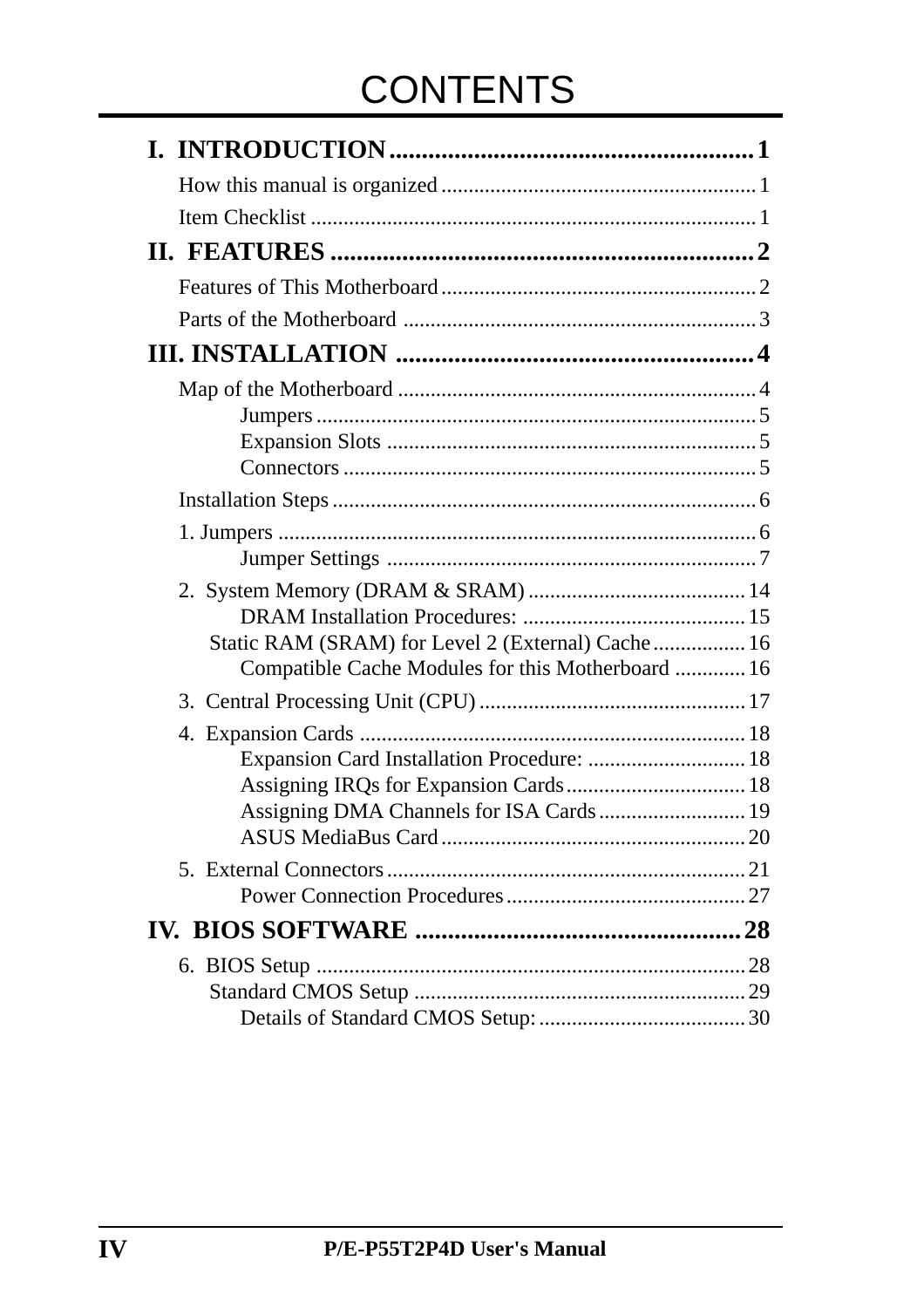## **CONTENTS**

| Static RAM (SRAM) for Level 2 (External) Cache 16 |  |
|---------------------------------------------------|--|
| Compatible Cache Modules for this Motherboard  16 |  |
|                                                   |  |
| 4.                                                |  |
| Expansion Card Installation Procedure:  18        |  |
|                                                   |  |
| Assigning DMA Channels for ISA Cards 19           |  |
|                                                   |  |
|                                                   |  |
|                                                   |  |
|                                                   |  |
|                                                   |  |
|                                                   |  |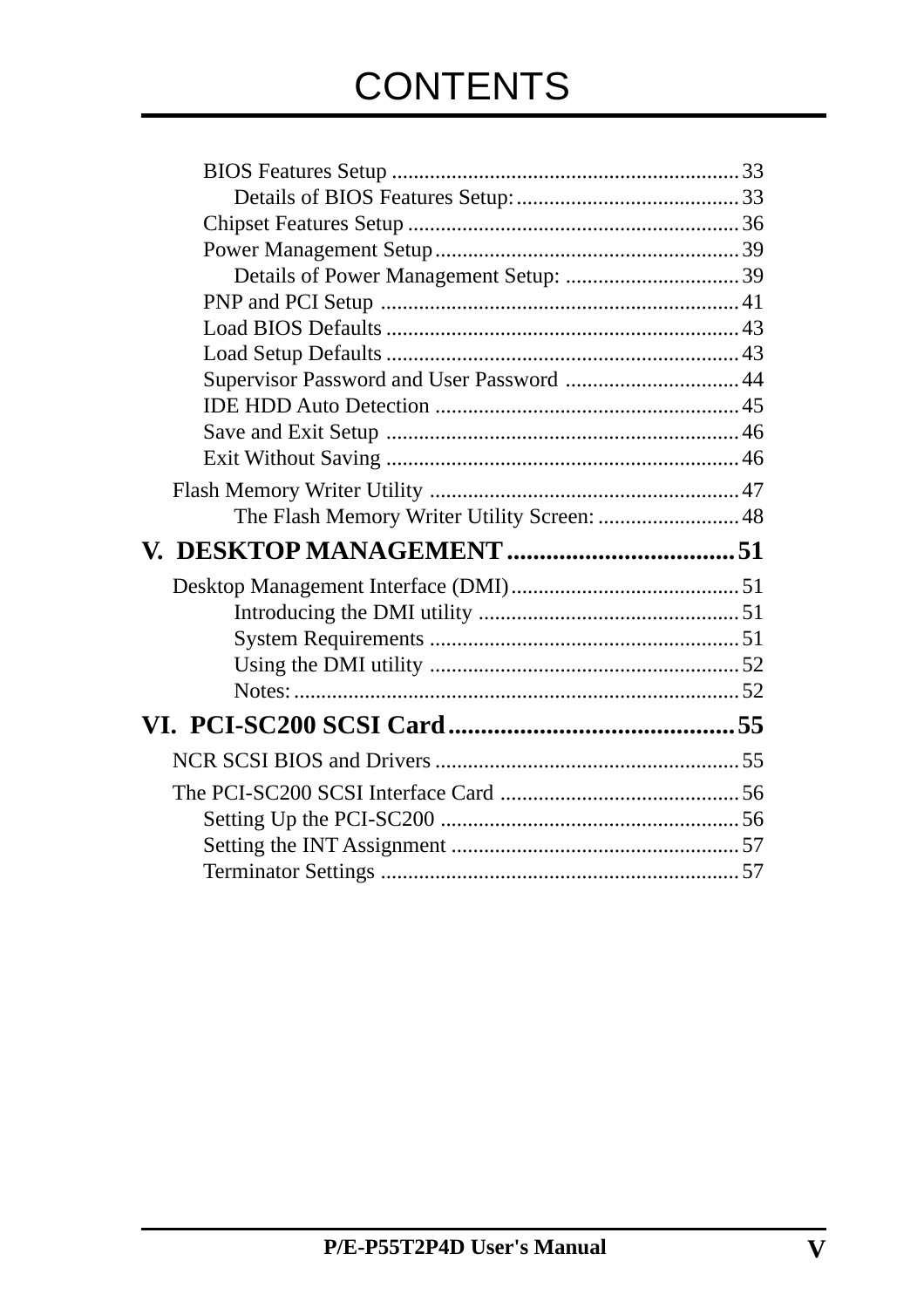| Supervisor Password and User Password  44<br>The Flash Memory Writer Utility Screen:  48 |  |
|------------------------------------------------------------------------------------------|--|
|                                                                                          |  |
|                                                                                          |  |
|                                                                                          |  |
|                                                                                          |  |
|                                                                                          |  |
|                                                                                          |  |
|                                                                                          |  |
|                                                                                          |  |
|                                                                                          |  |
|                                                                                          |  |
|                                                                                          |  |
|                                                                                          |  |
|                                                                                          |  |
|                                                                                          |  |
|                                                                                          |  |
|                                                                                          |  |
|                                                                                          |  |
|                                                                                          |  |
|                                                                                          |  |
|                                                                                          |  |
|                                                                                          |  |
|                                                                                          |  |
|                                                                                          |  |
|                                                                                          |  |
|                                                                                          |  |
|                                                                                          |  |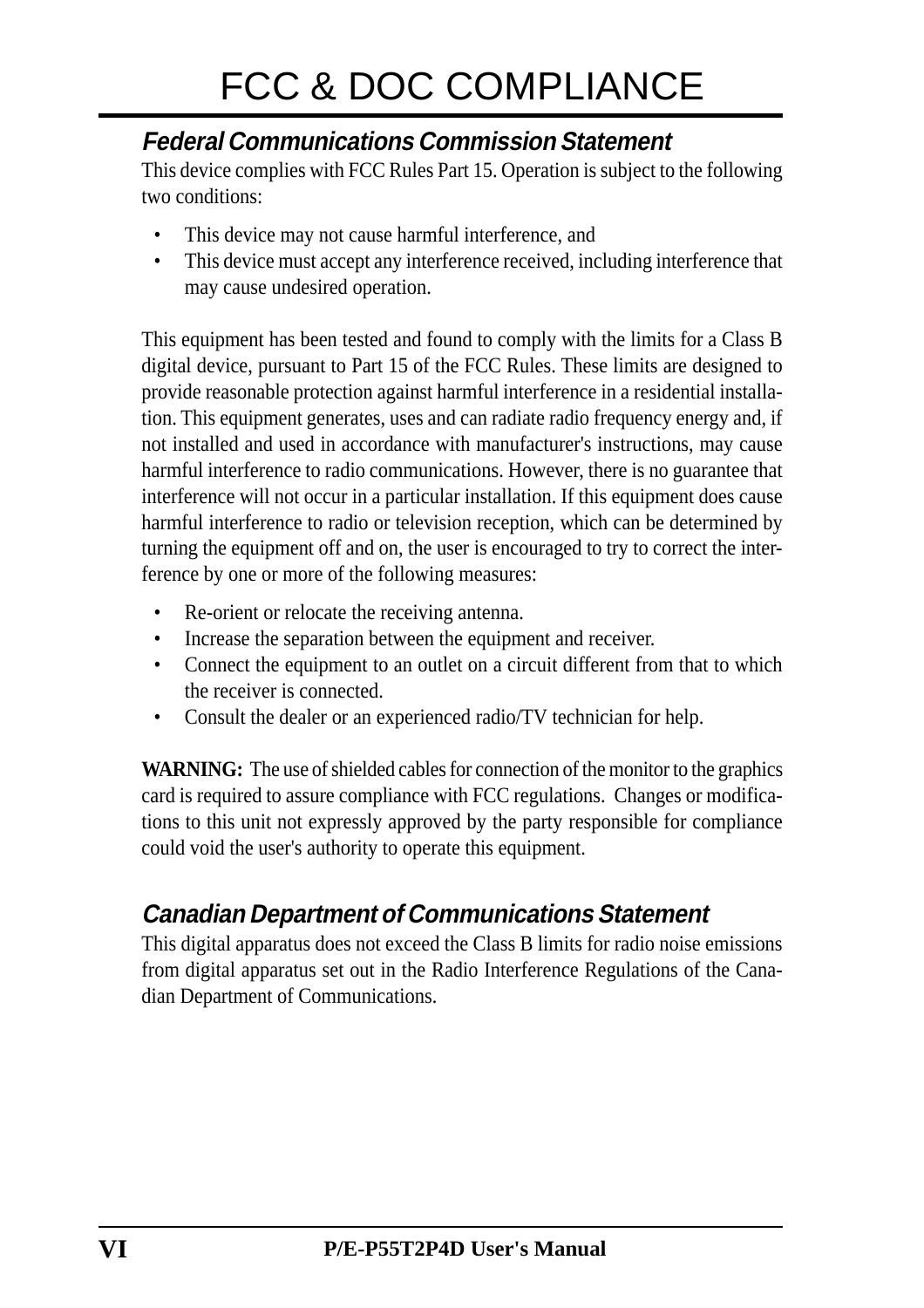## FCC & DOC COMPLIANCE

### **Federal Communications Commission Statement**

This device complies with FCC Rules Part 15. Operation is subject to the following two conditions:

- This device may not cause harmful interference, and
- This device must accept any interference received, including interference that may cause undesired operation.

This equipment has been tested and found to comply with the limits for a Class B digital device, pursuant to Part 15 of the FCC Rules. These limits are designed to provide reasonable protection against harmful interference in a residential installation. This equipment generates, uses and can radiate radio frequency energy and, if not installed and used in accordance with manufacturer's instructions, may cause harmful interference to radio communications. However, there is no guarantee that interference will not occur in a particular installation. If this equipment does cause harmful interference to radio or television reception, which can be determined by turning the equipment off and on, the user is encouraged to try to correct the interference by one or more of the following measures:

- Re-orient or relocate the receiving antenna.
- Increase the separation between the equipment and receiver.
- Connect the equipment to an outlet on a circuit different from that to which the receiver is connected.
- Consult the dealer or an experienced radio/TV technician for help.

**WARNING:** The use of shielded cables for connection of the monitor to the graphics card is required to assure compliance with FCC regulations. Changes or modifications to this unit not expressly approved by the party responsible for compliance could void the user's authority to operate this equipment.

### **Canadian Department of Communications Statement**

This digital apparatus does not exceed the Class B limits for radio noise emissions from digital apparatus set out in the Radio Interference Regulations of the Canadian Department of Communications.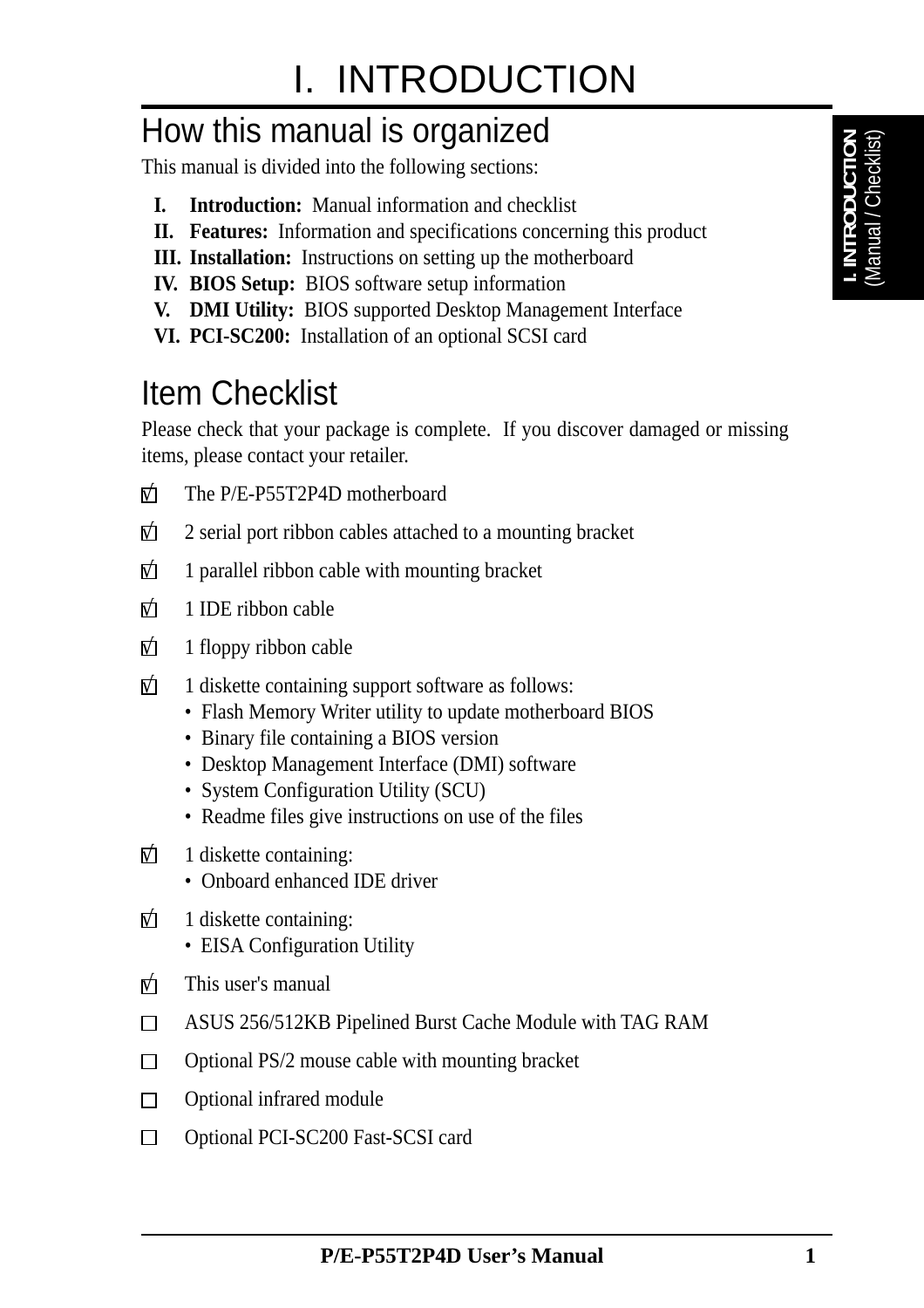### How this manual is organized

This manual is divided into the following sections:

- **I. Introduction:** Manual information and checklist
- **II. Features:** Information and specifications concerning this product
- **III. Installation:** Instructions on setting up the motherboard
- **IV. BIOS Setup:** BIOS software setup information
- **V. DMI Utility:** BIOS supported Desktop Management Interface
- **VI. PCI-SC200:** Installation of an optional SCSI card

## Item Checklist

Please check that your package is complete. If you discover damaged or missing items, please contact your retailer.

- √ The P/E-P55T2P4D motherboard
- $\Box$  2 serial port ribbon cables attached to a mounting bracket
- $\overrightarrow{v}$  1 parallel ribbon cable with mounting bracket
- $\overrightarrow{v}$  1 IDE ribbon cable
- $\Box$  1 floppy ribbon cable
- $\Box$  1 diskette containing support software as follows:
	- Flash Memory Writer utility to update motherboard BIOS
	- Binary file containing a BIOS version
	- Desktop Management Interface (DMI) software
	- System Configuration Utility (SCU)
	- Readme files give instructions on use of the files
- $\Box$  1 diskette containing:
	- Onboard enhanced IDE driver
- $\Box$  1 diskette containing: • EISA Configuration Utility
- $\overrightarrow{v}$  This user's manual
- $\Box$ ASUS 256/512KB Pipelined Burst Cache Module with TAG RAM
- $\Box$ Optional PS/2 mouse cable with mounting bracket
- $\Box$ Optional infrared module
- $\Box$ Optional PCI-SC200 Fast-SCSI card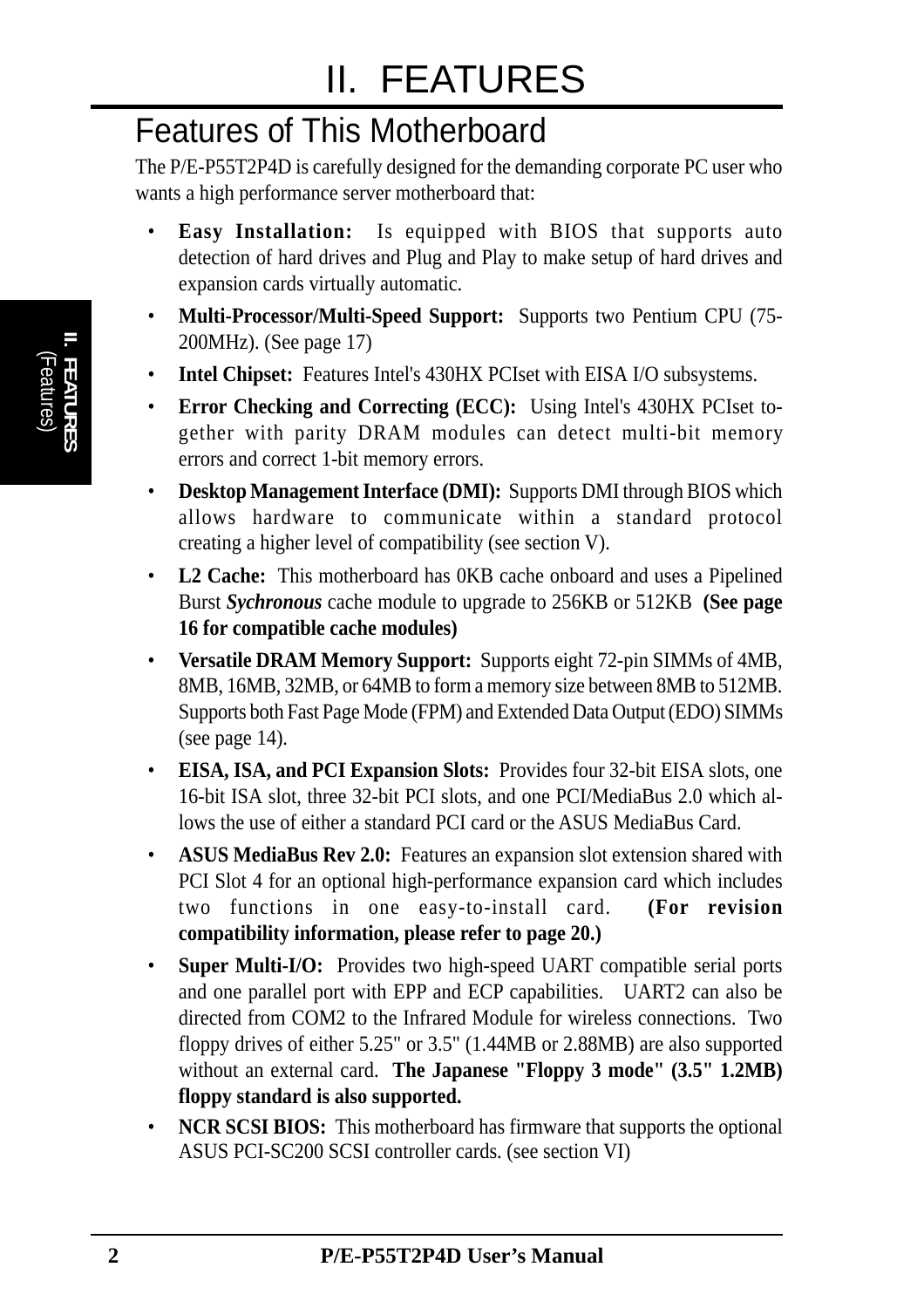### Features of This Motherboard

The P/E-P55T2P4D is carefully designed for the demanding corporate PC user who wants a high performance server motherboard that:

- **Easy Installation:** Is equipped with BIOS that supports auto detection of hard drives and Plug and Play to make setup of hard drives and expansion cards virtually automatic.
- **Multi-Processor/Multi-Speed Support:** Supports two Pentium CPU (75- 200MHz). (See page 17)
- **Intel Chipset:** Features Intel's 430HX PCIset with EISA I/O subsystems.
- **Error Checking and Correcting (ECC):** Using Intel's 430HX PCIset together with parity DRAM modules can detect multi-bit memory errors and correct 1-bit memory errors.
- **Desktop Management Interface (DMI):** Supports DMI through BIOS which allows hardware to communicate within a standard protocol creating a higher level of compatibility (see section V).
- **L2 Cache:** This motherboard has 0KB cache onboard and uses a Pipelined Burst *Sychronous* cache module to upgrade to 256KB or 512KB **(See page 16 for compatible cache modules)**
- **Versatile DRAM Memory Support:** Supports eight 72-pin SIMMs of 4MB, 8MB, 16MB, 32MB, or 64MB to form a memory size between 8MB to 512MB. Supports both Fast Page Mode (FPM) and Extended Data Output (EDO) SIMMs (see page 14).
- **EISA, ISA, and PCI Expansion Slots:** Provides four 32-bit EISA slots, one 16-bit ISA slot, three 32-bit PCI slots, and one PCI/MediaBus 2.0 which allows the use of either a standard PCI card or the ASUS MediaBus Card.
- **ASUS MediaBus Rev 2.0:** Features an expansion slot extension shared with PCI Slot 4 for an optional high-performance expansion card which includes two functions in one easy-to-install card. **(For revision compatibility information, please refer to page 20.)**
- **Super Multi-I/O:** Provides two high-speed UART compatible serial ports and one parallel port with EPP and ECP capabilities. UART2 can also be directed from COM2 to the Infrared Module for wireless connections. Two floppy drives of either 5.25" or 3.5" (1.44MB or 2.88MB) are also supported without an external card. **The Japanese "Floppy 3 mode" (3.5" 1.2MB) floppy standard is also supported.**
- **NCR SCSI BIOS:** This motherboard has firmware that supports the optional ASUS PCI-SC200 SCSI controller cards. (see section VI)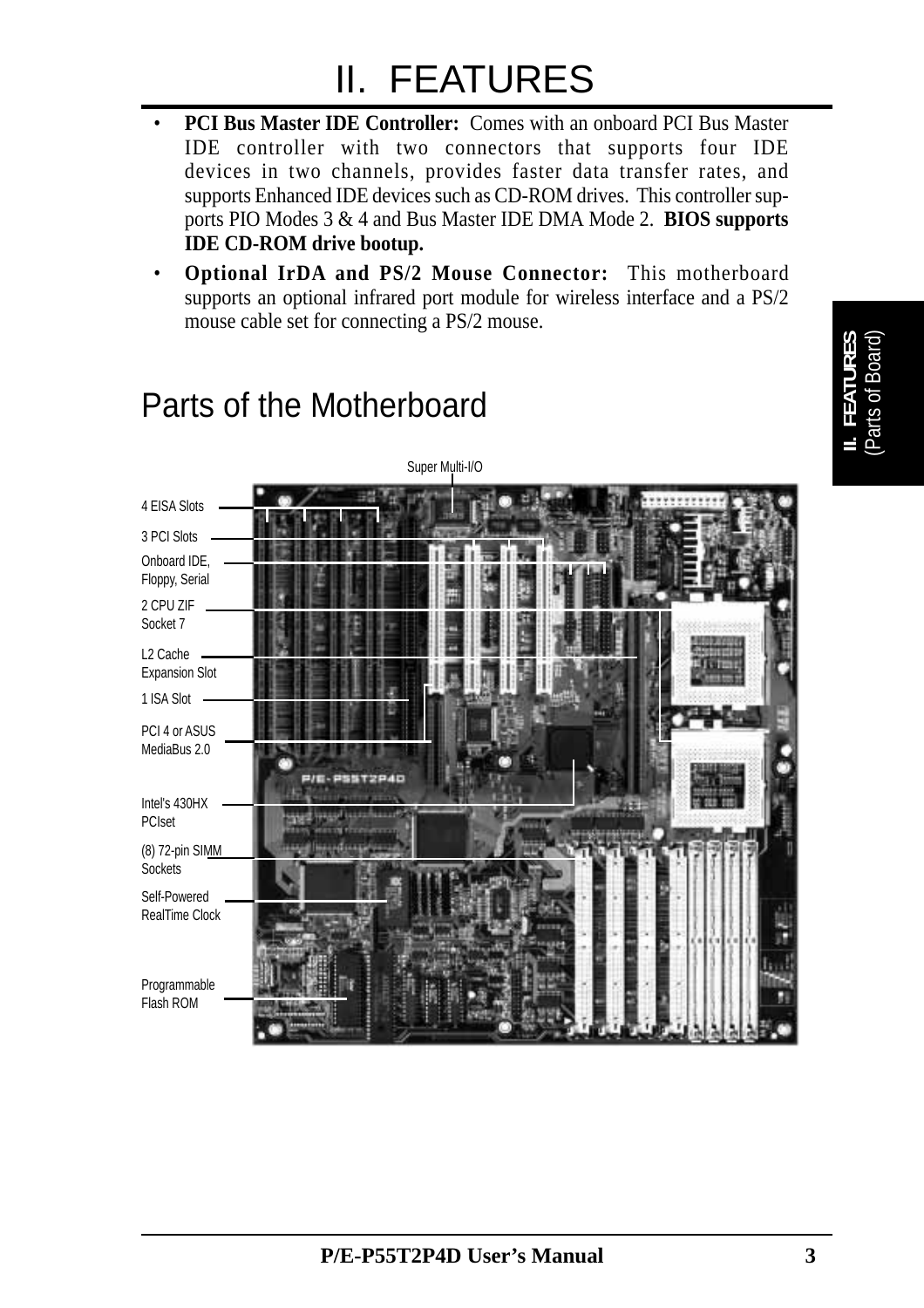## II. FEATURES

- **PCI Bus Master IDE Controller:** Comes with an onboard PCI Bus Master IDE controller with two connectors that supports four IDE devices in two channels, provides faster data transfer rates, and supports Enhanced IDE devices such as CD-ROM drives. This controller supports PIO Modes 3 & 4 and Bus Master IDE DMA Mode 2. **BIOS supports IDE CD-ROM drive bootup.**
- **Optional IrDA and PS/2 Mouse Connector:** This motherboard supports an optional infrared port module for wireless interface and a PS/2 mouse cable set for connecting a PS/2 mouse.

### Parts of the Motherboard

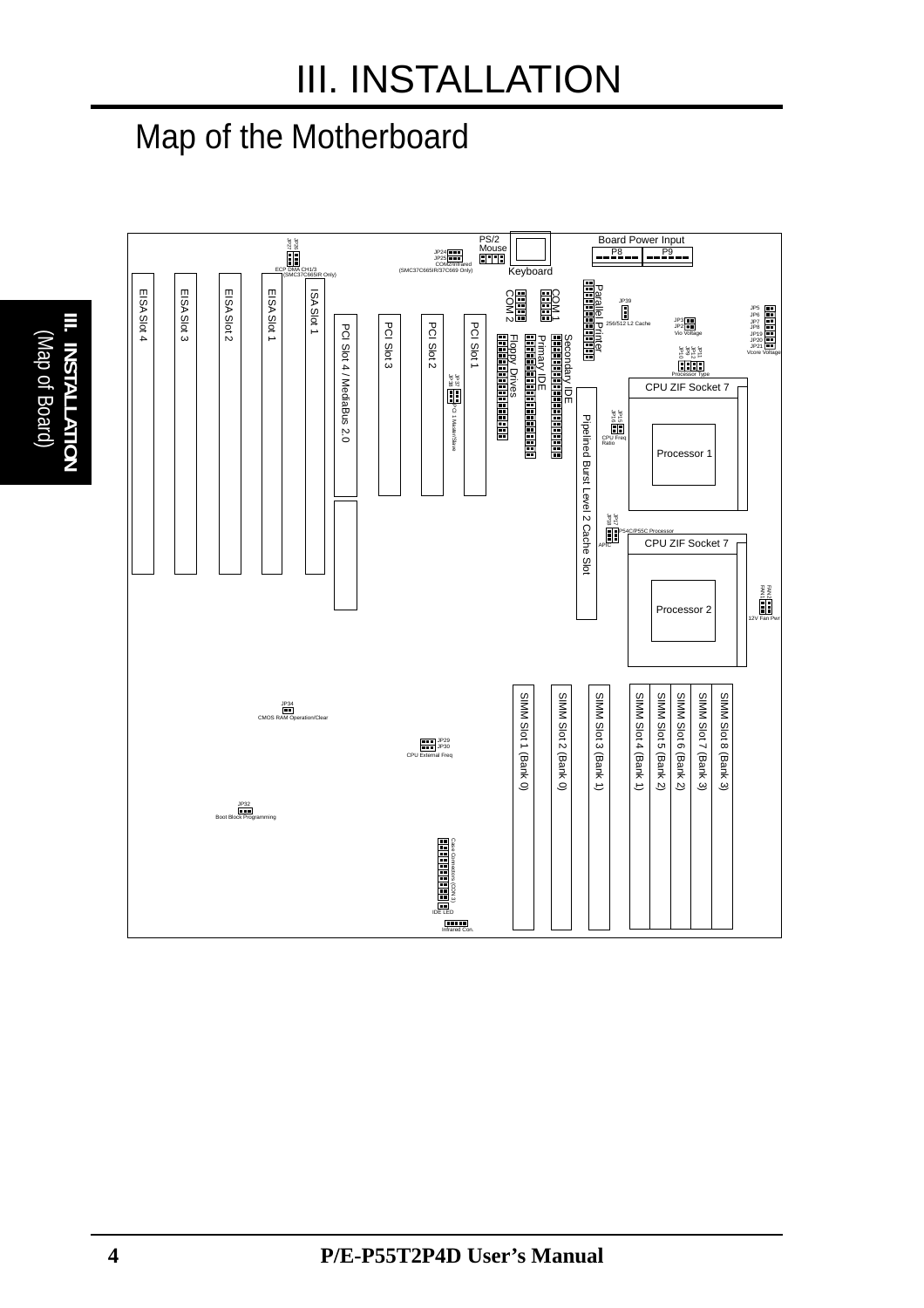### Map of the Motherboard



(Map of Board)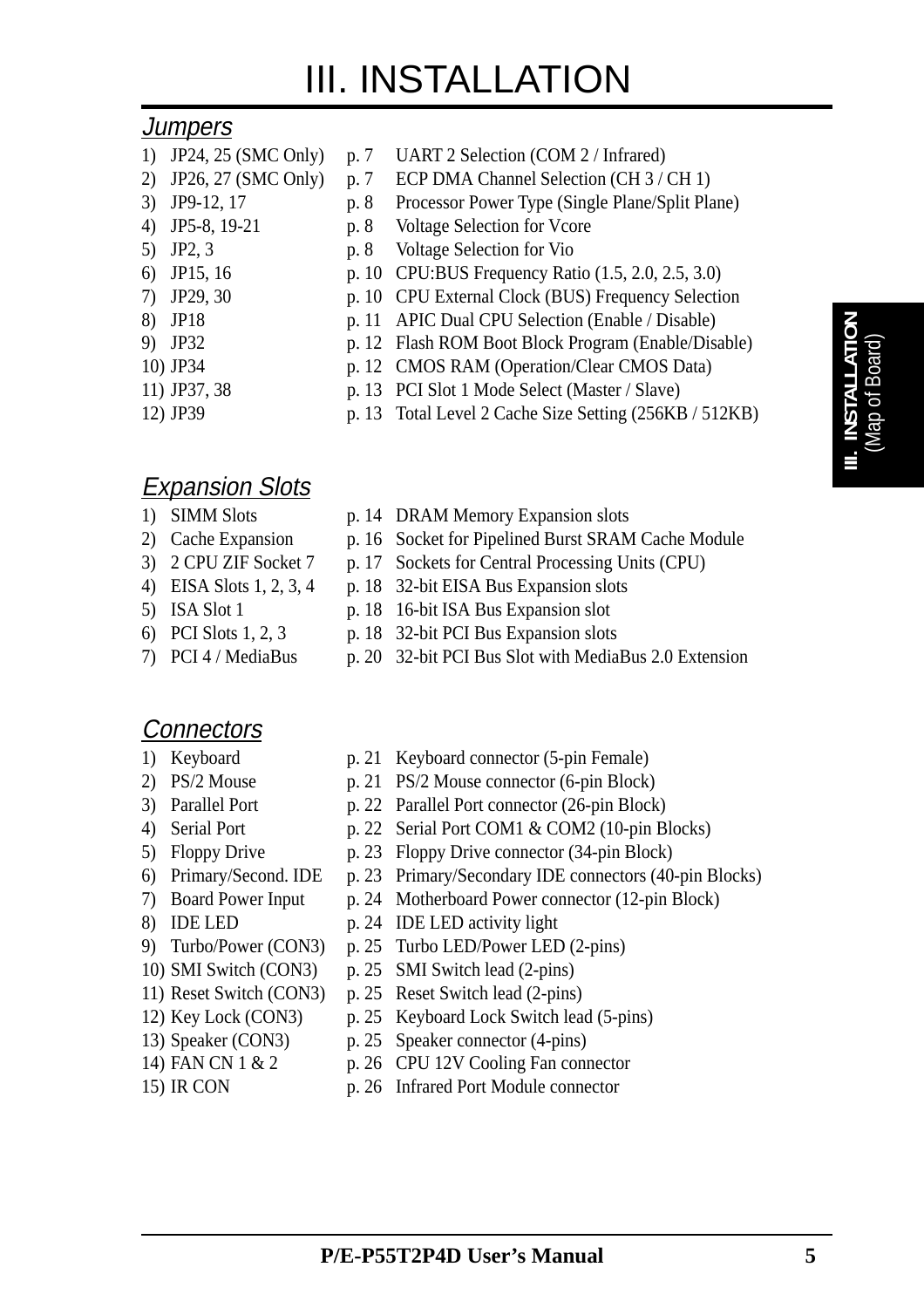#### **Jumpers**

- 
- 
- 
- 
- 
- 
- 
- 
- 
- 
- 
- 1) JP24, 25 (SMC Only) p. 7 UART 2 Selection (COM 2 / Infrared)
- 2) JP26, 27 (SMC Only) p. 7 ECP DMA Channel Selection (CH 3/CH 1)
- 3) JP9-12, 17 p. 8 Processor Power Type (Single Plane/Split Plane)
- 4) JP5-8, 19-21 p. 8 Voltage Selection for Vcore
- 5) JP2, 3 p. 8 Voltage Selection for Vio
- 6) JP15, 16 p. 10 CPU:BUS Frequency Ratio (1.5, 2.0, 2.5, 3.0)
- 7) JP29, 30 p. 10 CPU External Clock (BUS) Frequency Selection
- 8) JP18 p. 11 APIC Dual CPU Selection (Enable / Disable)
- 9) JP32 p. 12 Flash ROM Boot Block Program (Enable/Disable)
- 10) JP34 p. 12 CMOS RAM (Operation/Clear CMOS Data)
- 11) JP37, 38 p. 13 PCI Slot 1 Mode Select (Master / Slave)
- 12) JP39 p. 13 Total Level 2 Cache Size Setting (256KB / 512KB)

### **Expansion Slots**

- 
- 
- 
- 
- 
- 
- 
- 1) SIMM Slots p. 14 DRAM Memory Expansion slots
- 2) Cache Expansion p. 16 Socket for Pipelined Burst SRAM Cache Module
- 3) 2 CPU ZIF Socket 7 p. 17 Sockets for Central Processing Units (CPU)
- 4) EISA Slots 1, 2, 3, 4 p. 18 32-bit EISA Bus Expansion slots
- 5) ISA Slot 1 p. 18 16-bit ISA Bus Expansion slot
- 6) PCI Slots  $1, 2, 3$  p. 18 32-bit PCI Bus Expansion slots
- 7) PCI 4 / MediaBus p. 20 32-bit PCI Bus Slot with MediaBus 2.0 Extension

### **Connectors**

- 
- 
- 
- 
- 
- 
- 
- 
- 
- 
- 
- 
- 
- 
- 
- 1) Keyboard p. 21 Keyboard connector (5-pin Female)
- 2) PS/2 Mouse p. 21 PS/2 Mouse connector (6-pin Block)
- 3) Parallel Port p. 22 Parallel Port connector (26-pin Block)
- 4) Serial Port p. 22 Serial Port COM1 & COM2 (10-pin Blocks)
- 5) Floppy Drive p. 23 Floppy Drive connector (34-pin Block)
- 6) Primary/Second. IDE p. 23 Primary/Secondary IDE connectors (40-pin Blocks)
- 7) Board Power Input p. 24 Motherboard Power connector (12-pin Block)
- 8) IDE LED p. 24 IDE LED activity light
- 9) Turbo/Power (CON3) p. 25 Turbo LED/Power LED (2-pins)
- 10) SMI Switch (CON3) p. 25 SMI Switch lead (2-pins)
- 11) Reset Switch (CON3) p. 25 Reset Switch lead (2-pins)
- 12) Key Lock (CON3) p. 25 Keyboard Lock Switch lead (5-pins)
- 13) Speaker (CON3) p. 25 Speaker connector (4-pins)
- 14) FAN CN 1 & 2 p. 26 CPU 12V Cooling Fan connector
- 15) IR CON p. 26 Infrared Port Module connector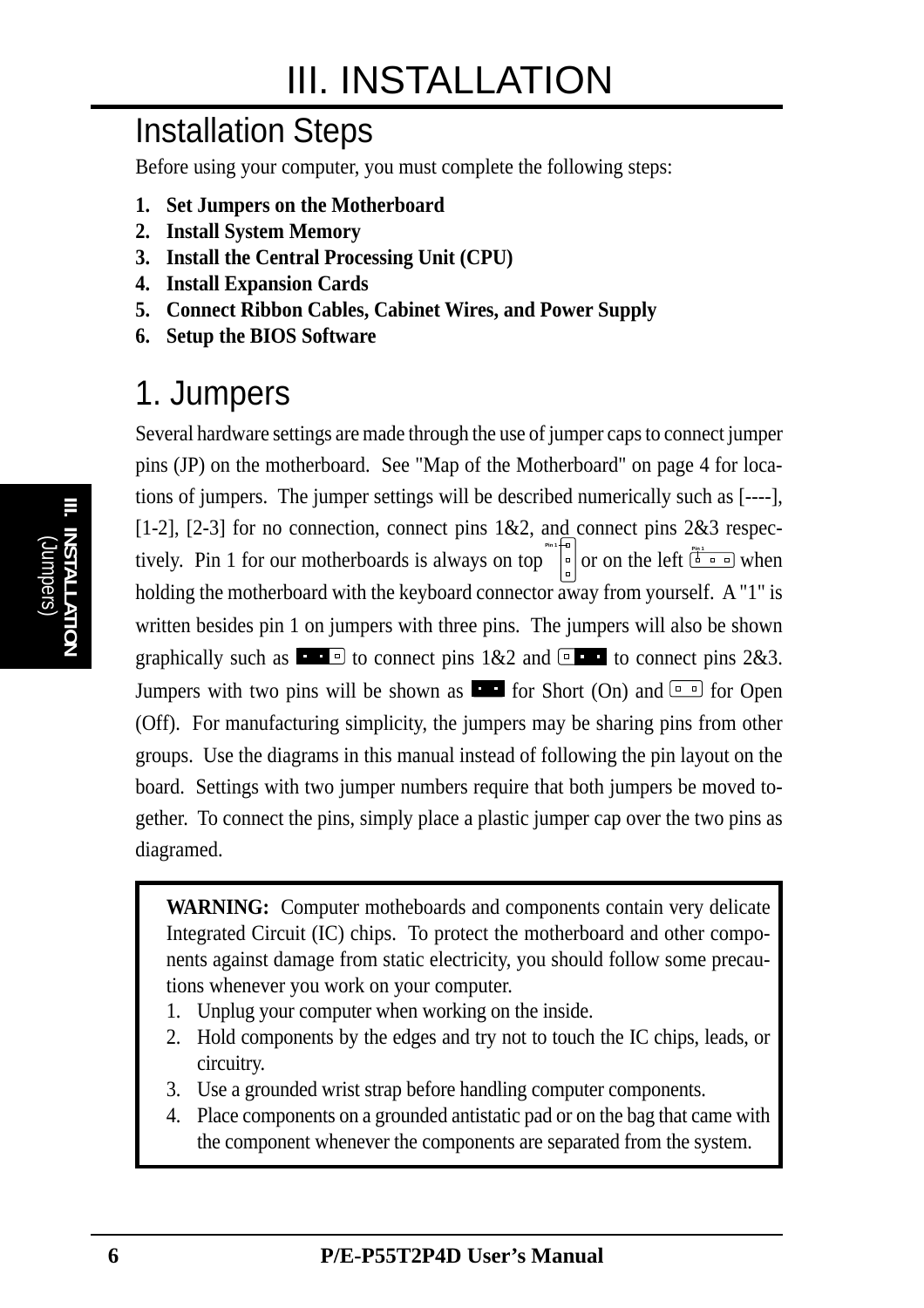### Installation Steps

Before using your computer, you must complete the following steps:

- **1. Set Jumpers on the Motherboard**
- **2. Install System Memory**
- **3. Install the Central Processing Unit (CPU)**
- **4. Install Expansion Cards**
- **5. Connect Ribbon Cables, Cabinet Wires, and Power Supply**
- **6. Setup the BIOS Software**

### 1. Jumpers

Several hardware settings are made through the use of jumper caps to connect jumper pins (JP) on the motherboard. See "Map of the Motherboard" on page 4 for locations of jumpers. The jumper settings will be described numerically such as [----], [1-2], [2-3] for no connection, connect pins  $1&2$ , and connect pins  $2&3$  respectively. Pin 1 for our motherboards is always on top  $\int_{0}^{\frac{p_{0}+1}{p}}$  or on the left  $\frac{p_{0}+1}{p}$  when holding the motherboard with the keyboard connector away from yourself. A "1" is written besides pin 1 on jumpers with three pins. The jumpers will also be shown graphically such as  $\bullet \bullet \bullet$  to connect pins  $1\&2$  and  $\bullet \bullet \bullet$  to connect pins  $2\&3$ . Jumpers with two pins will be shown as **For** Short (On) and **For** Short open (Off). For manufacturing simplicity, the jumpers may be sharing pins from other groups. Use the diagrams in this manual instead of following the pin layout on the board. Settings with two jumper numbers require that both jumpers be moved together. To connect the pins, simply place a plastic jumper cap over the two pins as diagramed.

**WARNING:** Computer motheboards and components contain very delicate Integrated Circuit (IC) chips. To protect the motherboard and other components against damage from static electricity, you should follow some precautions whenever you work on your computer.

- 1. Unplug your computer when working on the inside.
- 2. Hold components by the edges and try not to touch the IC chips, leads, or circuitry.
- 3. Use a grounded wrist strap before handling computer components.
- 4. Place components on a grounded antistatic pad or on the bag that came with the component whenever the components are separated from the system.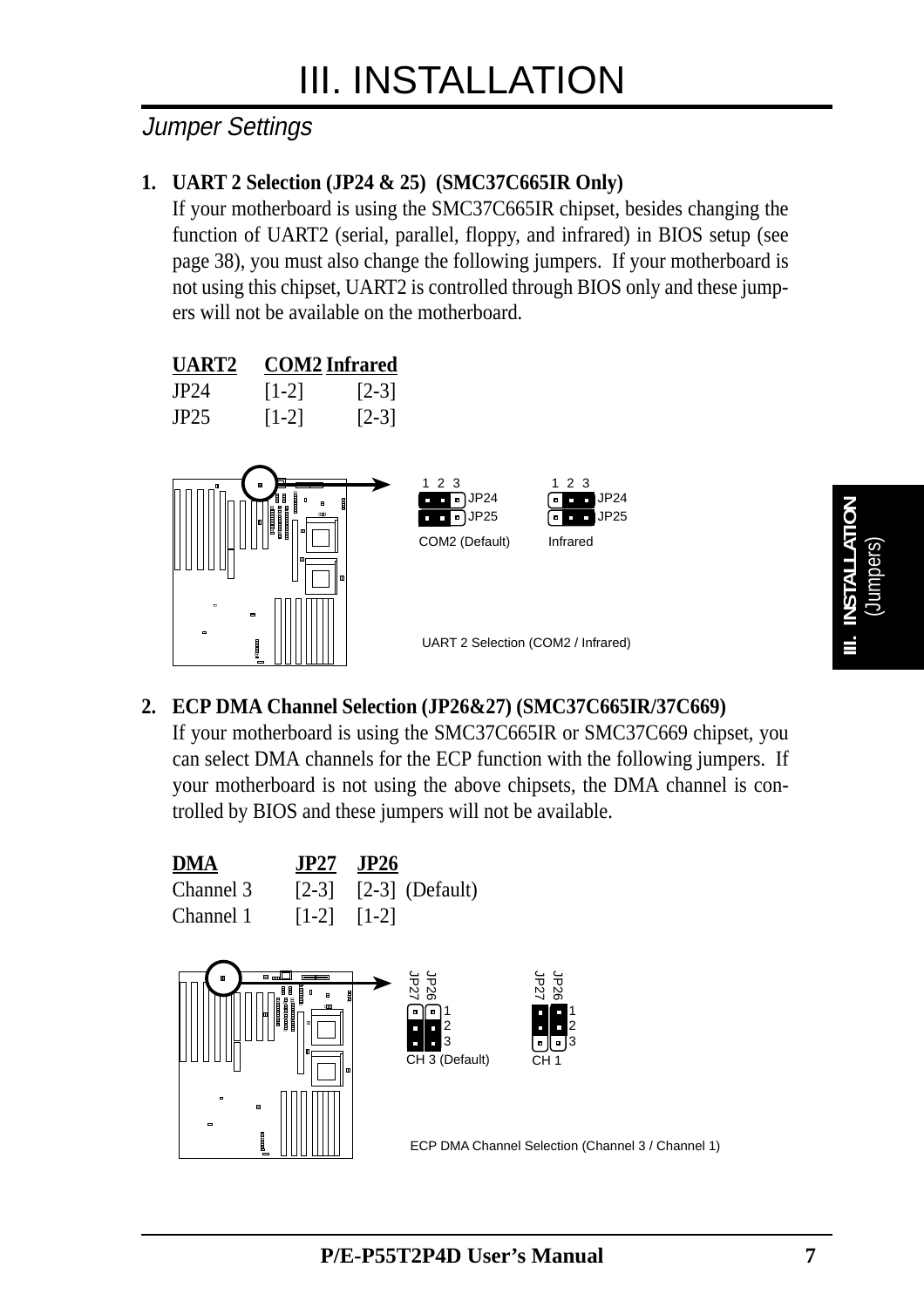#### Jumper Settings

#### **1. UART 2 Selection (JP24 & 25) (SMC37C665IR Only)**

If your motherboard is using the SMC37C665IR chipset, besides changing the function of UART2 (serial, parallel, floppy, and infrared) in BIOS setup (see page 38), you must also change the following jumpers. If your motherboard is not using this chipset, UART2 is controlled through BIOS only and these jumpers will not be available on the motherboard.

| <b>UART2</b>                     | <b>COM2</b> Infrared                                                                        |         |                                                                |                                                                                     |
|----------------------------------|---------------------------------------------------------------------------------------------|---------|----------------------------------------------------------------|-------------------------------------------------------------------------------------|
| <b>JP24</b>                      | $[1-2]$                                                                                     | $[2-3]$ |                                                                |                                                                                     |
| JP25                             | $[1-2]$                                                                                     | $[2-3]$ |                                                                |                                                                                     |
| œ<br>$\blacksquare$              | $\blacksquare$<br>▌<br>E<br>D<br>j<br>B<br><b>THEFT STATE</b><br><b>COLO</b><br>m<br>ω<br>Ф |         | 123<br>JP24<br>o I<br>п<br><b>JP25</b><br>п.<br>COM2 (Default) | 123<br><b>JP24</b><br>п<br>п<br>۰<br>JP25<br>$\blacksquare$<br>T.<br>P.<br>Infrared |
| $\blacksquare$<br>$\blacksquare$ | $\mathbb{I}$ and $\mathbb{I}$                                                               |         | UART 2 Selection (COM2 / Infrared)                             |                                                                                     |

#### **2. ECP DMA Channel Selection (JP26&27) (SMC37C665IR/37C669)**

If your motherboard is using the SMC37C665IR or SMC37C669 chipset, you can select DMA channels for the ECP function with the following jumpers. If your motherboard is not using the above chipsets, the DMA channel is controlled by BIOS and these jumpers will not be available.



**III. INSTALLATION** (Jumpers)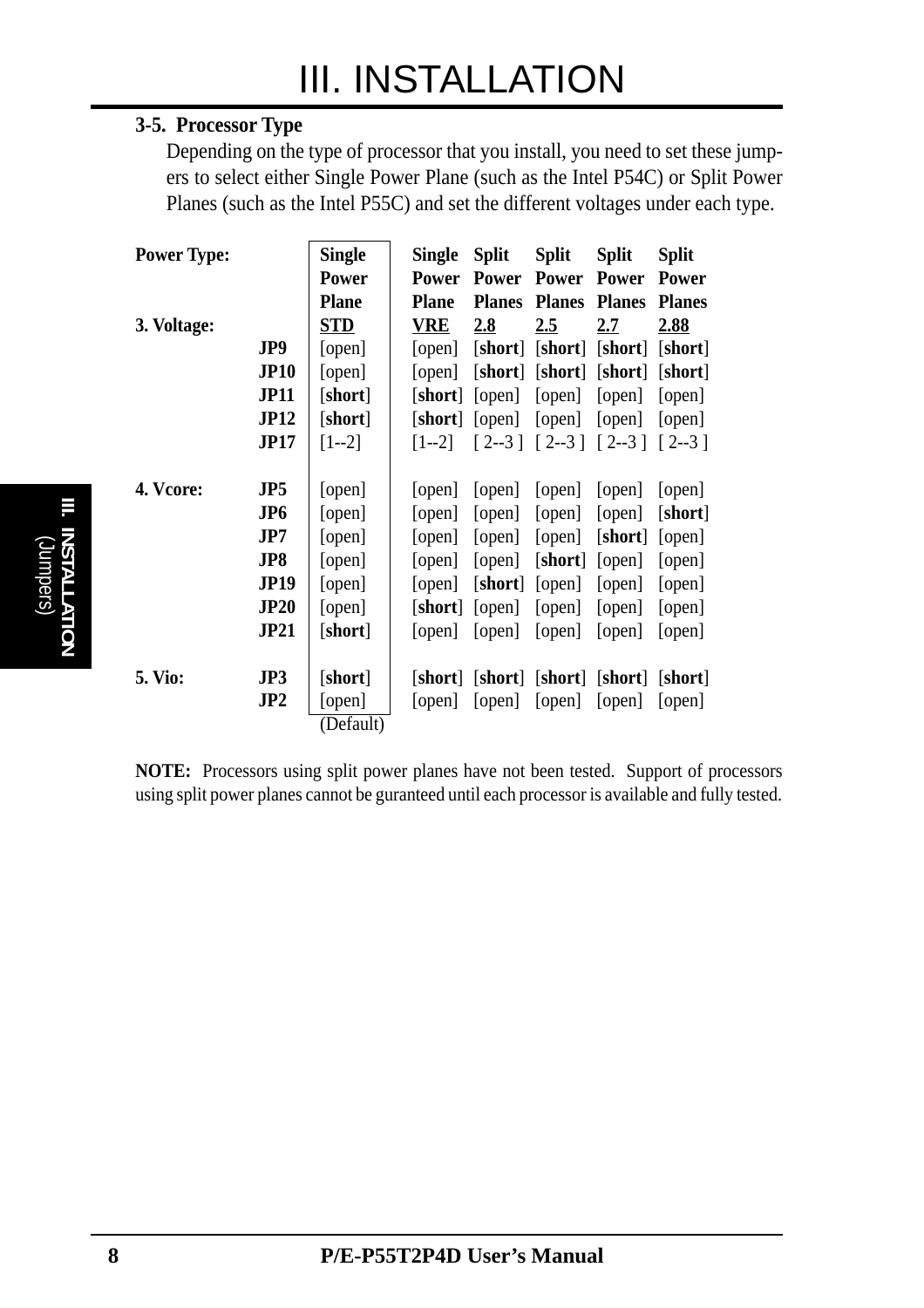#### **3-5. Processor Type**

Depending on the type of processor that you install, you need to set these jumpers to select either Single Power Plane (such as the Intel P54C) or Split Power Planes (such as the Intel P55C) and set the different voltages under each type.

| <b>Power Type:</b> |                 | <b>Single</b> | <b>Single</b> | <b>Split</b>  | <b>Split</b>  | <b>Split</b>                                | <b>Split</b>  |
|--------------------|-----------------|---------------|---------------|---------------|---------------|---------------------------------------------|---------------|
|                    |                 | Power         | <b>Power</b>  | <b>Power</b>  | <b>Power</b>  | <b>Power</b>                                | <b>Power</b>  |
|                    |                 | <b>Plane</b>  | <b>Plane</b>  | <b>Planes</b> | <b>Planes</b> | <b>Planes</b>                               | <b>Planes</b> |
| 3. Voltage:        |                 | <b>STD</b>    | <b>VRE</b>    | <u>2.8</u>    | 2.5           | 2.7                                         | 2.88          |
|                    | JP9             | [open]        | [open]        | [short]       | [short]       | [short]                                     | [short]       |
|                    | <b>JP10</b>     | [open]        | [open]        | [short]       |               | [short] [short]                             | [short]       |
|                    | <b>JP11</b>     | [short]       | [short]       | [open]        | [open]        | [open]                                      | [open]        |
|                    | <b>JP12</b>     | [short]       | [short]       | [open]        | [open]        | [open]                                      | [open]        |
|                    | <b>JP17</b>     | $[1 - 2]$     | $[1 - 2]$     | $[2-3]$       |               | $\lceil 2 - 3 \rceil$ $\lceil 2 - 3 \rceil$ | $[2 - 3]$     |
|                    |                 |               |               |               |               |                                             |               |
| 4. Vcore:          | JP5             | [open]        | [open]        | [open]        | [open]        | [open]                                      | [open]        |
|                    | JP <sub>6</sub> | [open]        | [open]        | [open]        | [open]        | [open]                                      | [short]       |
|                    | JP7             | [open]        | [open]        | [open]        | [open]        | [short]                                     | [open]        |
|                    | JP8             | [open]        | [open]        | [open]        | [short]       | [open]                                      | [open]        |
|                    | <b>JP19</b>     | [open]        | [open]        | [short]       | [open]        | [open]                                      | [open]        |
|                    | <b>JP20</b>     | [open]        | [short]       | [open]        | [open]        | [open]                                      | [open]        |
|                    | <b>JP21</b>     | [short]       | [open]        | [open]        | [open]        | [open]                                      | [open]        |
|                    |                 |               |               |               |               |                                             |               |
| <b>5. Vio:</b>     | JP3             | [short]       | [short]       | [short]       |               | [short] [short]                             | [short]       |
|                    | JP2             | [open]        | [open]        | [open]        | [open]        | [open]                                      | [open]        |
|                    |                 | (Default)     |               |               |               |                                             |               |

**NOTE:** Processors using split power planes have not been tested. Support of processors using split power planes cannot be guranteed until each processor is available and fully tested.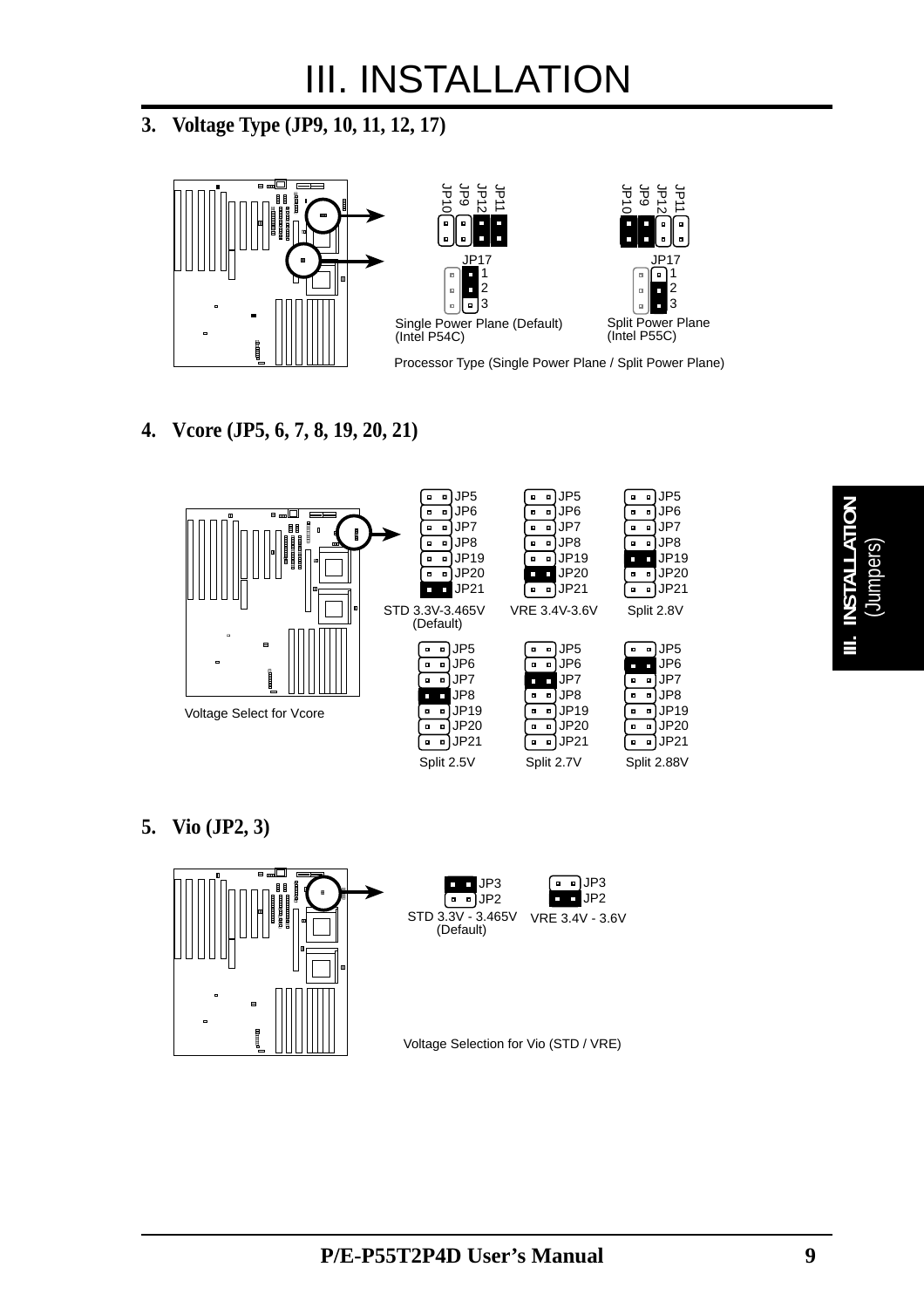**3. Voltage Type (JP9, 10, 11, 12, 17)**



**4. Vcore (JP5, 6, 7, 8, 19, 20, 21)**



**5. Vio (JP2, 3)**

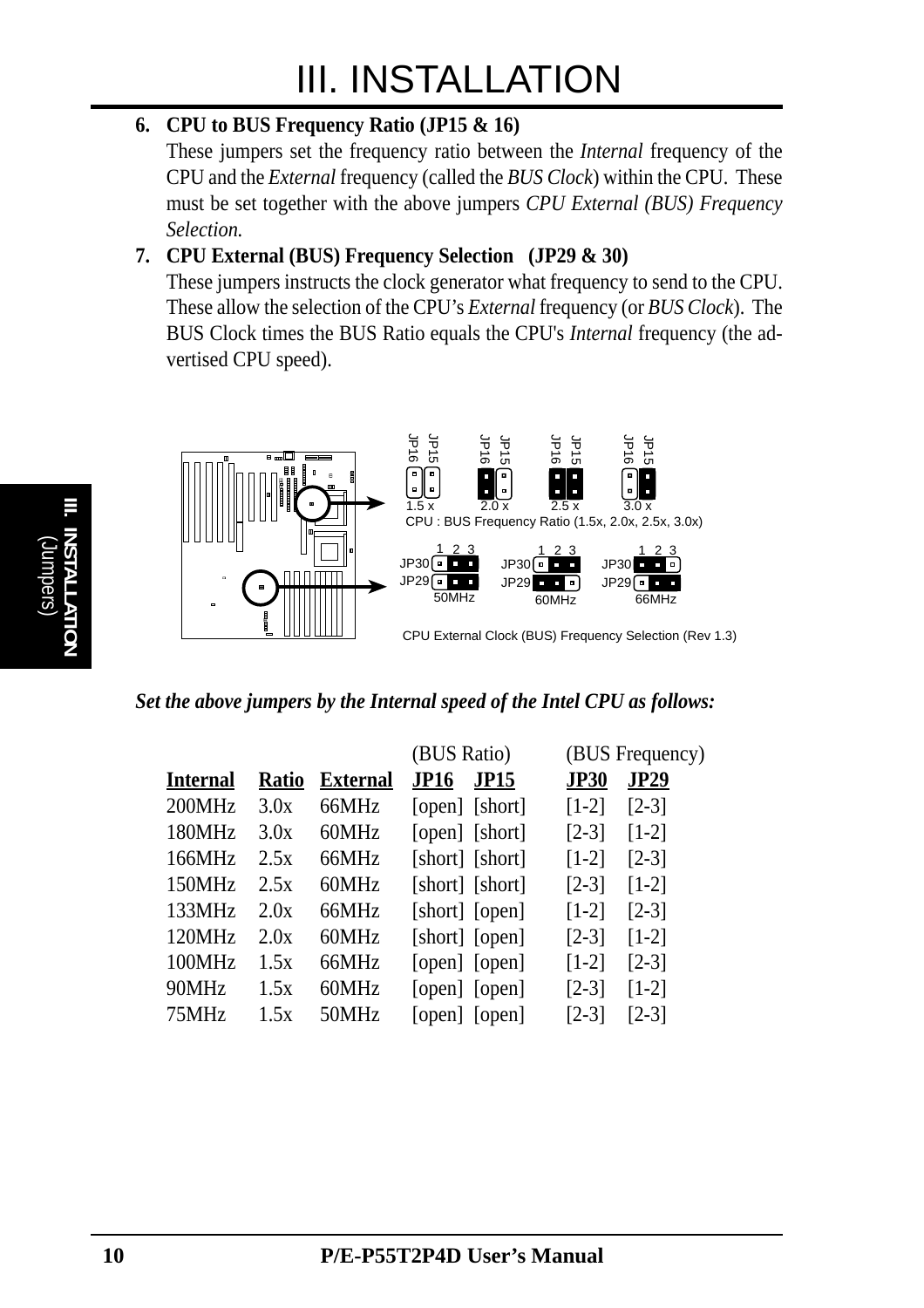#### **6. CPU to BUS Frequency Ratio (JP15 & 16)**

These jumpers set the frequency ratio between the *Internal* frequency of the CPU and the *External* frequency (called the *BUS Clock*) within the CPU. These must be set together with the above jumpers *CPU External (BUS) Frequency Selection.*

#### **7. CPU External (BUS) Frequency Selection (JP29 & 30)**

These jumpers instructs the clock generator what frequency to send to the CPU. These allow the selection of the CPU's *External* frequency (or *BUS Clock*). The BUS Clock times the BUS Ratio equals the CPU's *Internal* frequency (the advertised CPU speed).



*Set the above jumpers by the Internal speed of the Intel CPU as follows:*

|                 |              |                 | (BUS Ratio)                | (BUS Frequency)            |
|-----------------|--------------|-----------------|----------------------------|----------------------------|
| <b>Internal</b> | <b>Ratio</b> | <b>External</b> | <b>JP15</b><br><b>JP16</b> | <b>JP30</b><br><b>JP29</b> |
| 200MHz          | 3.0x         | 66MHz           | [open] [short]             | $[1-2]$<br>$[2-3]$         |
| 180MHz          | 3.0x         | 60MHz           | [open] [short]             | $[2-3]$<br>$[1-2]$         |
| 166MHz          | 2.5x         | 66MHz           | [short] [short]            | $[1-2]$<br>$[2-3]$         |
| 150MHz          | 2.5x         | 60MHz           | [short] [short]            | $[2-3]$<br>$[1-2]$         |
| 133MHz          | 2.0x         | 66MHz           | [short] [open]             | $[1-2]$<br>$[2-3]$         |
| 120MHz          | 2.0x         | 60MHz           | [short] [open]             | $[2-3]$<br>$[1-2]$         |
| 100MHz          | 1.5x         | 66MHz           | [open] [open]              | $[1-2]$<br>$[2-3]$         |
| 90MHz           | 1.5x         | 60MHz           | [open] [open]              | $[2-3]$<br>$[1-2]$         |
| 75MHz           | 1.5x         | 50MHz           | [open] [open]              | $[2-3]$<br>$[2-3]$         |

(Jumpers) **III. INSTALLATION**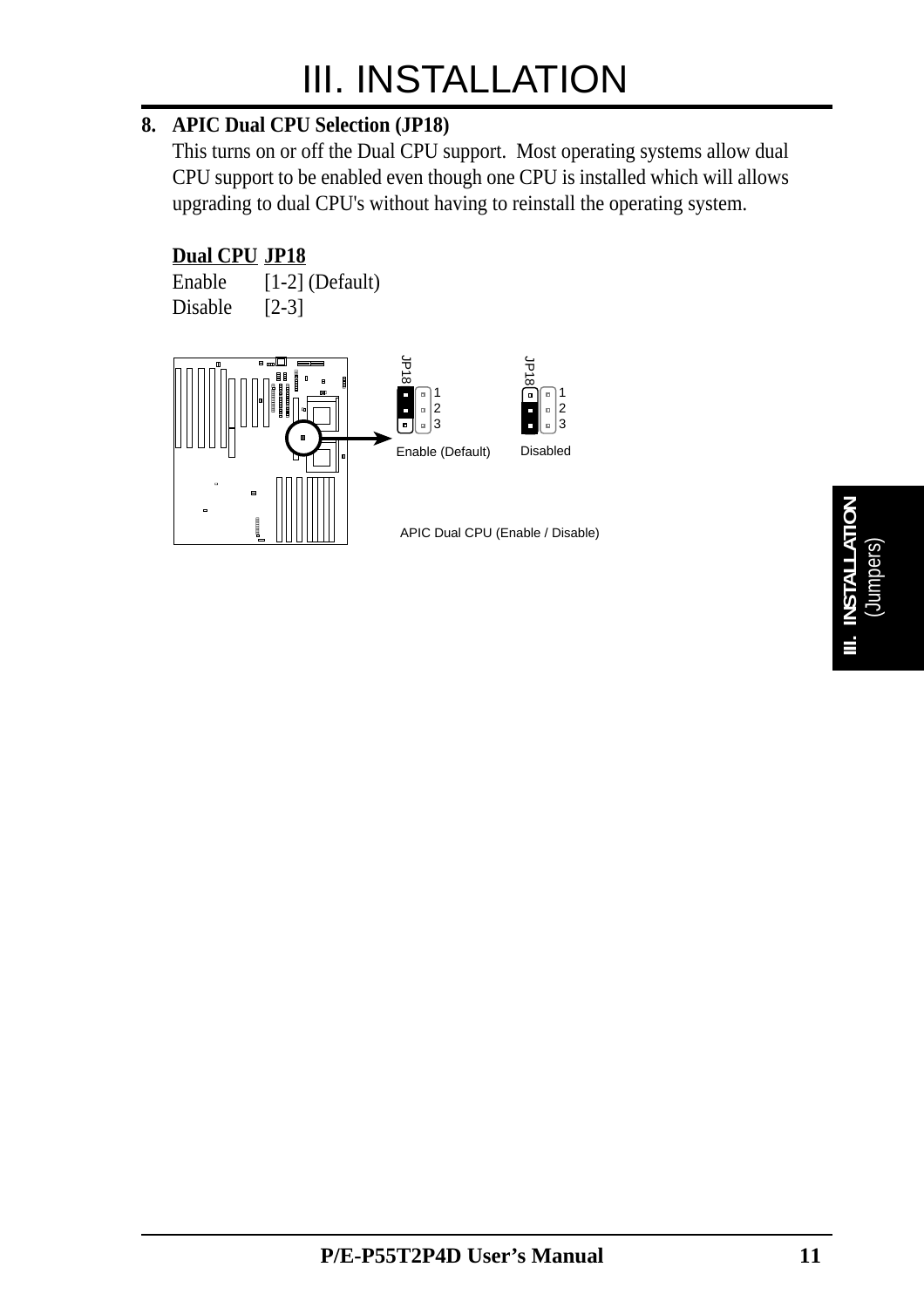#### **8. APIC Dual CPU Selection (JP18)**

This turns on or off the Dual CPU support. Most operating systems allow dual CPU support to be enabled even though one CPU is installed which will allows upgrading to dual CPU's without having to reinstall the operating system.

#### **Dual CPU JP18**

Enable [1-2] (Default) Disable [2-3]

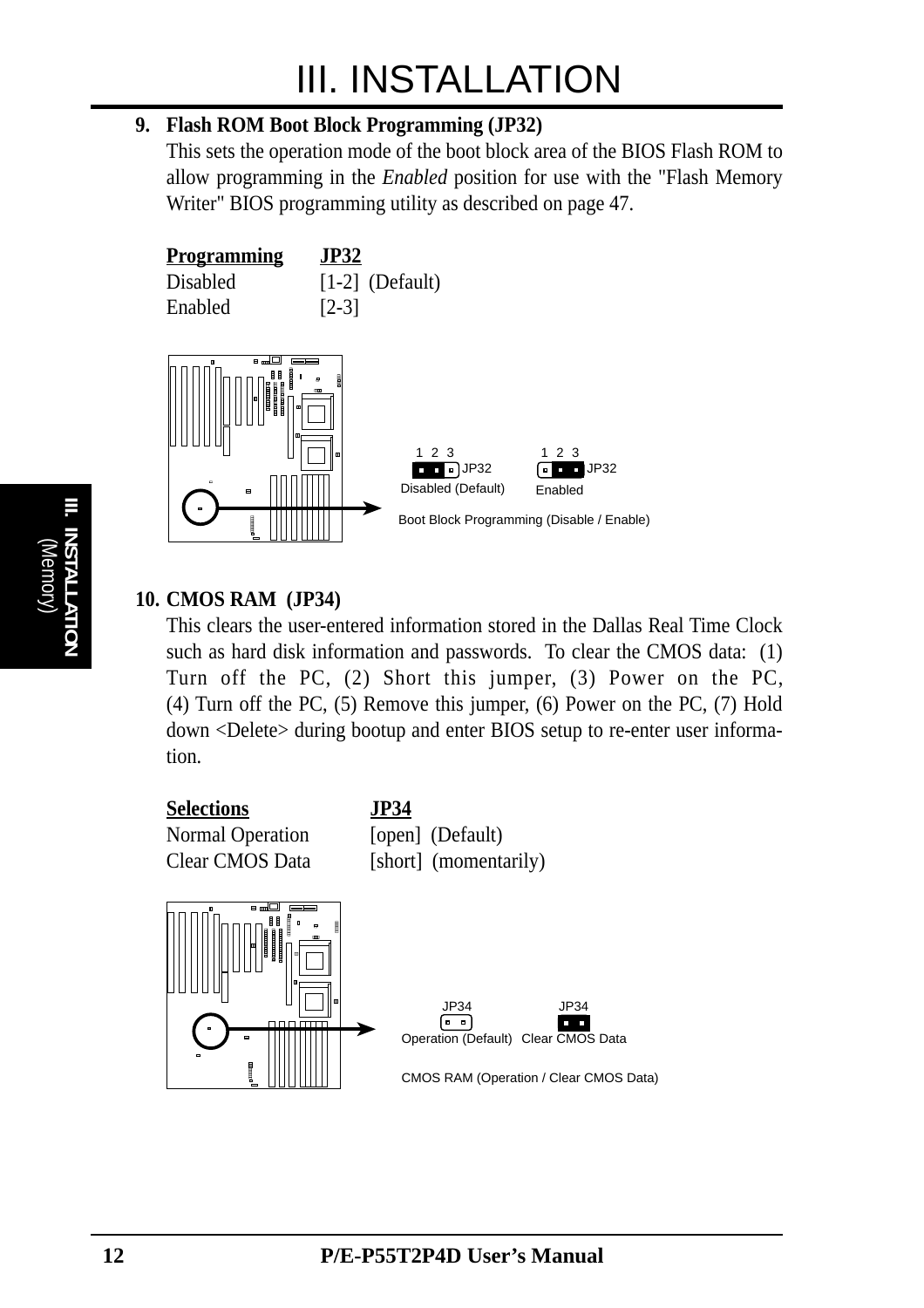#### **9. Flash ROM Boot Block Programming (JP32)**

This sets the operation mode of the boot block area of the BIOS Flash ROM to allow programming in the *Enabled* position for use with the "Flash Memory Writer" BIOS programming utility as described on page 47.



#### **10. CMOS RAM (JP34)**

This clears the user-entered information stored in the Dallas Real Time Clock such as hard disk information and passwords. To clear the CMOS data: (1) Turn off the PC, (2) Short this jumper, (3) Power on the PC, (4) Turn off the PC, (5) Remove this jumper, (6) Power on the PC, (7) Hold down <Delete> during bootup and enter BIOS setup to re-enter user information.

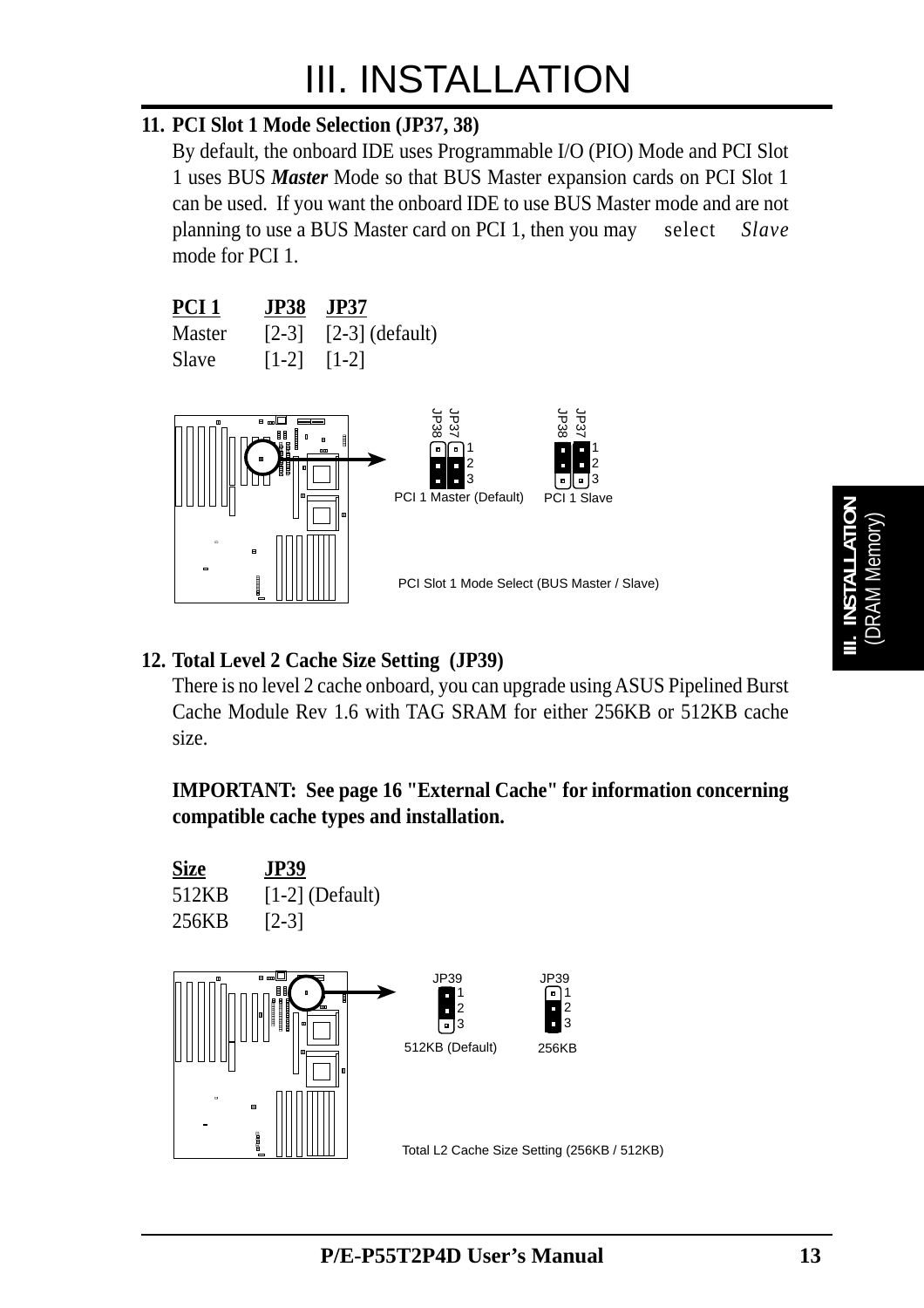#### **11. PCI Slot 1 Mode Selection (JP37, 38)**

By default, the onboard IDE uses Programmable I/O (PIO) Mode and PCI Slot 1 uses BUS *Master* Mode so that BUS Master expansion cards on PCI Slot 1 can be used. If you want the onboard IDE to use BUS Master mode and are not planning to use a BUS Master card on PCI 1, then you may select *Slave* mode for PCI 1.





#### **12. Total Level 2 Cache Size Setting (JP39)**

There is no level 2 cache onboard, you can upgrade using ASUS Pipelined Burst Cache Module Rev 1.6 with TAG SRAM for either 256KB or 512KB cache size.

**IMPORTANT: See page 16 "External Cache" for information concerning compatible cache types and installation.**

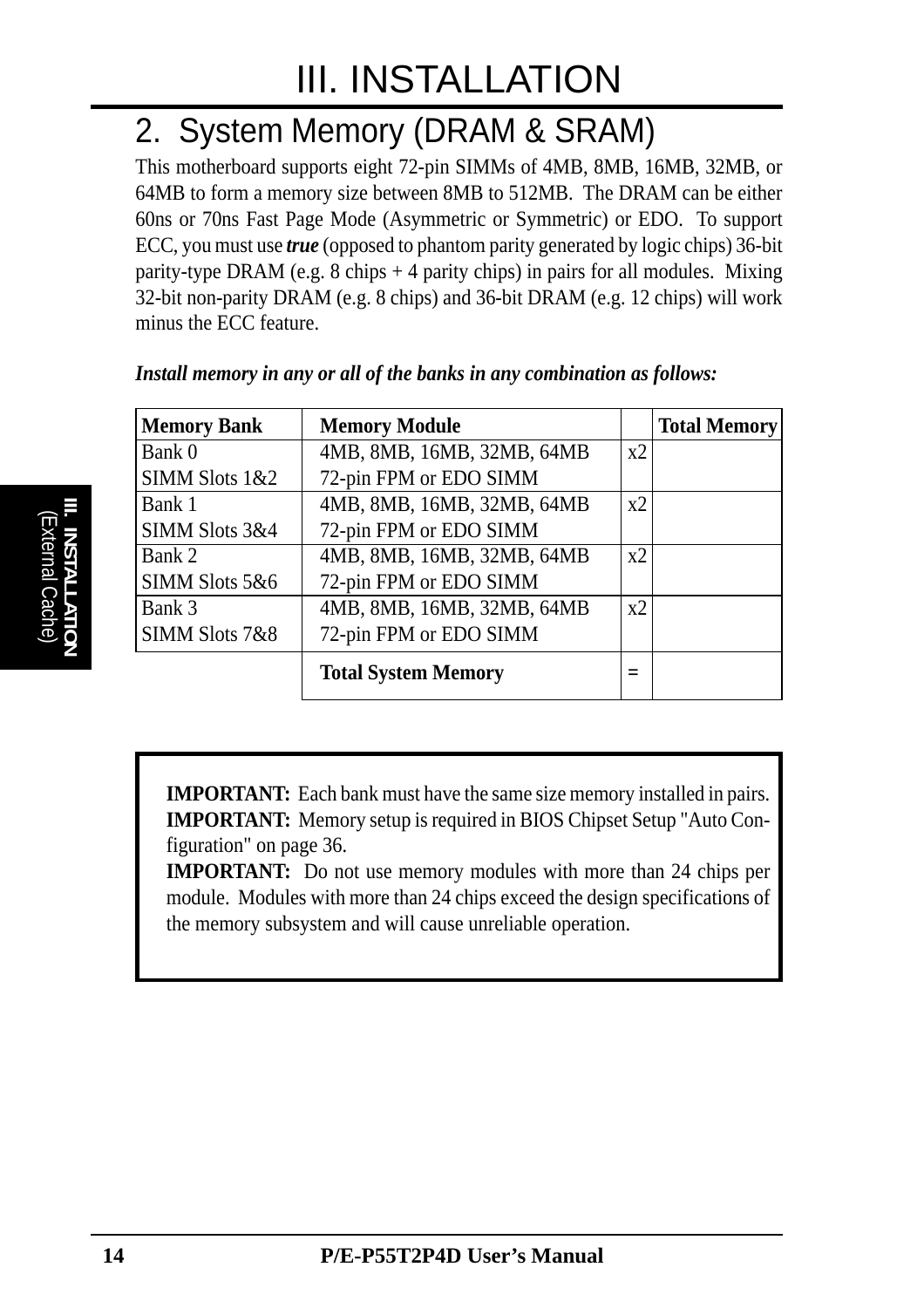## 2. System Memory (DRAM & SRAM)

This motherboard supports eight 72-pin SIMMs of 4MB, 8MB, 16MB, 32MB, or 64MB to form a memory size between 8MB to 512MB. The DRAM can be either 60ns or 70ns Fast Page Mode (Asymmetric or Symmetric) or EDO. To support ECC, you must use *true* (opposed to phantom parity generated by logic chips) 36-bit parity-type DRAM (e.g.  $8 \text{ chips} + 4 \text{ parity chips}$ ) in pairs for all modules. Mixing 32-bit non-parity DRAM (e.g. 8 chips) and 36-bit DRAM (e.g. 12 chips) will work minus the ECC feature.

| <b>Memory Bank</b> | <b>Memory Module</b>       |    | <b>Total Memory</b> |
|--------------------|----------------------------|----|---------------------|
| Bank 0             | 4MB, 8MB, 16MB, 32MB, 64MB | x2 |                     |
| SIMM Slots $1&2$   | 72-pin FPM or EDO SIMM     |    |                     |
| Bank 1             | 4MB, 8MB, 16MB, 32MB, 64MB | x2 |                     |
| SIMM Slots 3&4     | 72-pin FPM or EDO SIMM     |    |                     |
| Bank 2             | 4MB, 8MB, 16MB, 32MB, 64MB | x2 |                     |
| SIMM Slots 5&6     | 72-pin FPM or EDO SIMM     |    |                     |
| Bank 3             | 4MB, 8MB, 16MB, 32MB, 64MB | x2 |                     |
| SIMM Slots 7&8     | 72-pin FPM or EDO SIMM     |    |                     |
|                    | <b>Total System Memory</b> |    |                     |

#### *Install memory in any or all of the banks in any combination as follows:*

**IMPORTANT:** Each bank must have the same size memory installed in pairs. **IMPORTANT:** Memory setup is required in BIOS Chipset Setup "Auto Configuration" on page 36.

**IMPORTANT:** Do not use memory modules with more than 24 chips per module. Modules with more than 24 chips exceed the design specifications of the memory subsystem and will cause unreliable operation.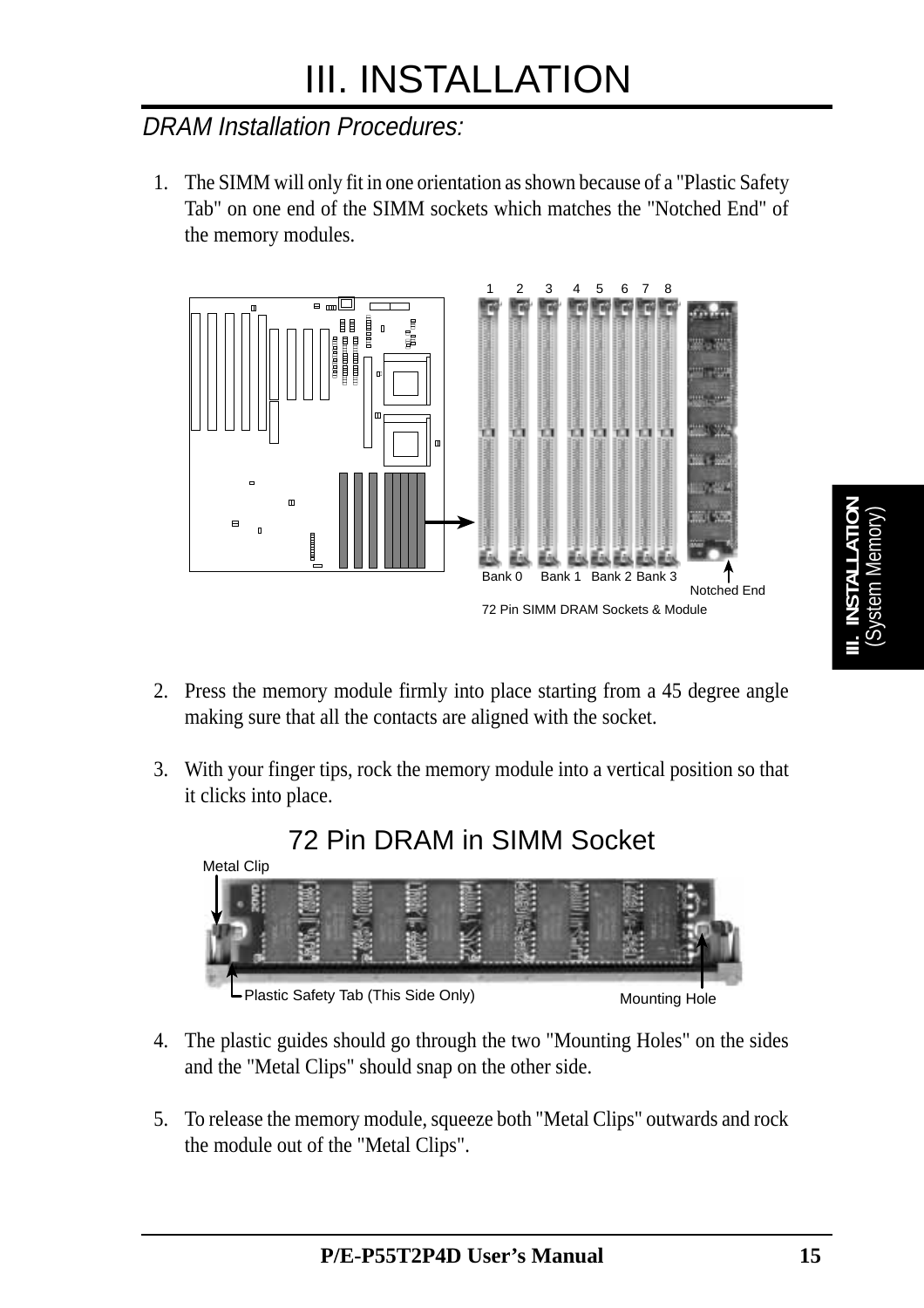#### DRAM Installation Procedures:

1. The SIMM will only fit in one orientation as shown because of a "Plastic Safety Tab" on one end of the SIMM sockets which matches the "Notched End" of the memory modules.



- 
- 2. Press the memory module firmly into place starting from a 45 degree angle making sure that all the contacts are aligned with the socket.
- 3. With your finger tips, rock the memory module into a vertical position so that it clicks into place.



- 4. The plastic guides should go through the two "Mounting Holes" on the sides and the "Metal Clips" should snap on the other side.
- 5. To release the memory module, squeeze both "Metal Clips" outwards and rock the module out of the "Metal Clips".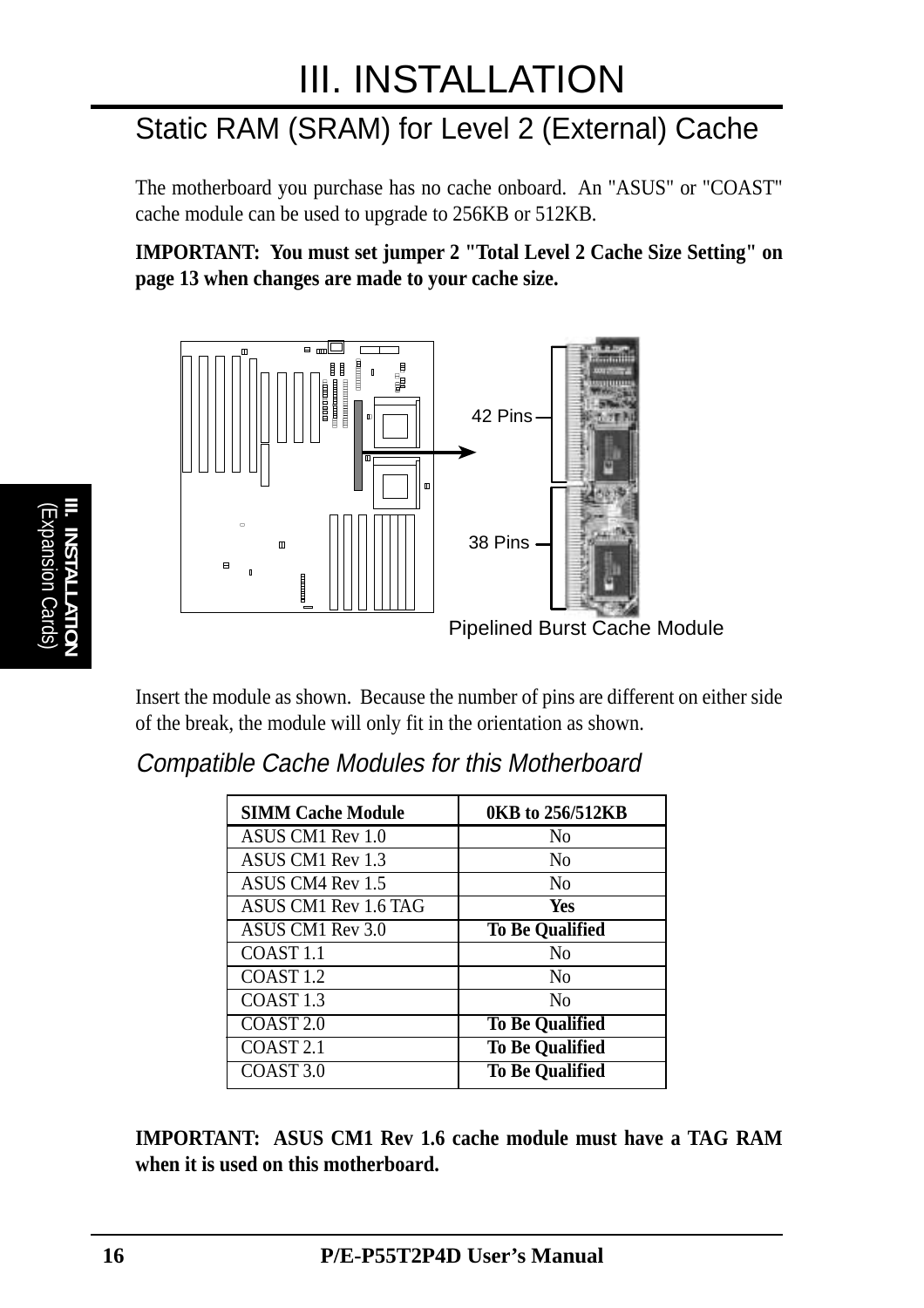### Static RAM (SRAM) for Level 2 (External) Cache

The motherboard you purchase has no cache onboard. An "ASUS" or "COAST" cache module can be used to upgrade to 256KB or 512KB.

**IMPORTANT: You must set jumper 2 "Total Level 2 Cache Size Setting" on page 13 when changes are made to your cache size.**



Insert the module as shown. Because the number of pins are different on either side of the break, the module will only fit in the orientation as shown.

| Compatible Cache Modules for this Motherboard |  |  |  |
|-----------------------------------------------|--|--|--|
|-----------------------------------------------|--|--|--|

| <b>SIMM Cache Module</b>    | 0KB to 256/512KB       |
|-----------------------------|------------------------|
| ASUS CM1 Rev 1.0            | N <sub>0</sub>         |
| ASUS CM1 Rev 1.3            | N <sub>0</sub>         |
| ASUS CM4 Rev 1.5            | N <sub>0</sub>         |
| <b>ASUS CM1 Rev 1.6 TAG</b> | Yes                    |
| ASUS CM1 Rev 3.0            | <b>To Be Qualified</b> |
| COAST <sub>1.1</sub>        | N <sub>0</sub>         |
| COAST <sub>1.2</sub>        | No                     |
| COAST <sub>1.3</sub>        | No                     |
| COAST <sub>2.0</sub>        | <b>To Be Qualified</b> |
| COAST <sub>2.1</sub>        | <b>To Be Qualified</b> |
| COAST <sub>3.0</sub>        | <b>To Be Qualified</b> |

**IMPORTANT: ASUS CM1 Rev 1.6 cache module must have a TAG RAM when it is used on this motherboard.**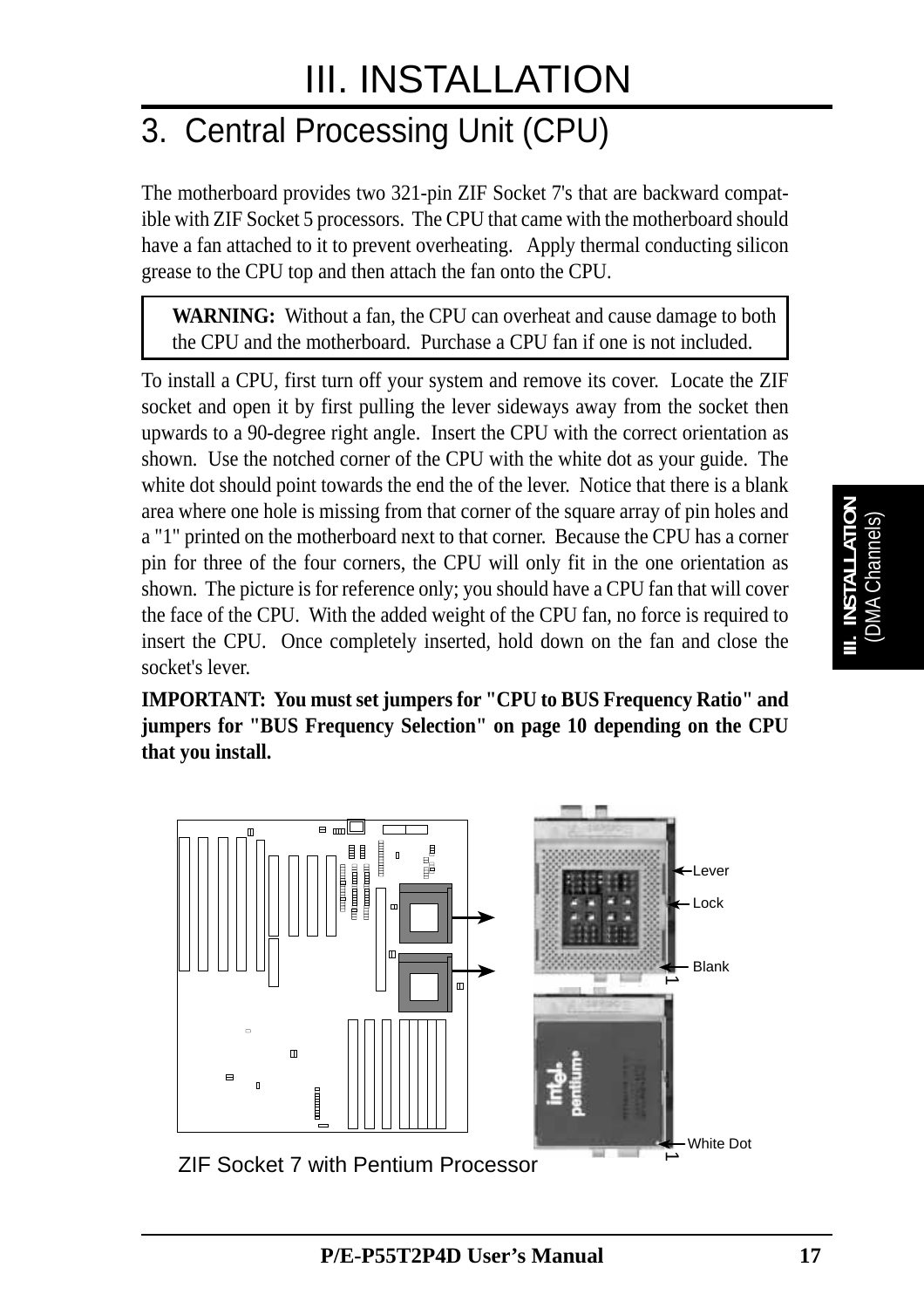### 3. Central Processing Unit (CPU)

The motherboard provides two 321-pin ZIF Socket 7's that are backward compatible with ZIF Socket 5 processors. The CPU that came with the motherboard should have a fan attached to it to prevent overheating. Apply thermal conducting silicon grease to the CPU top and then attach the fan onto the CPU.

**WARNING:** Without a fan, the CPU can overheat and cause damage to both the CPU and the motherboard. Purchase a CPU fan if one is not included.

To install a CPU, first turn off your system and remove its cover. Locate the ZIF socket and open it by first pulling the lever sideways away from the socket then upwards to a 90-degree right angle. Insert the CPU with the correct orientation as shown. Use the notched corner of the CPU with the white dot as your guide. The white dot should point towards the end the of the lever. Notice that there is a blank area where one hole is missing from that corner of the square array of pin holes and a "1" printed on the motherboard next to that corner. Because the CPU has a corner pin for three of the four corners, the CPU will only fit in the one orientation as shown. The picture is for reference only; you should have a CPU fan that will cover the face of the CPU. With the added weight of the CPU fan, no force is required to insert the CPU. Once completely inserted, hold down on the fan and close the socket's lever.

**IMPORTANT: You must set jumpers for "CPU to BUS Frequency Ratio" and jumpers for "BUS Frequency Selection" on page 10 depending on the CPU that you install.**

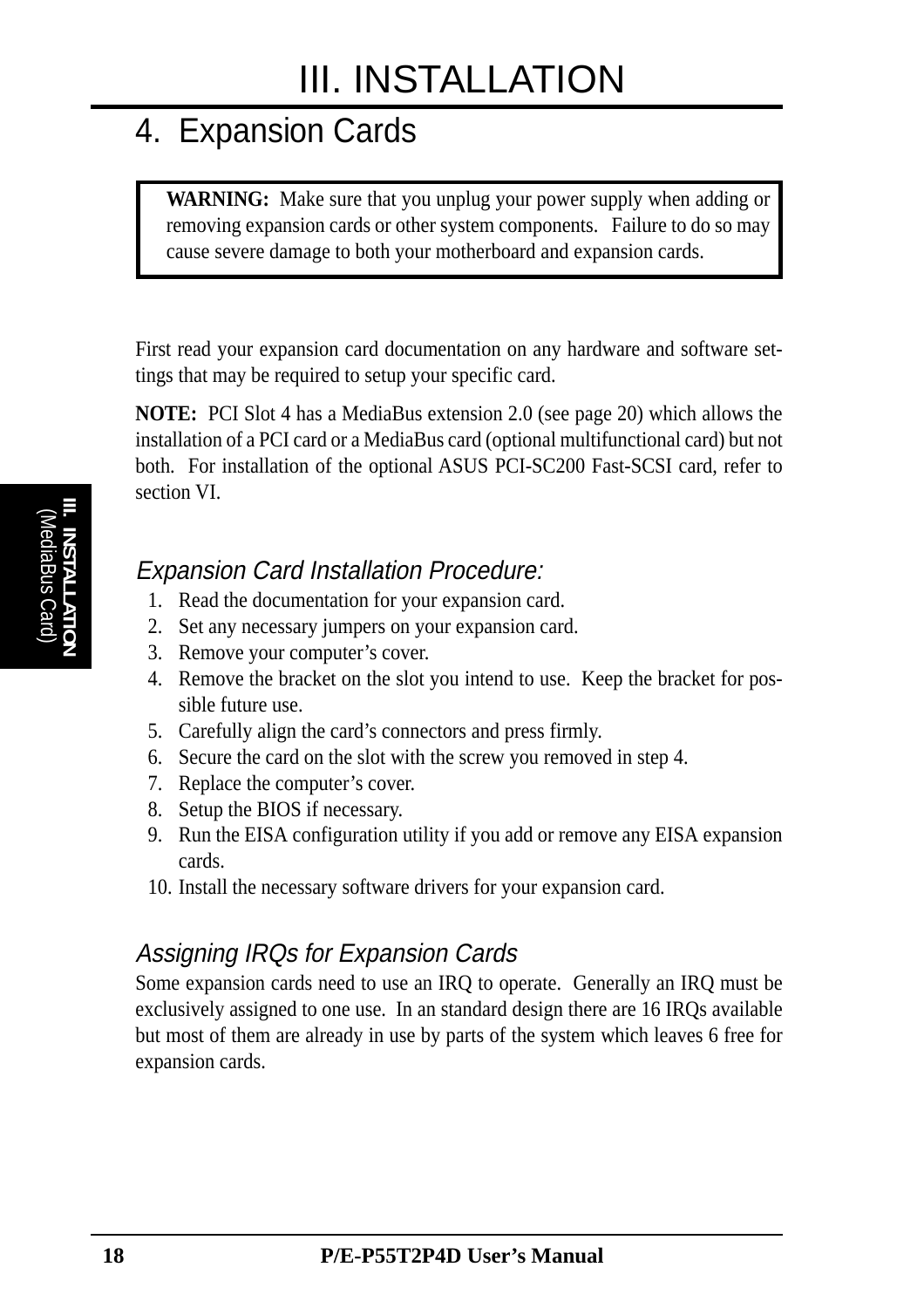### 4. Expansion Cards

WARNING: Make sure that you unplug your power supply when adding or removing expansion cards or other system components. Failure to do so may cause severe damage to both your motherboard and expansion cards.

First read your expansion card documentation on any hardware and software settings that may be required to setup your specific card.

**NOTE:** PCI Slot 4 has a MediaBus extension 2.0 (see page 20) which allows the installation of a PCI card or a MediaBus card (optional multifunctional card) but not both. For installation of the optional ASUS PCI-SC200 Fast-SCSI card, refer to section VI.

### Expansion Card Installation Procedure:

- 1. Read the documentation for your expansion card.
- 2. Set any necessary jumpers on your expansion card.
- 3. Remove your computer's cover.
- 4. Remove the bracket on the slot you intend to use. Keep the bracket for possible future use.
- 5. Carefully align the card's connectors and press firmly.
- 6. Secure the card on the slot with the screw you removed in step 4.
- 7. Replace the computer's cover.
- 8. Setup the BIOS if necessary.
- 9. Run the EISA configuration utility if you add or remove any EISA expansion cards.
- 10. Install the necessary software drivers for your expansion card.

### Assigning IRQs for Expansion Cards

Some expansion cards need to use an IRQ to operate. Generally an IRQ must be exclusively assigned to one use. In an standard design there are 16 IRQs available but most of them are already in use by parts of the system which leaves 6 free for expansion cards.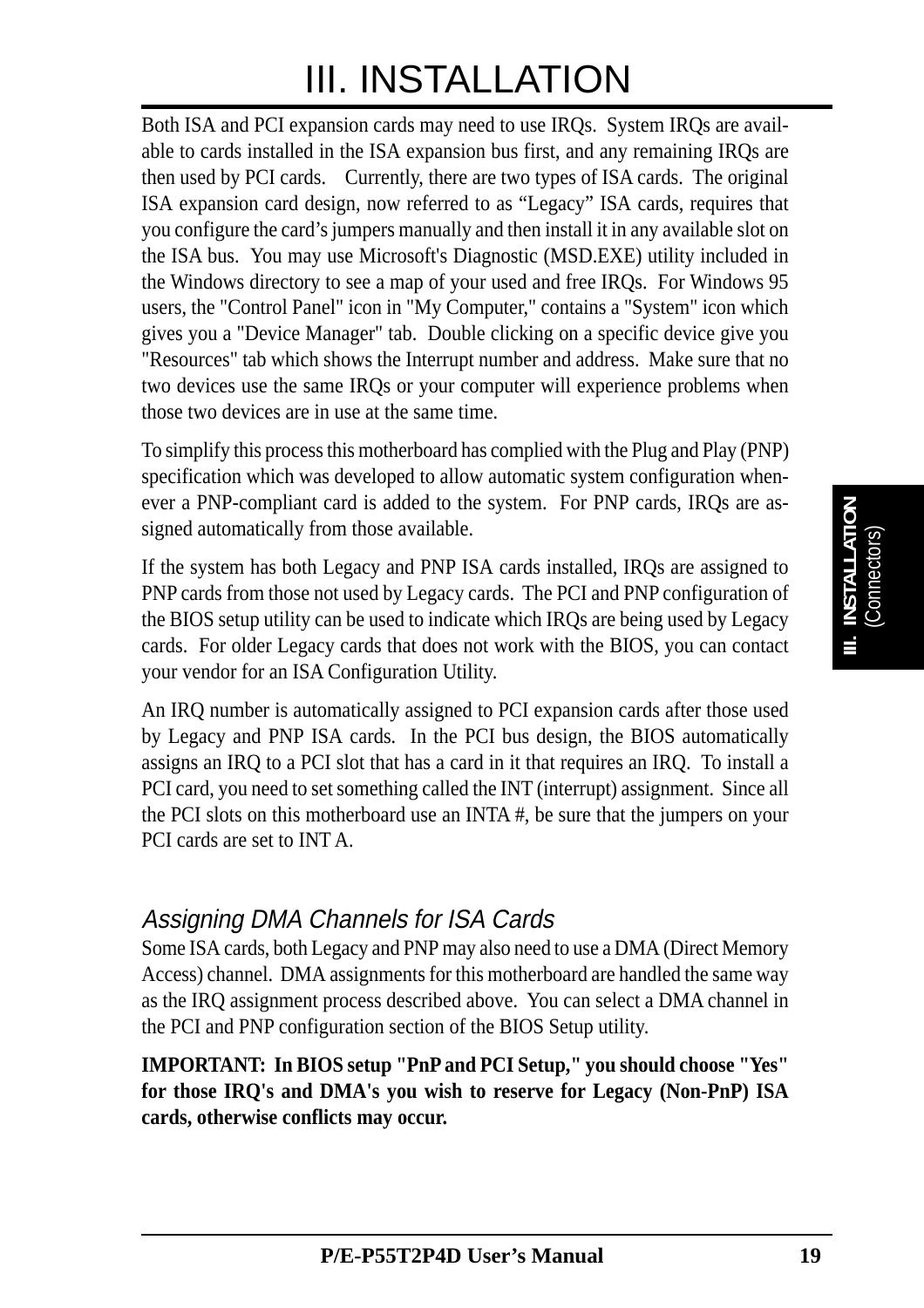Both ISA and PCI expansion cards may need to use IRQs. System IRQs are available to cards installed in the ISA expansion bus first, and any remaining IRQs are then used by PCI cards. Currently, there are two types of ISA cards. The original ISA expansion card design, now referred to as "Legacy" ISA cards, requires that you configure the card's jumpers manually and then install it in any available slot on the ISA bus. You may use Microsoft's Diagnostic (MSD.EXE) utility included in the Windows directory to see a map of your used and free IRQs. For Windows 95 users, the "Control Panel" icon in "My Computer," contains a "System" icon which gives you a "Device Manager" tab. Double clicking on a specific device give you "Resources" tab which shows the Interrupt number and address. Make sure that no two devices use the same IRQs or your computer will experience problems when those two devices are in use at the same time.

To simplify this process this motherboard has complied with the Plug and Play (PNP) specification which was developed to allow automatic system configuration whenever a PNP-compliant card is added to the system. For PNP cards, IRQs are assigned automatically from those available.

If the system has both Legacy and PNP ISA cards installed, IRQs are assigned to PNP cards from those not used by Legacy cards. The PCI and PNP configuration of the BIOS setup utility can be used to indicate which IRQs are being used by Legacy cards. For older Legacy cards that does not work with the BIOS, you can contact your vendor for an ISA Configuration Utility.

An IRQ number is automatically assigned to PCI expansion cards after those used by Legacy and PNP ISA cards. In the PCI bus design, the BIOS automatically assigns an IRQ to a PCI slot that has a card in it that requires an IRQ. To install a PCI card, you need to set something called the INT (interrupt) assignment. Since all the PCI slots on this motherboard use an INTA #, be sure that the jumpers on your PCI cards are set to INT A.

#### Assigning DMA Channels for ISA Cards

Some ISA cards, both Legacy and PNP may also need to use a DMA (Direct Memory Access) channel. DMA assignments for this motherboard are handled the same way as the IRQ assignment process described above. You can select a DMA channel in the PCI and PNP configuration section of the BIOS Setup utility.

**IMPORTANT: In BIOS setup "PnP and PCI Setup," you should choose "Yes" for those IRQ's and DMA's you wish to reserve for Legacy (Non-PnP) ISA cards, otherwise conflicts may occur.**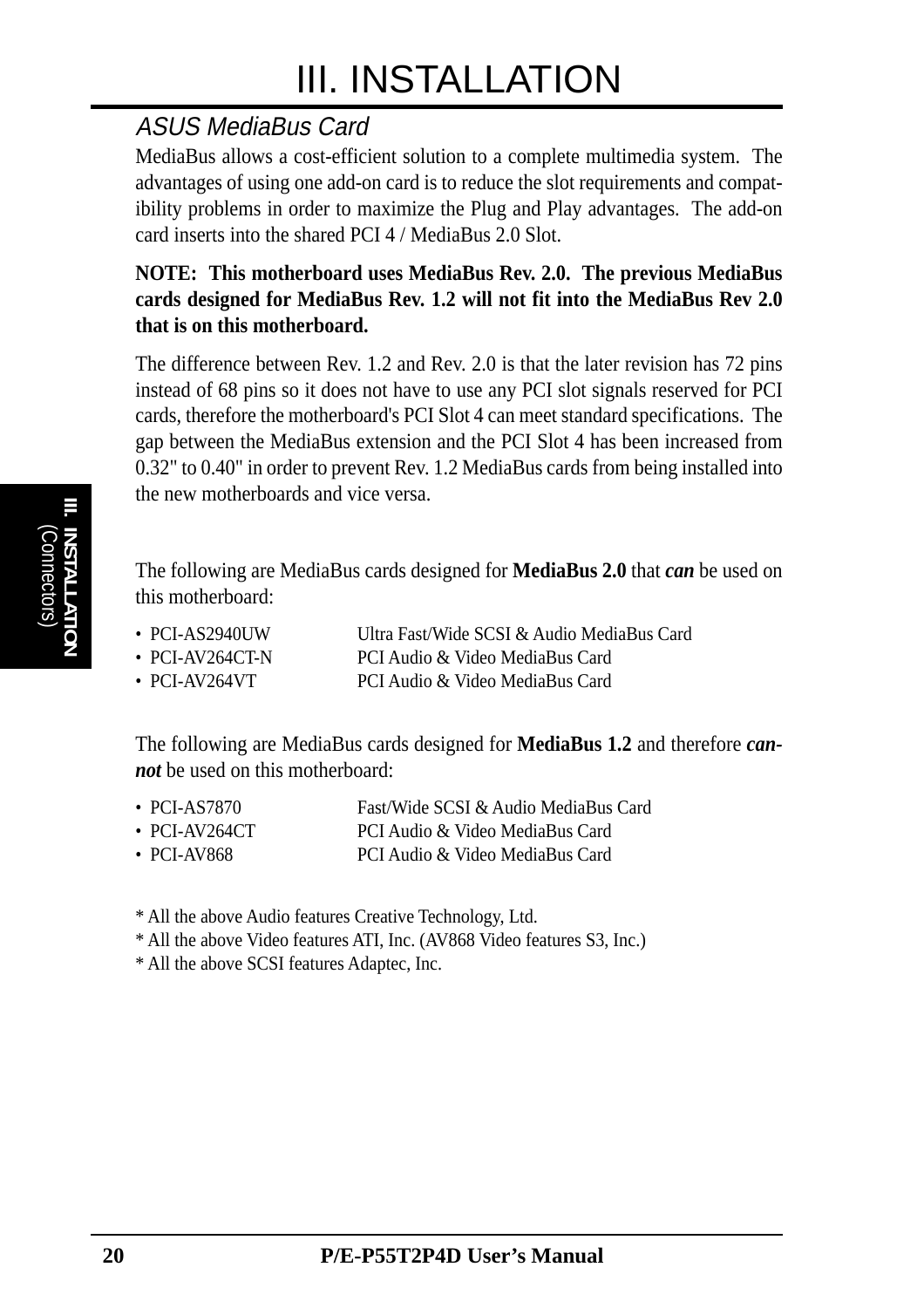### ASUS MediaBus Card

MediaBus allows a cost-efficient solution to a complete multimedia system. The advantages of using one add-on card is to reduce the slot requirements and compatibility problems in order to maximize the Plug and Play advantages. The add-on card inserts into the shared PCI 4 / MediaBus 2.0 Slot.

#### **NOTE: This motherboard uses MediaBus Rev. 2.0. The previous MediaBus cards designed for MediaBus Rev. 1.2 will not fit into the MediaBus Rev 2.0 that is on this motherboard.**

The difference between Rev. 1.2 and Rev. 2.0 is that the later revision has 72 pins instead of 68 pins so it does not have to use any PCI slot signals reserved for PCI cards, therefore the motherboard's PCI Slot 4 can meet standard specifications. The gap between the MediaBus extension and the PCI Slot 4 has been increased from 0.32" to 0.40" in order to prevent Rev. 1.2 MediaBus cards from being installed into the new motherboards and vice versa.

The following are MediaBus cards designed for **MediaBus 2.0** that *can* be used on this motherboard:

- PCI-AS2940UW Ultra Fast/Wide SCSI & Audio MediaBus Card
- PCI-AV264CT-N PCI Audio & Video MediaBus Card
- PCI-AV264VT PCI Audio & Video MediaBus Card

The following are MediaBus cards designed for **MediaBus 1.2** and therefore *cannot* be used on this motherboard:

- PCI-AS7870 Fast/Wide SCSI & Audio MediaBus Card • PCI-AV264CT PCI Audio & Video MediaBus Card
- PCI-AV868 PCI Audio & Video MediaBus Card
- \* All the above Audio features Creative Technology, Ltd.
- \* All the above Video features ATI, Inc. (AV868 Video features S3, Inc.)
- \* All the above SCSI features Adaptec, Inc.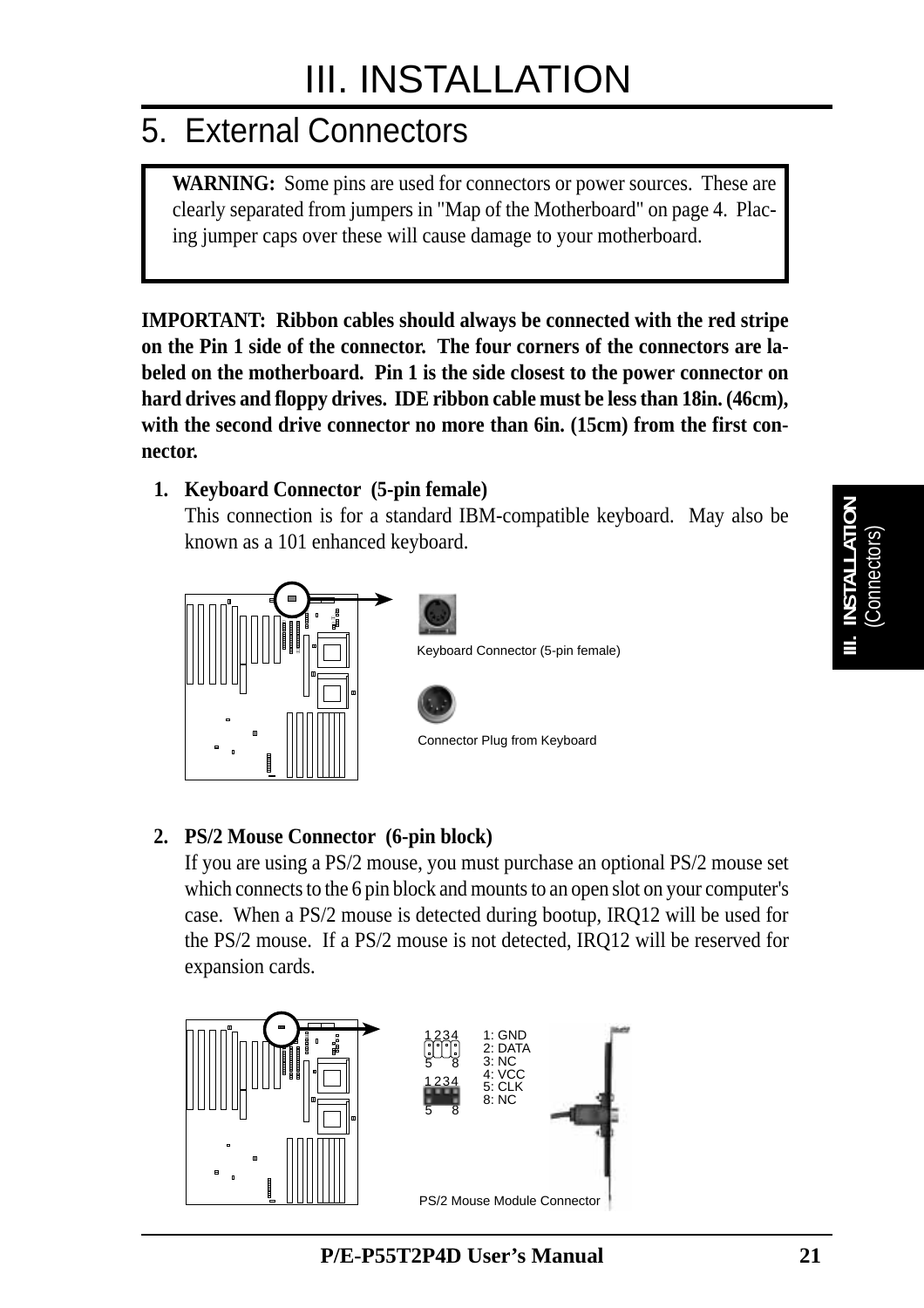### 5. External Connectors

**WARNING:** Some pins are used for connectors or power sources. These are clearly separated from jumpers in "Map of the Motherboard" on page 4. Placing jumper caps over these will cause damage to your motherboard.

**IMPORTANT: Ribbon cables should always be connected with the red stripe on the Pin 1 side of the connector. The four corners of the connectors are labeled on the motherboard. Pin 1 is the side closest to the power connector on hard drives and floppy drives. IDE ribbon cable must be less than 18in. (46cm),** with the second drive connector no more than 6in. (15cm) from the first con**nector.**

**1. Keyboard Connector (5-pin female)**

This connection is for a standard IBM-compatible keyboard. May also be known as a 101 enhanced keyboard.





Keyboard Connector (5-pin female)

Connector Plug from Keyboard

#### **2. PS/2 Mouse Connector (6-pin block)**

If you are using a PS/2 mouse, you must purchase an optional PS/2 mouse set which connects to the 6 pin block and mounts to an open slot on your computer's case. When a PS/2 mouse is detected during bootup, IRQ12 will be used for the PS/2 mouse. If a PS/2 mouse is not detected, IRQ12 will be reserved for expansion cards.

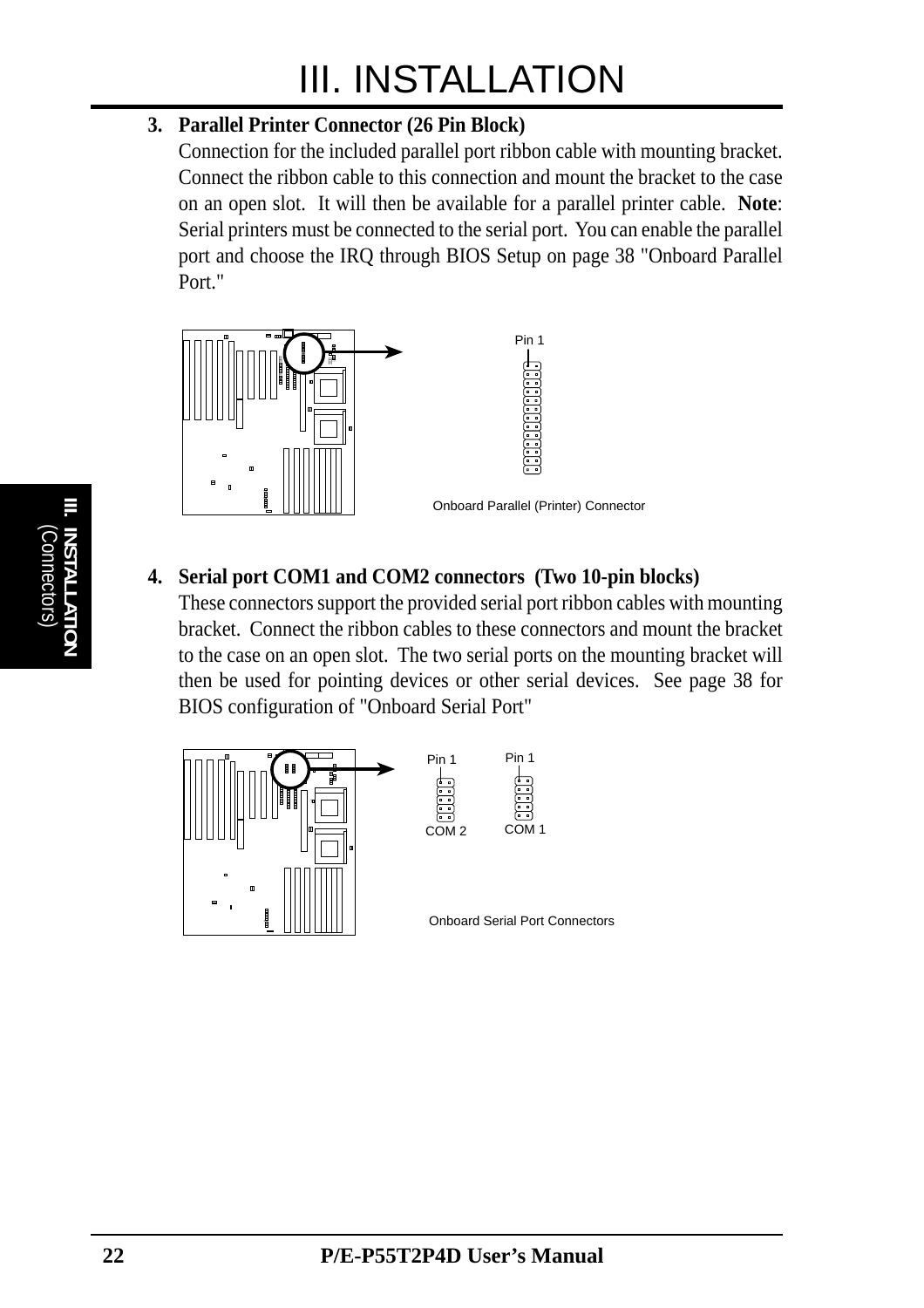#### **3. Parallel Printer Connector (26 Pin Block)**

Connection for the included parallel port ribbon cable with mounting bracket. Connect the ribbon cable to this connection and mount the bracket to the case on an open slot. It will then be available for a parallel printer cable. **Note**: Serial printers must be connected to the serial port. You can enable the parallel port and choose the IRQ through BIOS Setup on page 38 "Onboard Parallel Port."



#### **4. Serial port COM1 and COM2 connectors (Two 10-pin blocks)**

These connectors support the provided serial port ribbon cables with mounting bracket. Connect the ribbon cables to these connectors and mount the bracket to the case on an open slot. The two serial ports on the mounting bracket will then be used for pointing devices or other serial devices. See page 38 for BIOS configuration of "Onboard Serial Port"

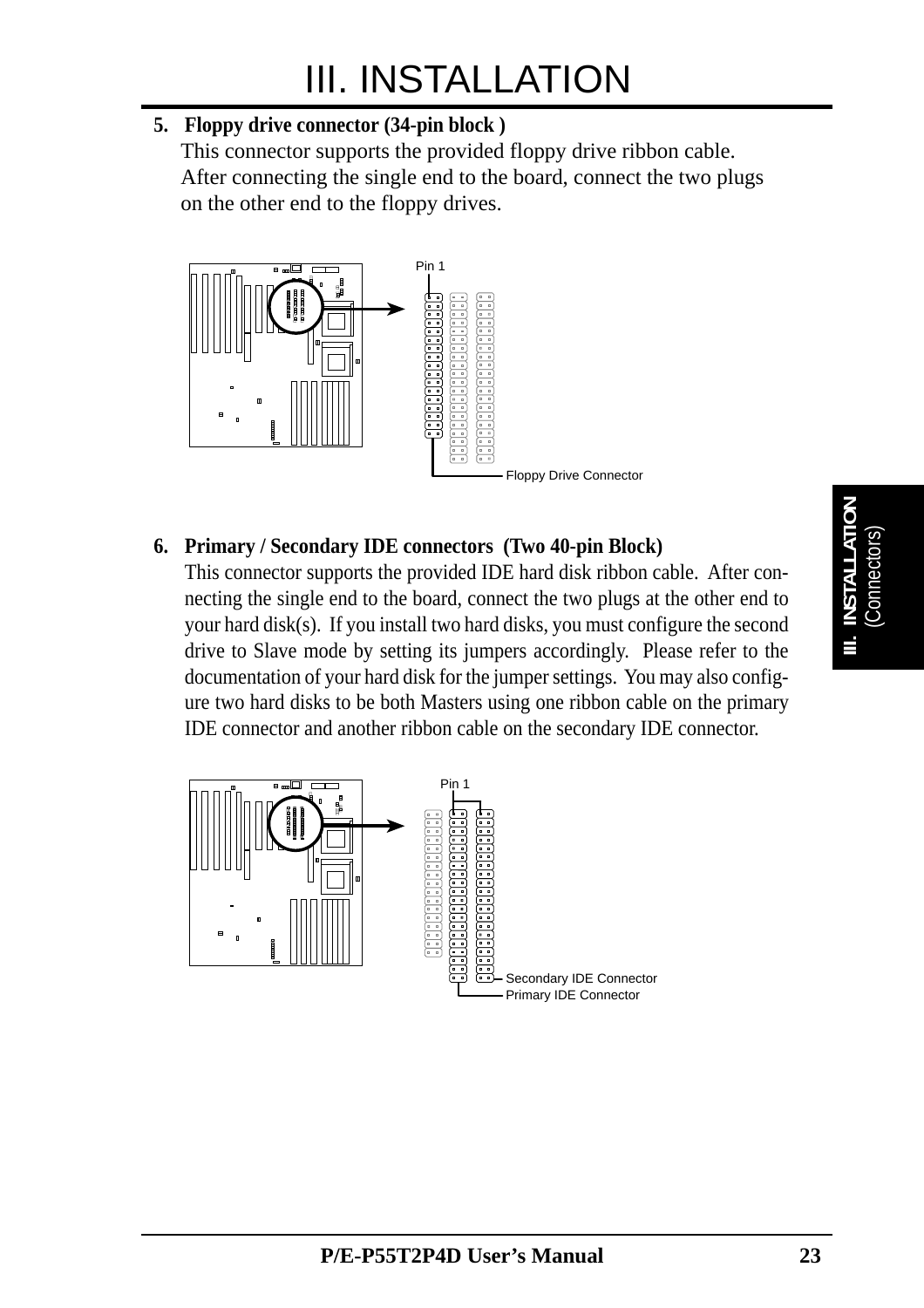#### **5. Floppy drive connector (34-pin block )**

This connector supports the provided floppy drive ribbon cable. After connecting the single end to the board, connect the two plugs on the other end to the floppy drives.



#### **6. Primary / Secondary IDE connectors (Two 40-pin Block)**

This connector supports the provided IDE hard disk ribbon cable. After connecting the single end to the board, connect the two plugs at the other end to your hard disk(s). If you install two hard disks, you must configure the second drive to Slave mode by setting its jumpers accordingly. Please refer to the documentation of your hard disk for the jumper settings. You may also configure two hard disks to be both Masters using one ribbon cable on the primary IDE connector and another ribbon cable on the secondary IDE connector.

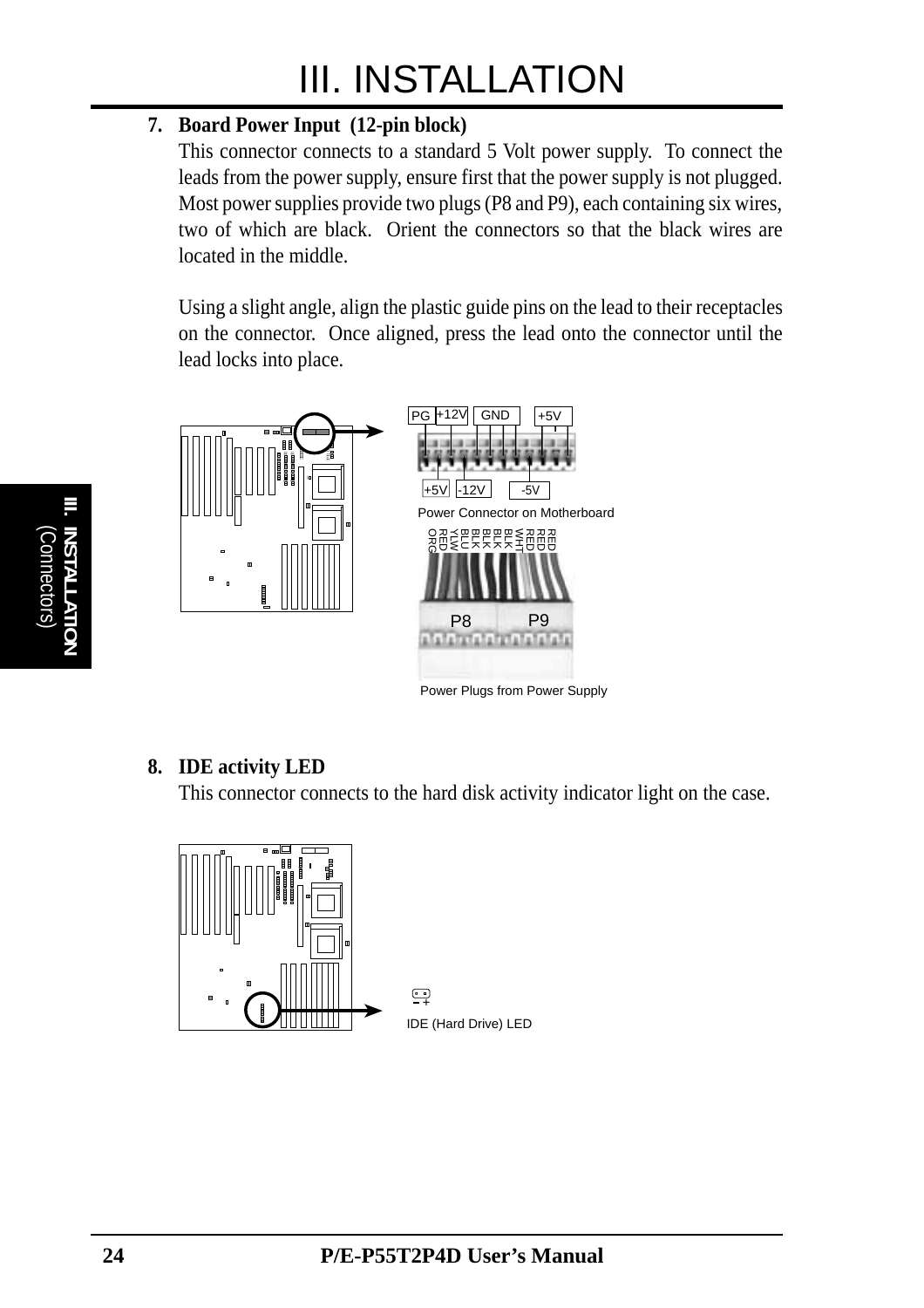#### **7. Board Power Input (12-pin block)**

This connector connects to a standard 5 Volt power supply. To connect the leads from the power supply, ensure first that the power supply is not plugged. Most power supplies provide two plugs (P8 and P9), each containing six wires, two of which are black. Orient the connectors so that the black wires are located in the middle.

Using a slight angle, align the plastic guide pins on the lead to their receptacles on the connector. Once aligned, press the lead onto the connector until the lead locks into place.



#### Power Plugs from Power Supply

#### **8. IDE activity LED**

This connector connects to the hard disk activity indicator light on the case.



(Connectors) **III. INSTALLATION**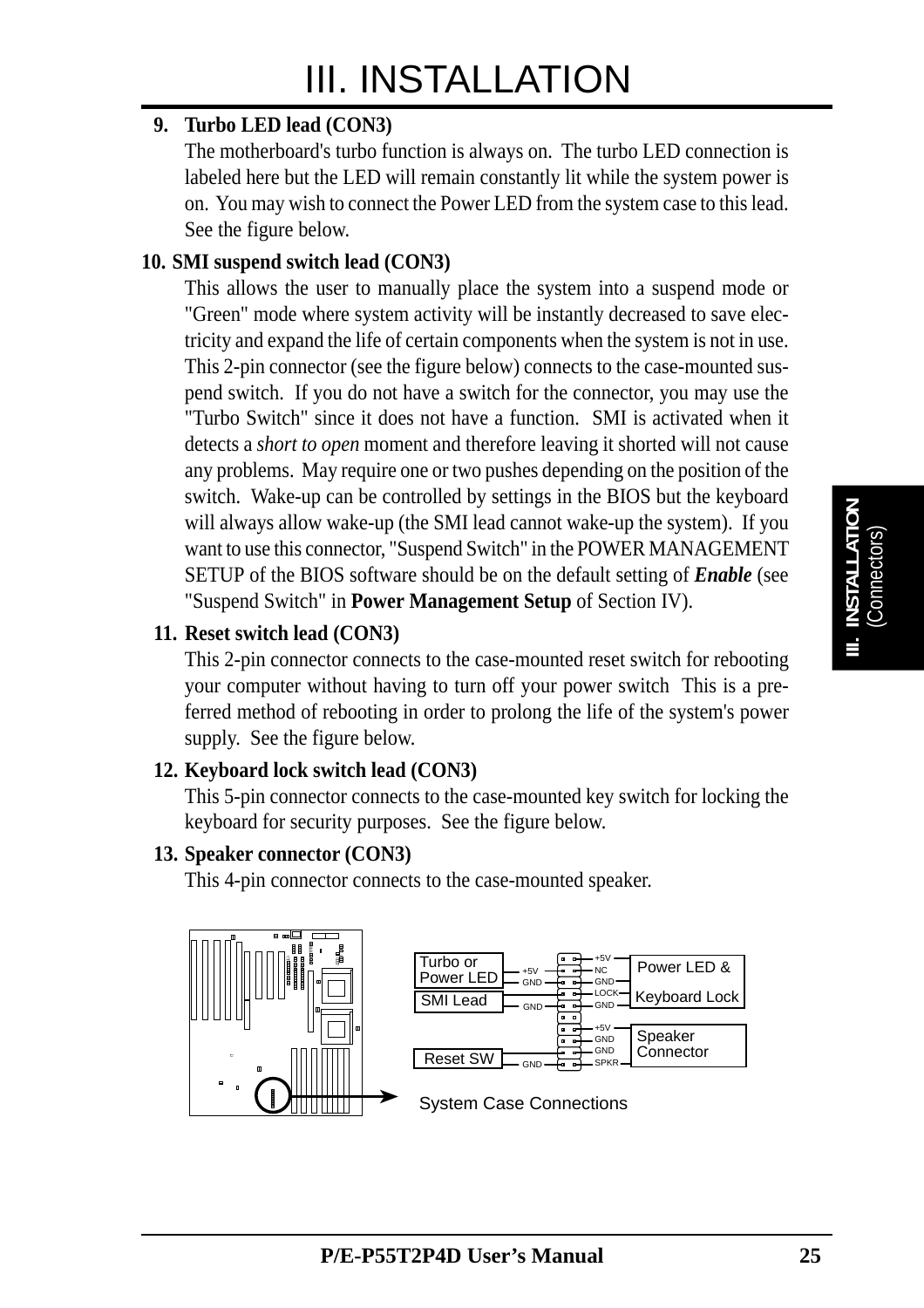#### **9. Turbo LED lead (CON3)**

The motherboard's turbo function is always on. The turbo LED connection is labeled here but the LED will remain constantly lit while the system power is on. You may wish to connect the Power LED from the system case to this lead. See the figure below.

#### **10. SMI suspend switch lead (CON3)**

This allows the user to manually place the system into a suspend mode or "Green" mode where system activity will be instantly decreased to save electricity and expand the life of certain components when the system is not in use. This 2-pin connector (see the figure below) connects to the case-mounted suspend switch. If you do not have a switch for the connector, you may use the "Turbo Switch" since it does not have a function. SMI is activated when it detects a *short to open* moment and therefore leaving it shorted will not cause any problems. May require one or two pushes depending on the position of the switch. Wake-up can be controlled by settings in the BIOS but the keyboard will always allow wake-up (the SMI lead cannot wake-up the system). If you want to use this connector, "Suspend Switch" in the POWER MANAGEMENT SETUP of the BIOS software should be on the default setting of *Enable* (see "Suspend Switch" in **Power Management Setup** of Section IV).

#### **11. Reset switch lead (CON3)**

This 2-pin connector connects to the case-mounted reset switch for rebooting your computer without having to turn off your power switch This is a preferred method of rebooting in order to prolong the life of the system's power supply. See the figure below.

#### **12. Keyboard lock switch lead (CON3)**

This 5-pin connector connects to the case-mounted key switch for locking the keyboard for security purposes. See the figure below.

#### **13. Speaker connector (CON3)**

This 4-pin connector connects to the case-mounted speaker.

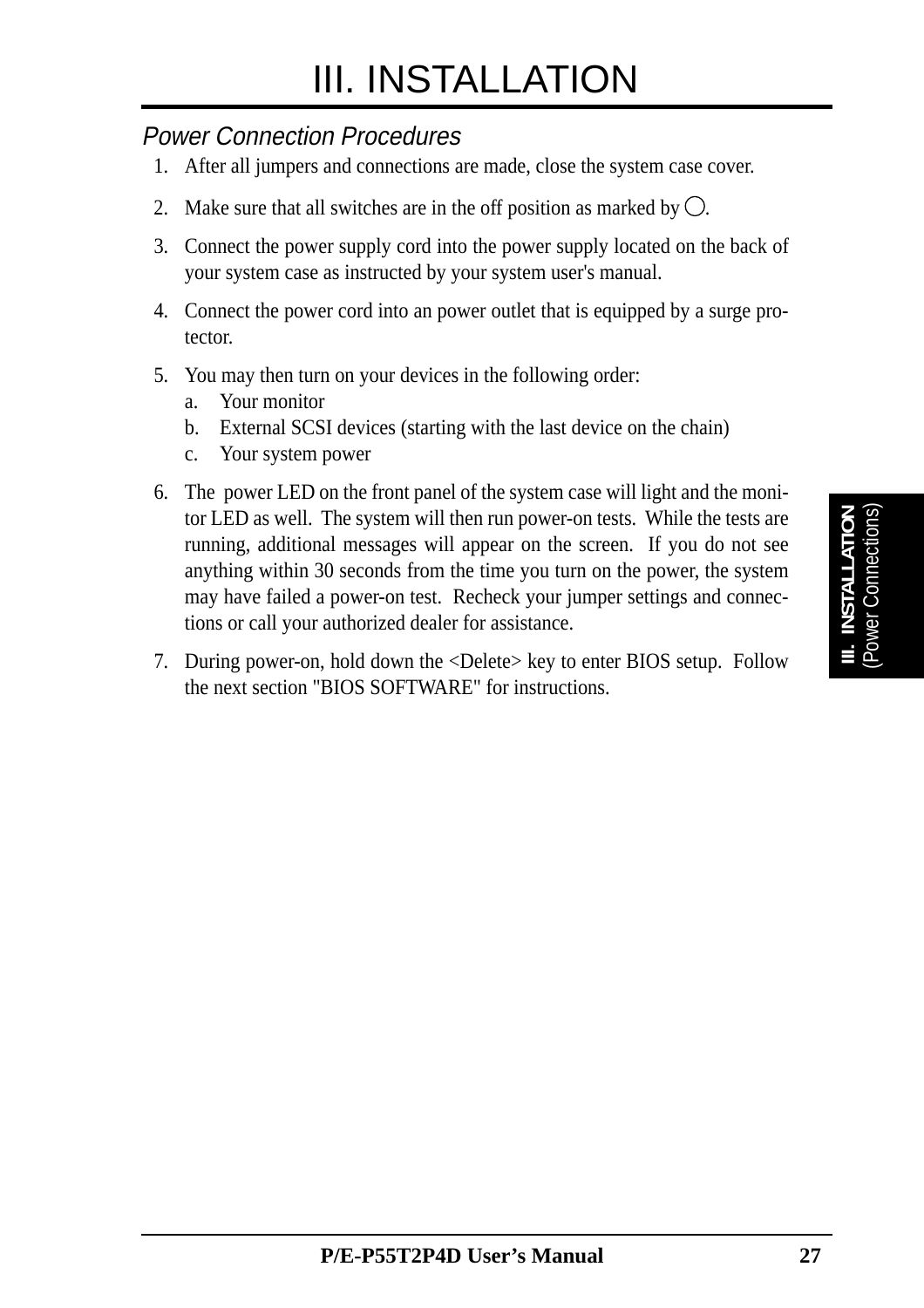#### Power Connection Procedures

- 1. After all jumpers and connections are made, close the system case cover.
- 2. Make sure that all switches are in the off position as marked by  $\bigcirc$ .
- 3. Connect the power supply cord into the power supply located on the back of your system case as instructed by your system user's manual.
- 4. Connect the power cord into an power outlet that is equipped by a surge protector.
- 5. You may then turn on your devices in the following order:
	- a. Your monitor
	- b. External SCSI devices (starting with the last device on the chain)
	- c. Your system power
- 6. The power LED on the front panel of the system case will light and the monitor LED as well. The system will then run power-on tests. While the tests are running, additional messages will appear on the screen. If you do not see anything within 30 seconds from the time you turn on the power, the system may have failed a power-on test. Recheck your jumper settings and connections or call your authorized dealer for assistance.
- 7. During power-on, hold down the <Delete> key to enter BIOS setup. Follow the next section "BIOS SOFTWARE" for instructions.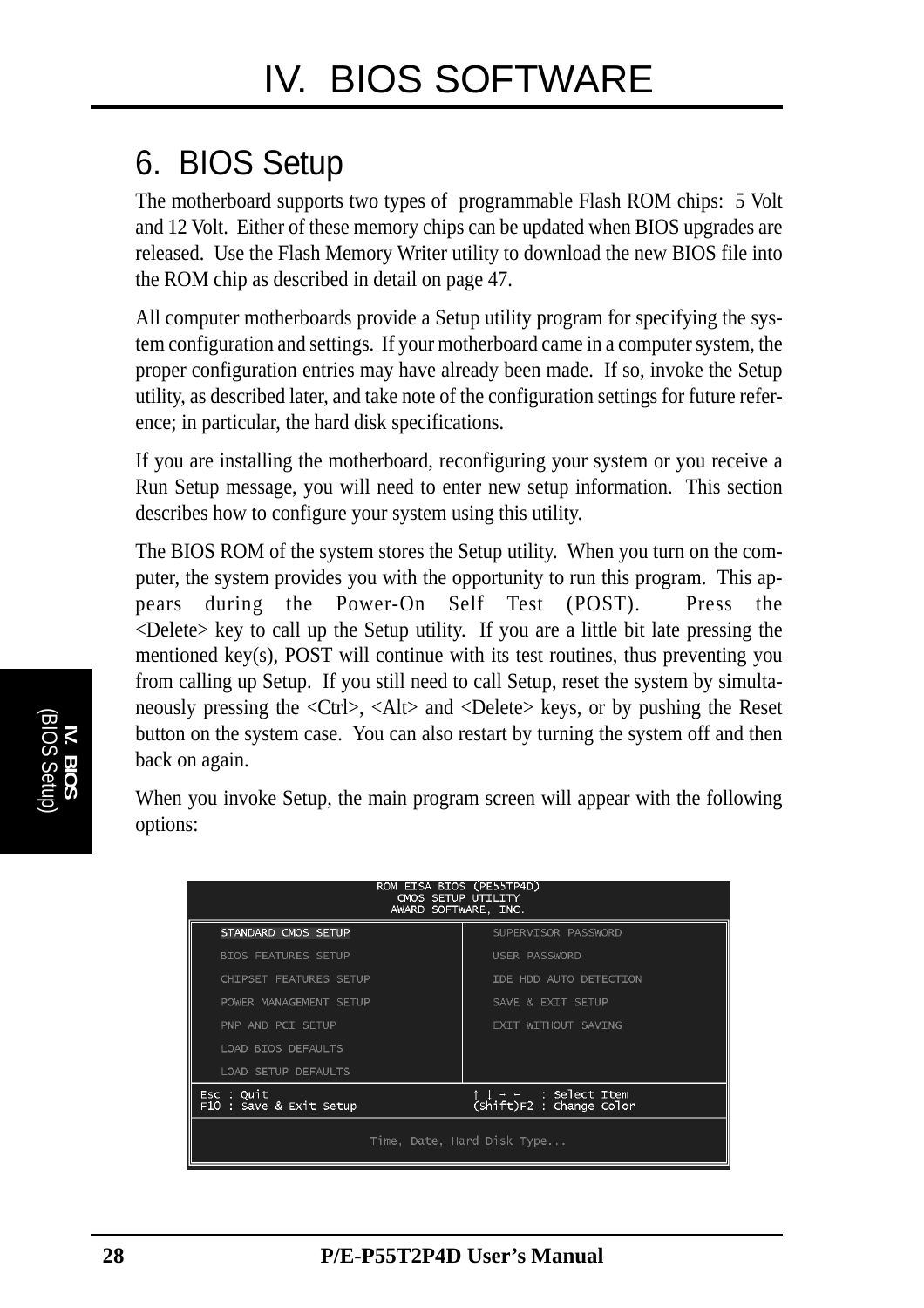### 6. BIOS Setup

The motherboard supports two types of programmable Flash ROM chips: 5 Volt and 12 Volt. Either of these memory chips can be updated when BIOS upgrades are released. Use the Flash Memory Writer utility to download the new BIOS file into the ROM chip as described in detail on page 47.

All computer motherboards provide a Setup utility program for specifying the system configuration and settings. If your motherboard came in a computer system, the proper configuration entries may have already been made. If so, invoke the Setup utility, as described later, and take note of the configuration settings for future reference; in particular, the hard disk specifications.

If you are installing the motherboard, reconfiguring your system or you receive a Run Setup message, you will need to enter new setup information. This section describes how to configure your system using this utility.

The BIOS ROM of the system stores the Setup utility. When you turn on the computer, the system provides you with the opportunity to run this program. This appears during the Power-On Self Test (POST). Press the  $\leq$ Delete $\geq$  key to call up the Setup utility. If you are a little bit late pressing the mentioned key(s), POST will continue with its test routines, thus preventing you from calling up Setup. If you still need to call Setup, reset the system by simultaneously pressing the <Ctrl>, <Alt> and <Delete> keys, or by pushing the Reset button on the system case. You can also restart by turning the system off and then back on again.

When you invoke Setup, the main program screen will appear with the following options:

| ROM EISA BIOS (PE55TP4D)<br>CMOS SETUP UTILITY<br>AWARD SOFTWARE, INC. |                                                                      |  |  |
|------------------------------------------------------------------------|----------------------------------------------------------------------|--|--|
| STANDARD CMOS SETUP                                                    | SUPERVISOR PASSWORD                                                  |  |  |
| <b>BIOS FEATURES SETUP</b>                                             | USER PASSWORD                                                        |  |  |
| CHIPSET FEATURES SETUP                                                 | IDE HDD AUTO DETECTION                                               |  |  |
| POWER MANAGEMENT SETUP                                                 | SAVE & EXIT SETUP                                                    |  |  |
| PNP AND PCI SETUP                                                      | EXIT WITHOUT SAVING                                                  |  |  |
| LOAD BIOS DEFAULTS                                                     |                                                                      |  |  |
| LOAD SETUP DEFAULTS                                                    |                                                                      |  |  |
| Esc : Quit<br>F10 : Save & Exit Setup                                  | $\rightarrow$ $\leftarrow$ : Select Item<br>(Shift)F2 : Change Color |  |  |
| Time, Date, Hard Disk Type                                             |                                                                      |  |  |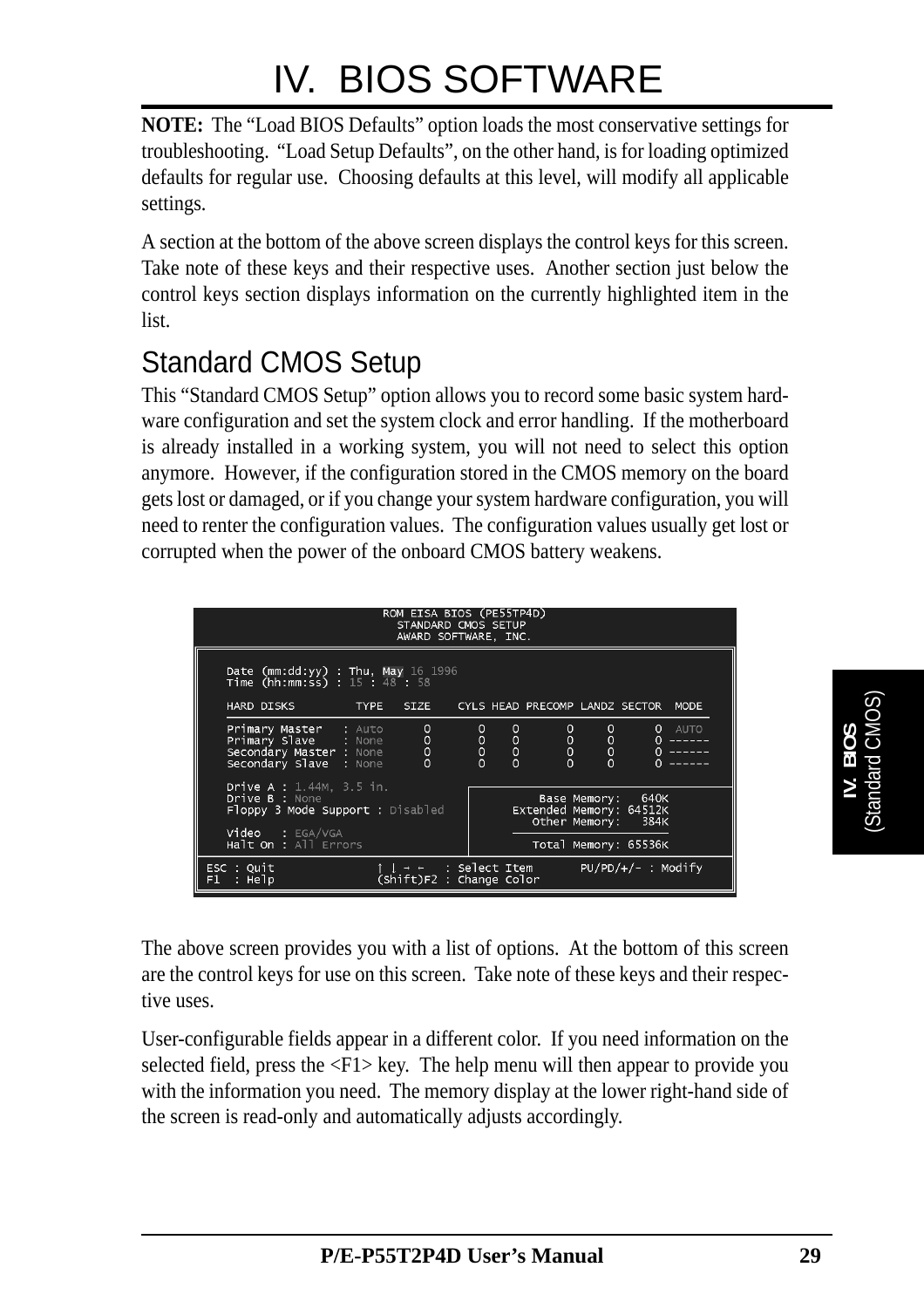## IV. BIOS SOFTWARE

**NOTE:** The "Load BIOS Defaults" option loads the most conservative settings for troubleshooting. "Load Setup Defaults", on the other hand, is for loading optimized defaults for regular use. Choosing defaults at this level, will modify all applicable settings.

A section at the bottom of the above screen displays the control keys for this screen. Take note of these keys and their respective uses. Another section just below the control keys section displays information on the currently highlighted item in the list.

### Standard CMOS Setup

This "Standard CMOS Setup" option allows you to record some basic system hardware configuration and set the system clock and error handling. If the motherboard is already installed in a working system, you will not need to select this option anymore. However, if the configuration stored in the CMOS memory on the board gets lost or damaged, or if you change your system hardware configuration, you will need to renter the configuration values. The configuration values usually get lost or corrupted when the power of the onboard CMOS battery weakens.

| ROM EISA BIOS (PE55TP4D)<br>STANDARD CMOS SETUP<br>AWARD SOFTWARE, INC.                                                    |                                                                                                                                                                |  |  |
|----------------------------------------------------------------------------------------------------------------------------|----------------------------------------------------------------------------------------------------------------------------------------------------------------|--|--|
| Date (mm:dd:yy) : Thu, May $16$ 1996<br><b>Time (hh:mm:ss) :</b> $15 : 48 : 58$<br>HARD DISKS<br>TYPE SIZE                 | CYLS HEAD PRECOMP LANDZ SECTOR<br><b>MODE</b>                                                                                                                  |  |  |
| Primary Master : Auto 0<br>Primary Slave : None 0<br>Secondary Master : None 0<br>$\Omega$<br>Secondary Slave : None       | $\begin{array}{c} 0 \\ 0 \\ 0 \\ 0 \end{array}$<br>$\begin{array}{ccc} 0 & 0 \\ 0 & 0 \\ 0 & 0 \\ 0 & 0 \end{array}$<br>$0$ auto<br>$\overline{O}$<br>$\Omega$ |  |  |
| <b>Drive A :</b> $1.44M$ , $3.5$ in.<br>Drive B : None<br>Floppy 3 Mode Support : Disabled<br>Video : EGA/VGA              | Base Memory: 640K<br>Extended Memory: 64512K<br>Other Memory: 384K                                                                                             |  |  |
| Halt On : All Errors                                                                                                       | Total Memory: 65536K                                                                                                                                           |  |  |
| $\uparrow \downarrow \rightarrow \leftarrow \quad :$ Select Item<br>ESC: Quit<br>(Shift)F2 : Change Color<br>: Help<br>F1. | $PU/PD/+/-$ : Modify                                                                                                                                           |  |  |

The above screen provides you with a list of options. At the bottom of this screen are the control keys for use on this screen. Take note of these keys and their respective uses.

User-configurable fields appear in a different color. If you need information on the selected field, press the <F1> key. The help menu will then appear to provide you with the information you need. The memory display at the lower right-hand side of the screen is read-only and automatically adjusts accordingly.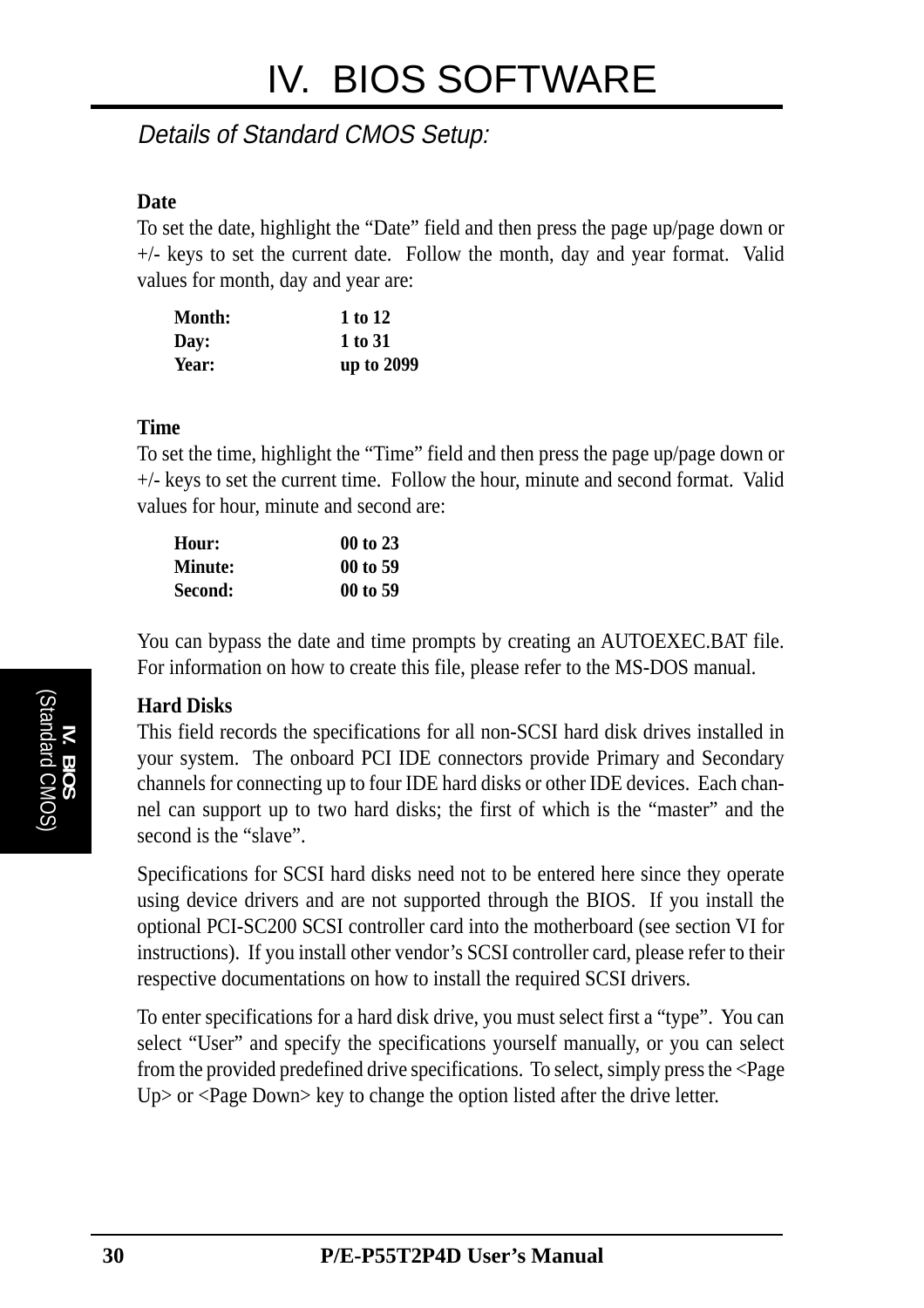#### Details of Standard CMOS Setup:

#### **Date**

To set the date, highlight the "Date" field and then press the page up/page down or +/- keys to set the current date. Follow the month, day and year format. Valid values for month, day and year are:

| <b>Month:</b> | 1 to 12    |
|---------------|------------|
| Day:          | 1 to 31    |
| Year:         | up to 2099 |

#### **Time**

To set the time, highlight the "Time" field and then press the page up/page down or +/- keys to set the current time. Follow the hour, minute and second format. Valid values for hour, minute and second are:

| Hour:          | $00$ to 23 |
|----------------|------------|
| <b>Minute:</b> | 00 to 59   |
| Second:        | 00 to 59   |

You can bypass the date and time prompts by creating an AUTOEXEC.BAT file. For information on how to create this file, please refer to the MS-DOS manual.

#### **Hard Disks**

This field records the specifications for all non-SCSI hard disk drives installed in your system. The onboard PCI IDE connectors provide Primary and Secondary channels for connecting up to four IDE hard disks or other IDE devices. Each channel can support up to two hard disks; the first of which is the "master" and the second is the "slave".

Specifications for SCSI hard disks need not to be entered here since they operate using device drivers and are not supported through the BIOS. If you install the optional PCI-SC200 SCSI controller card into the motherboard (see section VI for instructions). If you install other vendor's SCSI controller card, please refer to their respective documentations on how to install the required SCSI drivers.

To enter specifications for a hard disk drive, you must select first a "type". You can select "User" and specify the specifications yourself manually, or you can select from the provided predefined drive specifications. To select, simply press the <Page Up is or  $\langle$  Page Down  $\rangle$  key to change the option listed after the drive letter.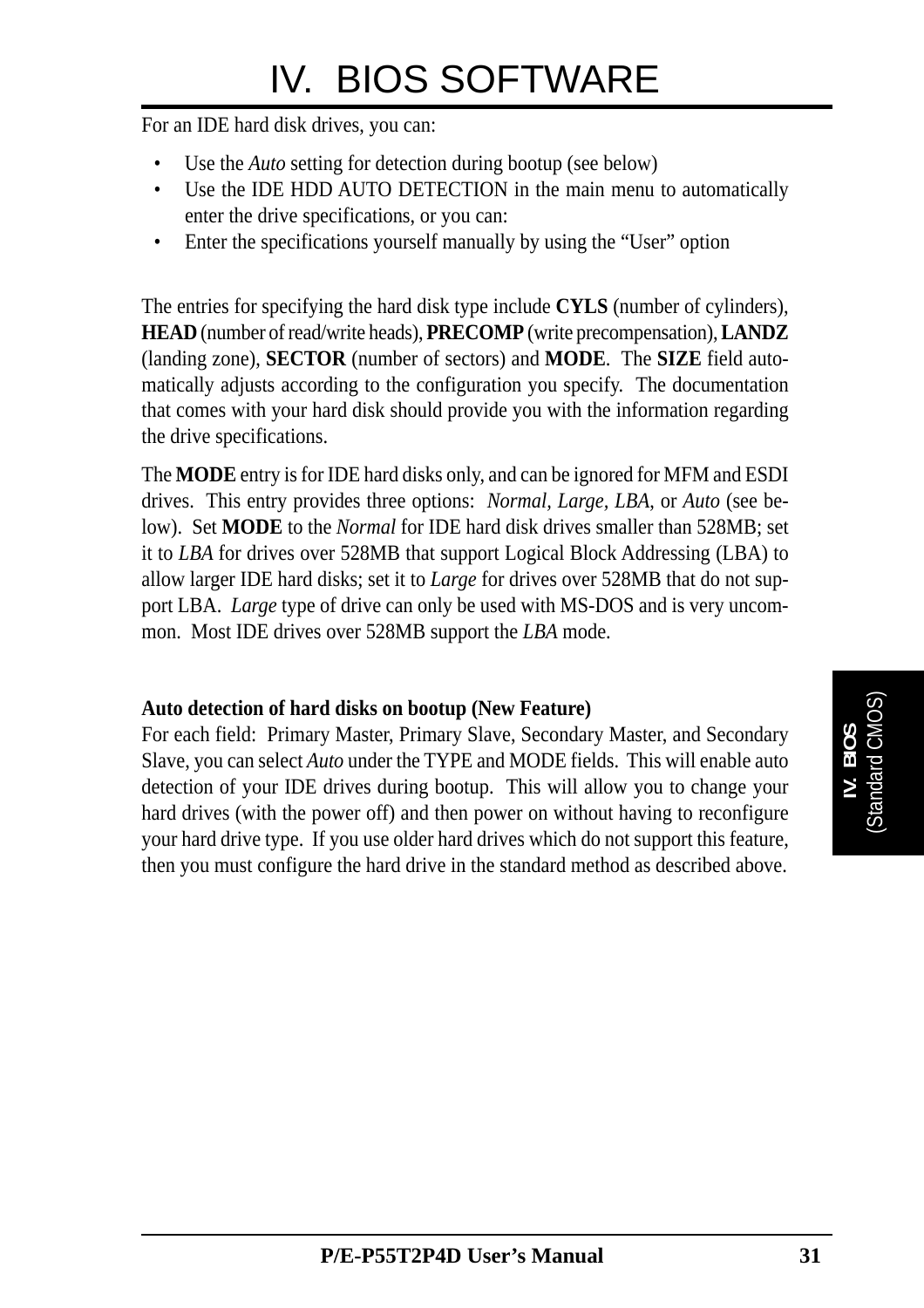## IV. BIOS SOFTWARE

For an IDE hard disk drives, you can:

- Use the *Auto* setting for detection during bootup (see below)
- Use the IDE HDD AUTO DETECTION in the main menu to automatically enter the drive specifications, or you can:
- Enter the specifications yourself manually by using the "User" option

The entries for specifying the hard disk type include **CYLS** (number of cylinders), **HEAD** (number of read/write heads), **PRECOMP** (write precompensation), **LANDZ** (landing zone), **SECTOR** (number of sectors) and **MODE**. The **SIZE** field automatically adjusts according to the configuration you specify. The documentation that comes with your hard disk should provide you with the information regarding the drive specifications.

The **MODE** entry is for IDE hard disks only, and can be ignored for MFM and ESDI drives. This entry provides three options: *Normal, Large, LBA*, or *Auto* (see below). Set **MODE** to the *Normal* for IDE hard disk drives smaller than 528MB; set it to *LBA* for drives over 528MB that support Logical Block Addressing (LBA) to allow larger IDE hard disks; set it to *Large* for drives over 528MB that do not support LBA. *Large* type of drive can only be used with MS-DOS and is very uncommon. Most IDE drives over 528MB support the *LBA* mode.

#### **Auto detection of hard disks on bootup (New Feature)**

For each field: Primary Master, Primary Slave, Secondary Master, and Secondary Slave, you can select *Auto* under the TYPE and MODE fields. This will enable auto detection of your IDE drives during bootup. This will allow you to change your hard drives (with the power off) and then power on without having to reconfigure your hard drive type. If you use older hard drives which do not support this feature, then you must configure the hard drive in the standard method as described above.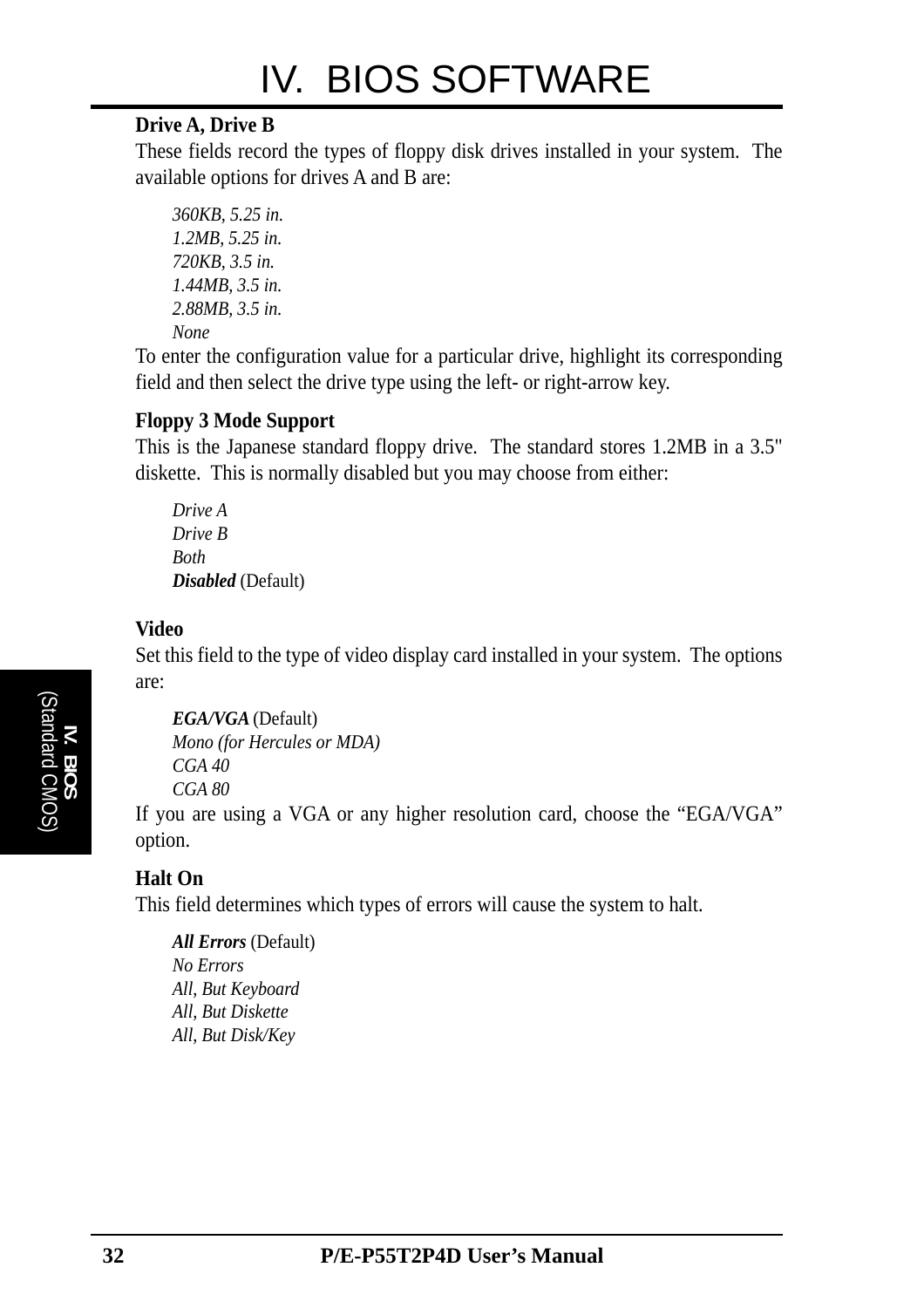## IV. BIOS SOFTWARE

#### **Drive A, Drive B**

These fields record the types of floppy disk drives installed in your system. The available options for drives A and B are:

*360KB, 5.25 in. 1.2MB, 5.25 in. 720KB, 3.5 in. 1.44MB, 3.5 in. 2.88MB, 3.5 in. None*

To enter the configuration value for a particular drive, highlight its corresponding field and then select the drive type using the left- or right-arrow key.

#### **Floppy 3 Mode Support**

This is the Japanese standard floppy drive. The standard stores 1.2MB in a 3.5" diskette. This is normally disabled but you may choose from either:

*Drive A Drive B Both Disabled* (Default)

#### **Video**

Set this field to the type of video display card installed in your system. The options are:

*EGA/VGA* (Default) *Mono (for Hercules or MDA) CGA 40 CGA 80*

If you are using a VGA or any higher resolution card, choose the "EGA/VGA" option.

#### **Halt On**

This field determines which types of errors will cause the system to halt.

*All Errors* (Default) *No Errors All, But Keyboard All, But Diskette All, But Disk/Key*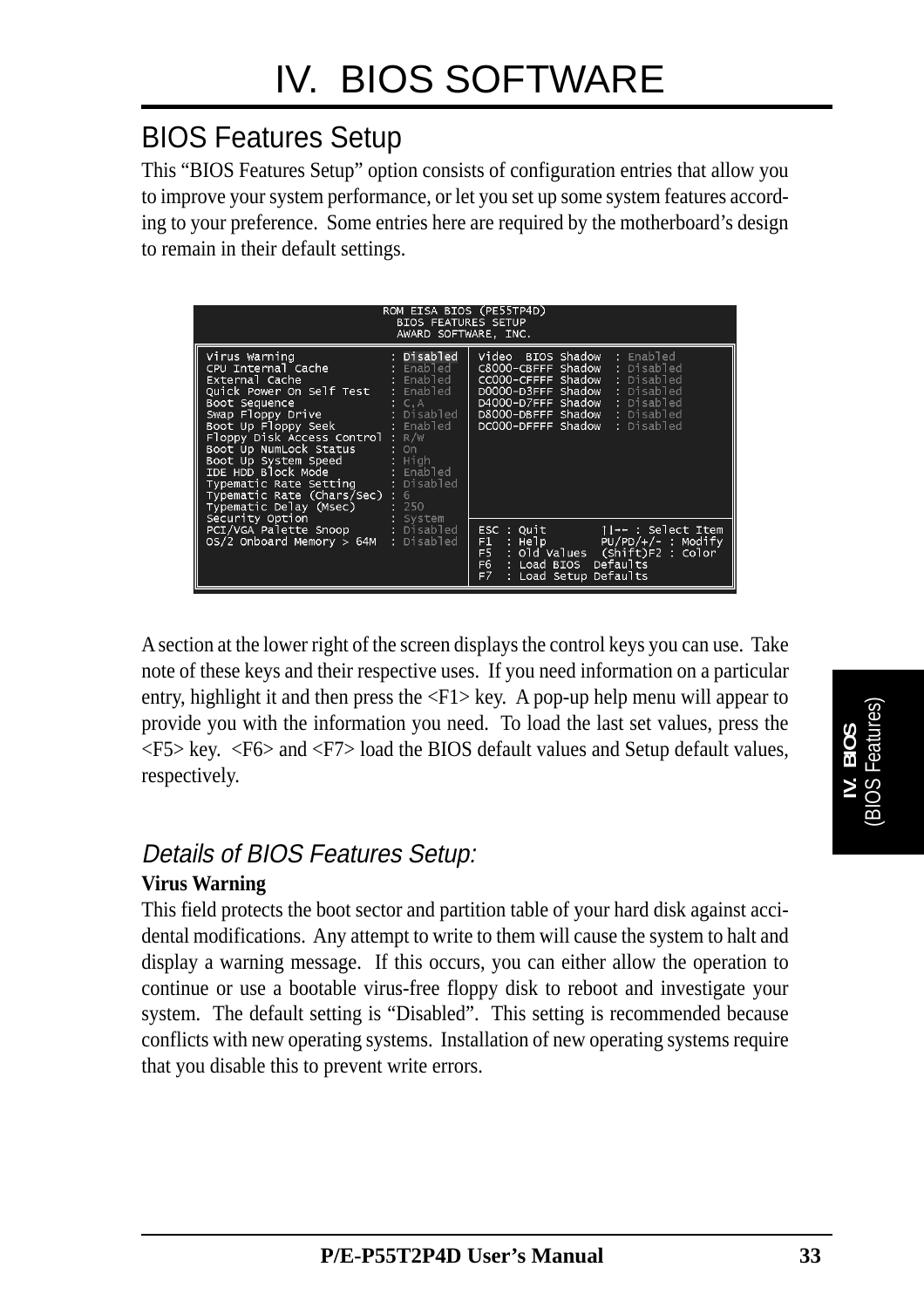### BIOS Features Setup

This "BIOS Features Setup" option consists of configuration entries that allow you to improve your system performance, or let you set up some system features according to your preference. Some entries here are required by the motherboard's design to remain in their default settings.

| ROM EISA BIOS (PE55TP4D)<br><b>BIOS FEATURES SETUP</b><br>AWARD SOFTWARE, INC.                                                                                                                                                                                                                                                                                                                                                  |                                                                                          |                                                                                                                                                                                                                                                 |  |  |
|---------------------------------------------------------------------------------------------------------------------------------------------------------------------------------------------------------------------------------------------------------------------------------------------------------------------------------------------------------------------------------------------------------------------------------|------------------------------------------------------------------------------------------|-------------------------------------------------------------------------------------------------------------------------------------------------------------------------------------------------------------------------------------------------|--|--|
| Virus Warning<br>CPU Internal Cache<br>External Cache<br>Quick Power On Self Test : Enabled<br>Boot Sequence<br>Swap Floppy Drive Communication<br>Boot Up Floppy Seek     : Enabled<br>Floppy Disk Access Control : $R/W$<br>Boot Up NumLock Status<br>Boot Up System Speed : High<br>IDE HDD Block Mode : Enabled<br><b>Typematic Rate Setting : Disabled</b><br>Typematic Rate (Chars/Sec) :<br>Typematic Delay (Msec) : 250 | : Disabled<br>s : Enabled<br>enabled<br>C, A<br>: Disabled I<br>$\blacksquare$ : On<br>6 | : Enabled<br>Video BIOS Shadow<br>C8000-CBFFF Shadow<br>: Disabled<br>: Disabled<br>CC000-CFFFF Shadow<br>DOOOO-D3FFF Shadow<br>: Disabled<br>: Disabled<br>D4000-D7FFF Shadow<br>D8000-DBFFF Shadow: Disabled<br>DCOOO-DFFFF Shadow : Disabled |  |  |
| Security Option<br>PCI/VGA Palette Snoop : Disabled<br>OS/2 Onboard Memory > 64M : Disabled                                                                                                                                                                                                                                                                                                                                     |                                                                                          | ESC : Quit<br>$1! \rightarrow \leftarrow$ : Select Item<br>$PU/PD/+/-$ : Modify<br>F1<br>: Help<br>F5 : Old Values (Shift)F2 : Color<br>Defaults<br>F <sub>6</sub><br>: Load BIOS<br>F7.<br>: Load Setup Defaults                               |  |  |

A section at the lower right of the screen displays the control keys you can use. Take note of these keys and their respective uses. If you need information on a particular entry, highlight it and then press the <F1> key. A pop-up help menu will appear to provide you with the information you need. To load the last set values, press the  $\langle$ F5> key.  $\langle$ F6> and  $\langle$ F7> load the BIOS default values and Setup default values, respectively.

### Details of BIOS Features Setup:

#### **Virus Warning**

This field protects the boot sector and partition table of your hard disk against accidental modifications. Any attempt to write to them will cause the system to halt and display a warning message. If this occurs, you can either allow the operation to continue or use a bootable virus-free floppy disk to reboot and investigate your system. The default setting is "Disabled". This setting is recommended because conflicts with new operating systems. Installation of new operating systems require that you disable this to prevent write errors.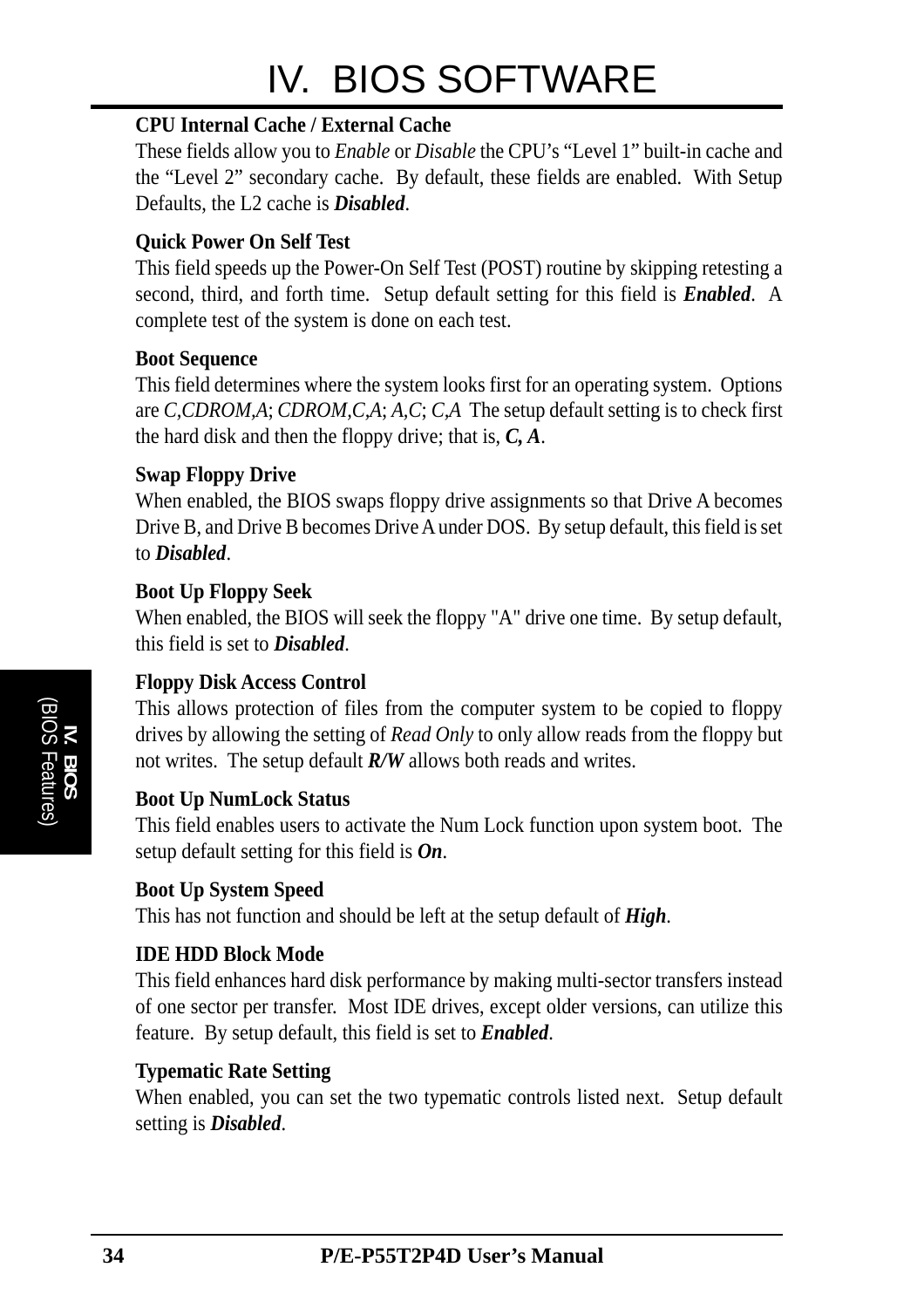## IV. BIOS SOFTWARE

#### **CPU Internal Cache / External Cache**

These fields allow you to *Enable* or *Disable* the CPU's "Level 1" built-in cache and the "Level 2" secondary cache. By default, these fields are enabled. With Setup Defaults, the L2 cache is *Disabled*.

#### **Quick Power On Self Test**

This field speeds up the Power-On Self Test (POST) routine by skipping retesting a second, third, and forth time. Setup default setting for this field is *Enabled*. A complete test of the system is done on each test.

#### **Boot Sequence**

This field determines where the system looks first for an operating system. Options are *C,CDROM,A*; *CDROM,C,A*; *A,C*; *C,A* The setup default setting is to check first the hard disk and then the floppy drive; that is, *C, A*.

#### **Swap Floppy Drive**

When enabled, the BIOS swaps floppy drive assignments so that Drive A becomes Drive B, and Drive B becomes Drive A under DOS. By setup default, this field is set to *Disabled*.

#### **Boot Up Floppy Seek**

When enabled, the BIOS will seek the floppy "A" drive one time. By setup default, this field is set to *Disabled*.

#### **Floppy Disk Access Control**

This allows protection of files from the computer system to be copied to floppy drives by allowing the setting of *Read Only* to only allow reads from the floppy but not writes. The setup default *R/W* allows both reads and writes.

#### **Boot Up NumLock Status**

This field enables users to activate the Num Lock function upon system boot. The setup default setting for this field is *On*.

#### **Boot Up System Speed**

This has not function and should be left at the setup default of *High*.

#### **IDE HDD Block Mode**

This field enhances hard disk performance by making multi-sector transfers instead of one sector per transfer. Most IDE drives, except older versions, can utilize this feature. By setup default, this field is set to *Enabled*.

#### **Typematic Rate Setting**

When enabled, you can set the two typematic controls listed next. Setup default setting is *Disabled*.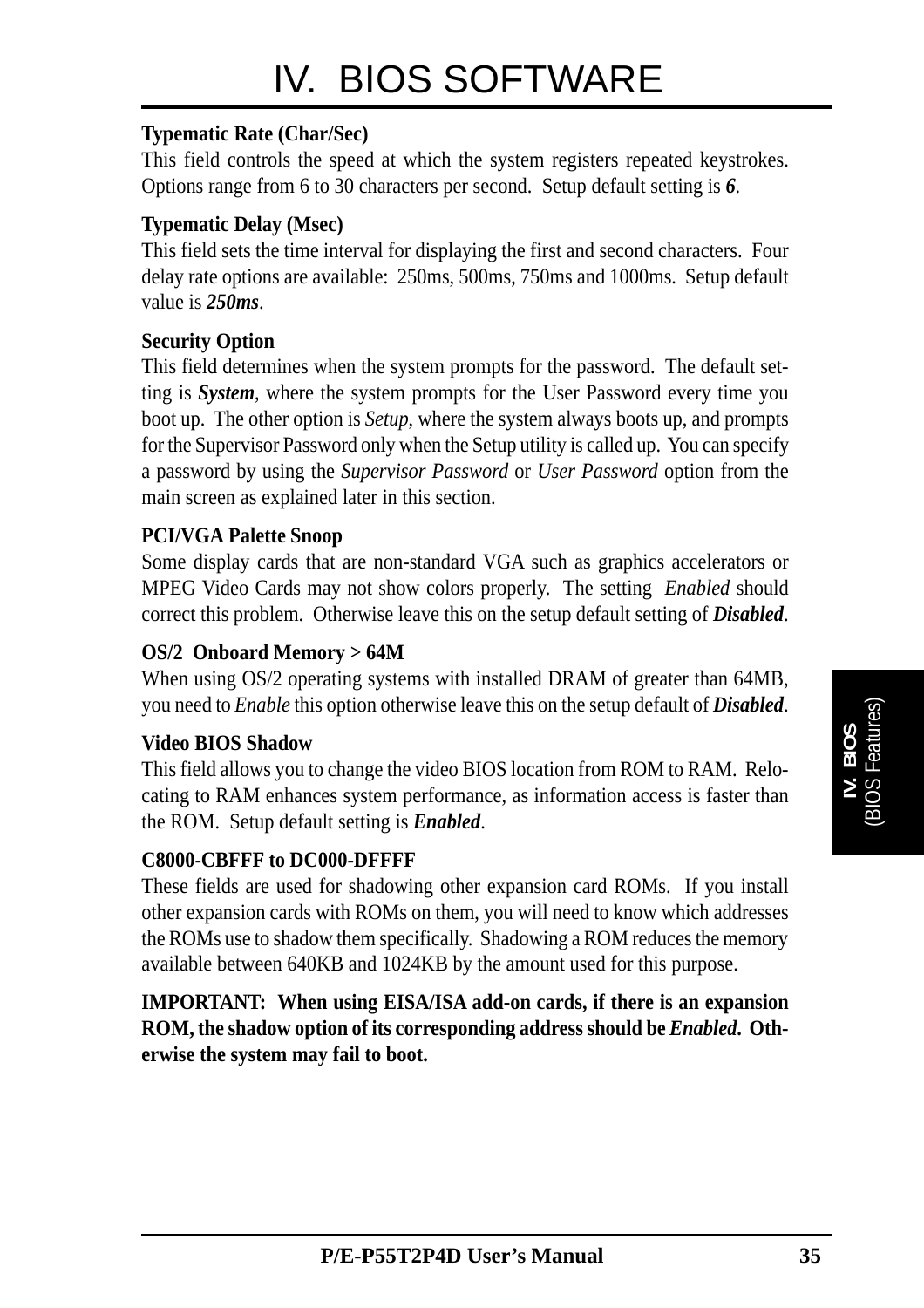#### **Typematic Rate (Char/Sec)**

This field controls the speed at which the system registers repeated keystrokes. Options range from 6 to 30 characters per second. Setup default setting is *6*.

#### **Typematic Delay (Msec)**

This field sets the time interval for displaying the first and second characters. Four delay rate options are available: 250ms, 500ms, 750ms and 1000ms. Setup default value is *250ms*.

#### **Security Option**

This field determines when the system prompts for the password. The default setting is *System*, where the system prompts for the User Password every time you boot up. The other option is *Setup*, where the system always boots up, and prompts for the Supervisor Password only when the Setup utility is called up. You can specify a password by using the *Supervisor Password* or *User Password* option from the main screen as explained later in this section.

#### **PCI/VGA Palette Snoop**

Some display cards that are non-standard VGA such as graphics accelerators or MPEG Video Cards may not show colors properly. The setting *Enabled* should correct this problem. Otherwise leave this on the setup default setting of *Disabled*.

#### **OS/2 Onboard Memory > 64M**

When using OS/2 operating systems with installed DRAM of greater than 64MB, you need to *Enable* this option otherwise leave this on the setup default of *Disabled*.

#### **Video BIOS Shadow**

This field allows you to change the video BIOS location from ROM to RAM. Relocating to RAM enhances system performance, as information access is faster than the ROM. Setup default setting is *Enabled*.

#### **C8000-CBFFF to DC000-DFFFF**

These fields are used for shadowing other expansion card ROMs. If you install other expansion cards with ROMs on them, you will need to know which addresses the ROMs use to shadow them specifically. Shadowing a ROM reduces the memory available between 640KB and 1024KB by the amount used for this purpose.

**IMPORTANT: When using EISA/ISA add-on cards, if there is an expansion ROM, the shadow option of its corresponding address should be** *Enabled***. Otherwise the system may fail to boot.**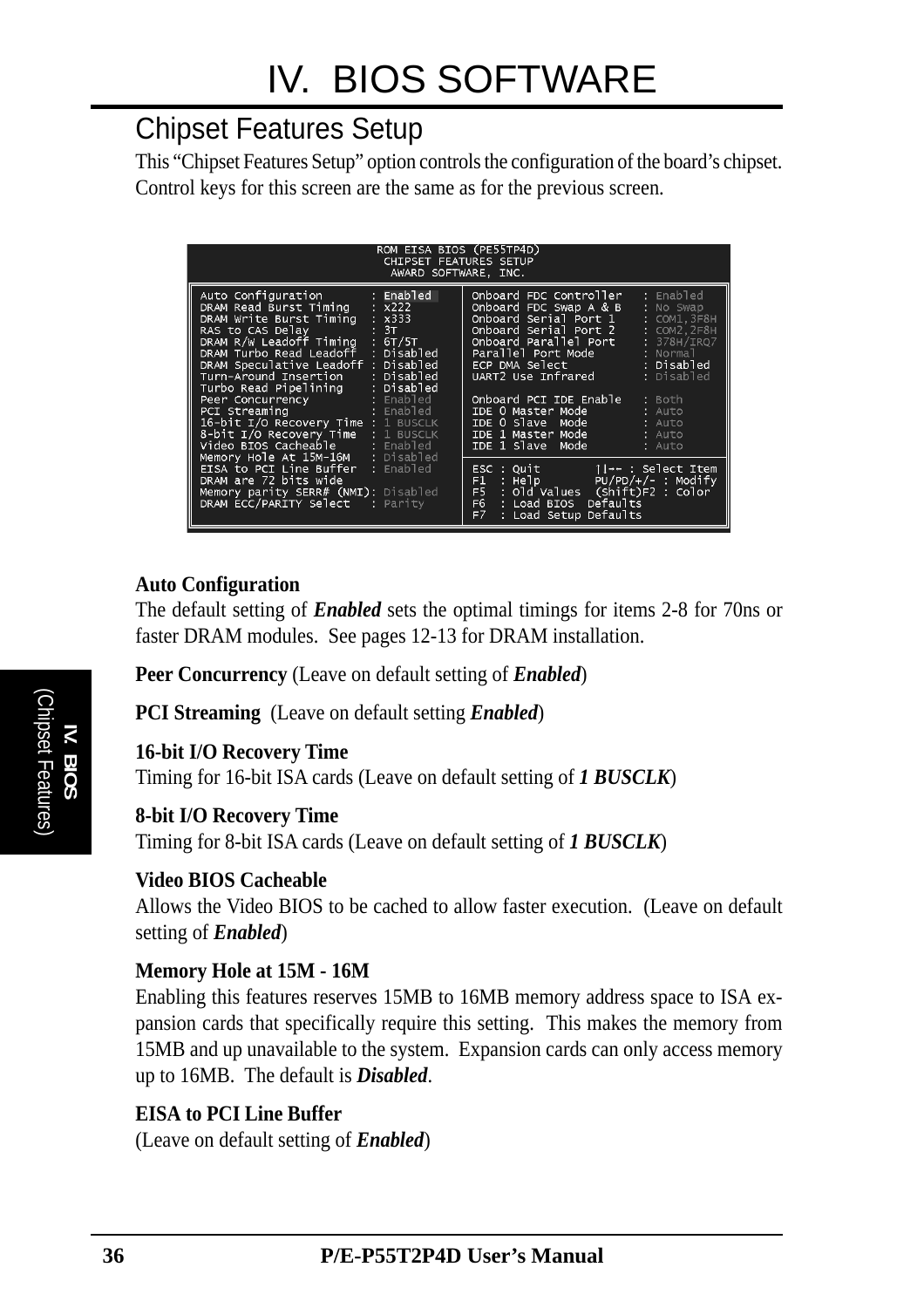### Chipset Features Setup

This "Chipset Features Setup" option controls the configuration of the board's chipset. Control keys for this screen are the same as for the previous screen.

| ROM EISA BIOS (PE55TP4D)<br>CHIPSET FEATURES SETUP<br>AWARD SOFTWARE, INC.                                                                                                                                                                                                                                                                                                                                                                                                                                                                                  |                                                                                                                                                                                                                                                                                                                                                                                                                                                                           |  |  |  |
|-------------------------------------------------------------------------------------------------------------------------------------------------------------------------------------------------------------------------------------------------------------------------------------------------------------------------------------------------------------------------------------------------------------------------------------------------------------------------------------------------------------------------------------------------------------|---------------------------------------------------------------------------------------------------------------------------------------------------------------------------------------------------------------------------------------------------------------------------------------------------------------------------------------------------------------------------------------------------------------------------------------------------------------------------|--|--|--|
| : Enabled<br>Auto Configuration<br>DRAM Read Burst Timing<br>x222<br>DRAM Write Burst Timing<br>x333<br>RAS to CAS Delay<br>: 3T<br>DRAM R/W Leadoff Timing<br>6T/5T<br>DRAM Turbo Read Leadoff<br>: Disabled<br>DRAM Speculative Leadoff<br>Disabled<br>Turn-Around Insertion<br>: Disabled<br>Turbo Read Pipelining : Disabled<br>Peer Concurrency : Enabled<br>PCI Streaming<br>Enabled<br>16-bit $I/O$ Recovery Time<br>1 BUSCLK<br>8-bit I/O Recovery Time<br>: 1 BUSCLK<br><b>Video BIOS Cacheable : Enabled</b><br>Memory Hole At 15M-16M : Disabled | Onboard FDC Controller<br>: Enabled<br>Onboard FDC Swap A & B<br>: No Swap<br>Onboard Serial Port 1<br>COM1, 3F8H<br>Onboard Serial Port 2<br>: COM2.2F8H<br>Onboard Parallel_Port<br>378H/IRO7<br>Parallel Port Mode<br>: Normal<br>ECP DMA Select<br>: Disabled<br>: Disabled<br>UART2 Use Infrared<br>Onboard PCI IDE Enable<br>: Both<br>IDE 0 Master Mode<br>: Auto<br>IDE O Slave<br>Mode<br>: Auto<br>IDE 1 Master Mode<br>: Auto<br>IDE 1 Slave<br>Mode<br>: Auto |  |  |  |
| EISA to PCI Line Buffer<br>: Enabled<br>DRAM are 72 bits wide<br>Memory parity SERR# (NMI): Disabled<br>DRAM ECC/PARITY Select<br>: Parity                                                                                                                                                                                                                                                                                                                                                                                                                  | $:$ Quit<br>$\left[\right] \rightarrow \leftarrow$ : Select Item<br>ESC.<br>F1<br>: Help<br>PU/PD/+/- : Modify<br>F5<br>: Old Values (Shift)F2 : Color<br>Defaults<br>F <sub>6</sub><br>: Load BIOS<br>F7<br>: Load Setup Defaults                                                                                                                                                                                                                                        |  |  |  |

#### **Auto Configuration**

The default setting of *Enabled* sets the optimal timings for items 2-8 for 70ns or faster DRAM modules. See pages 12-13 for DRAM installation.

**Peer Concurrency** (Leave on default setting of *Enabled*)

**PCI Streaming** (Leave on default setting *Enabled*)

#### **16-bit I/O Recovery Time**

Timing for 16-bit ISA cards (Leave on default setting of *1 BUSCLK*)

#### **8-bit I/O Recovery Time**

Timing for 8-bit ISA cards (Leave on default setting of *1 BUSCLK*)

#### **Video BIOS Cacheable**

Allows the Video BIOS to be cached to allow faster execution. (Leave on default setting of *Enabled*)

#### **Memory Hole at 15M - 16M**

Enabling this features reserves 15MB to 16MB memory address space to ISA expansion cards that specifically require this setting. This makes the memory from 15MB and up unavailable to the system. Expansion cards can only access memory up to 16MB. The default is *Disabled*.

#### **EISA to PCI Line Buffer**

(Leave on default setting of *Enabled*)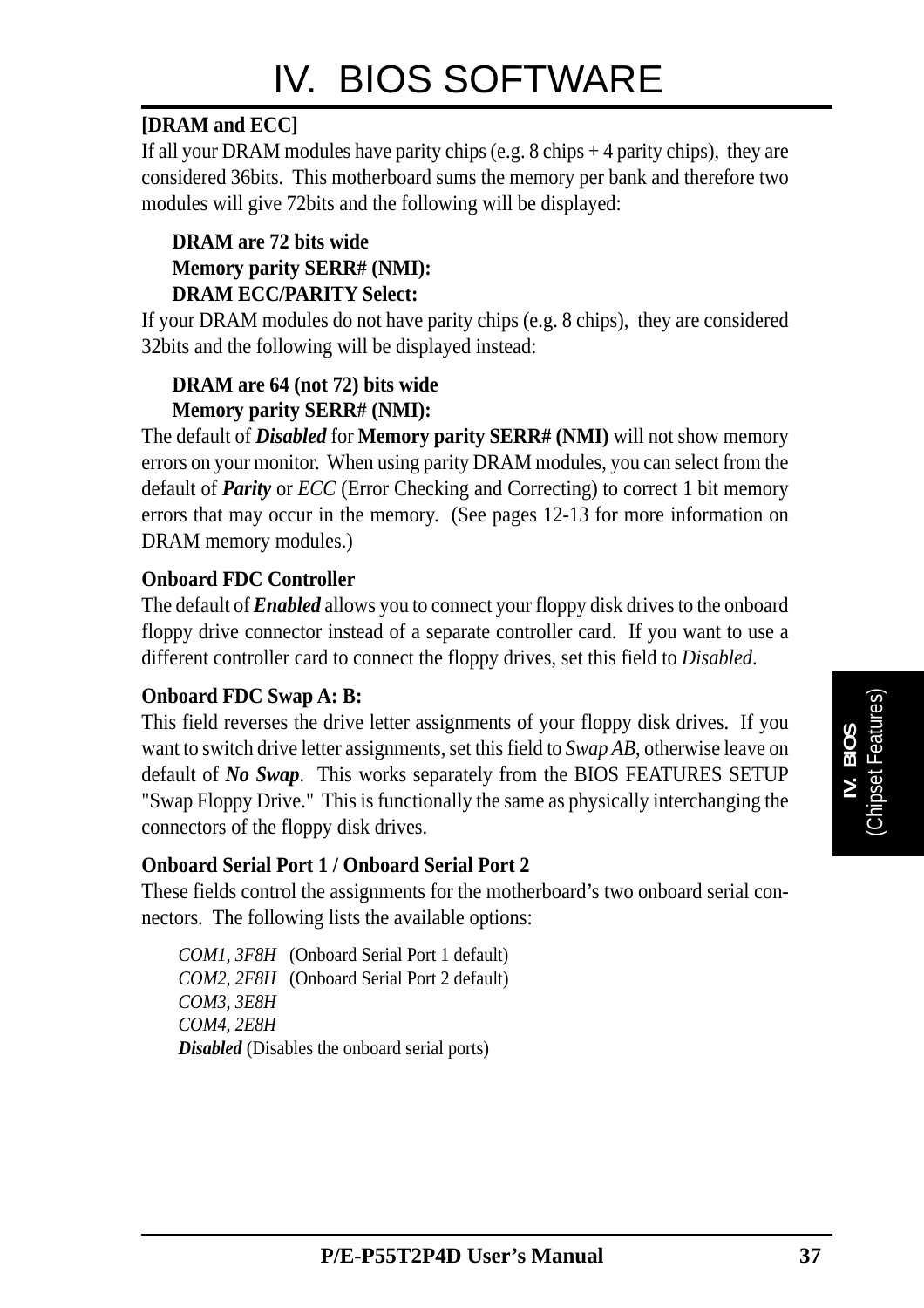## IV. BIOS SOFTWARE

#### **[DRAM and ECC]**

If all your DRAM modules have parity chips  $(e.g., 8 chips + 4 parity chips)$ , they are considered 36bits. This motherboard sums the memory per bank and therefore two modules will give 72bits and the following will be displayed:

#### **DRAM are 72 bits wide Memory parity SERR# (NMI): DRAM ECC/PARITY Select:**

If your DRAM modules do not have parity chips (e.g. 8 chips), they are considered 32bits and the following will be displayed instead:

#### **DRAM are 64 (not 72) bits wide Memory parity SERR# (NMI):**

The default of *Disabled* for **Memory parity SERR# (NMI)** will not show memory errors on your monitor. When using parity DRAM modules, you can select from the default of *Parity* or *ECC* (Error Checking and Correcting) to correct 1 bit memory errors that may occur in the memory. (See pages 12-13 for more information on DRAM memory modules.)

#### **Onboard FDC Controller**

The default of *Enabled* allows you to connect your floppy disk drives to the onboard floppy drive connector instead of a separate controller card. If you want to use a different controller card to connect the floppy drives, set this field to *Disabled*.

#### **Onboard FDC Swap A: B:**

This field reverses the drive letter assignments of your floppy disk drives. If you want to switch drive letter assignments, set this field to *Swap AB*, otherwise leave on default of *No Swap*. This works separately from the BIOS FEATURES SETUP "Swap Floppy Drive." This is functionally the same as physically interchanging the connectors of the floppy disk drives.

#### **Onboard Serial Port 1 / Onboard Serial Port 2**

These fields control the assignments for the motherboard's two onboard serial connectors. The following lists the available options:

*COM1, 3F8H* (Onboard Serial Port 1 default) *COM2, 2F8H* (Onboard Serial Port 2 default) *COM3, 3E8H COM4, 2E8H Disabled* (Disables the onboard serial ports)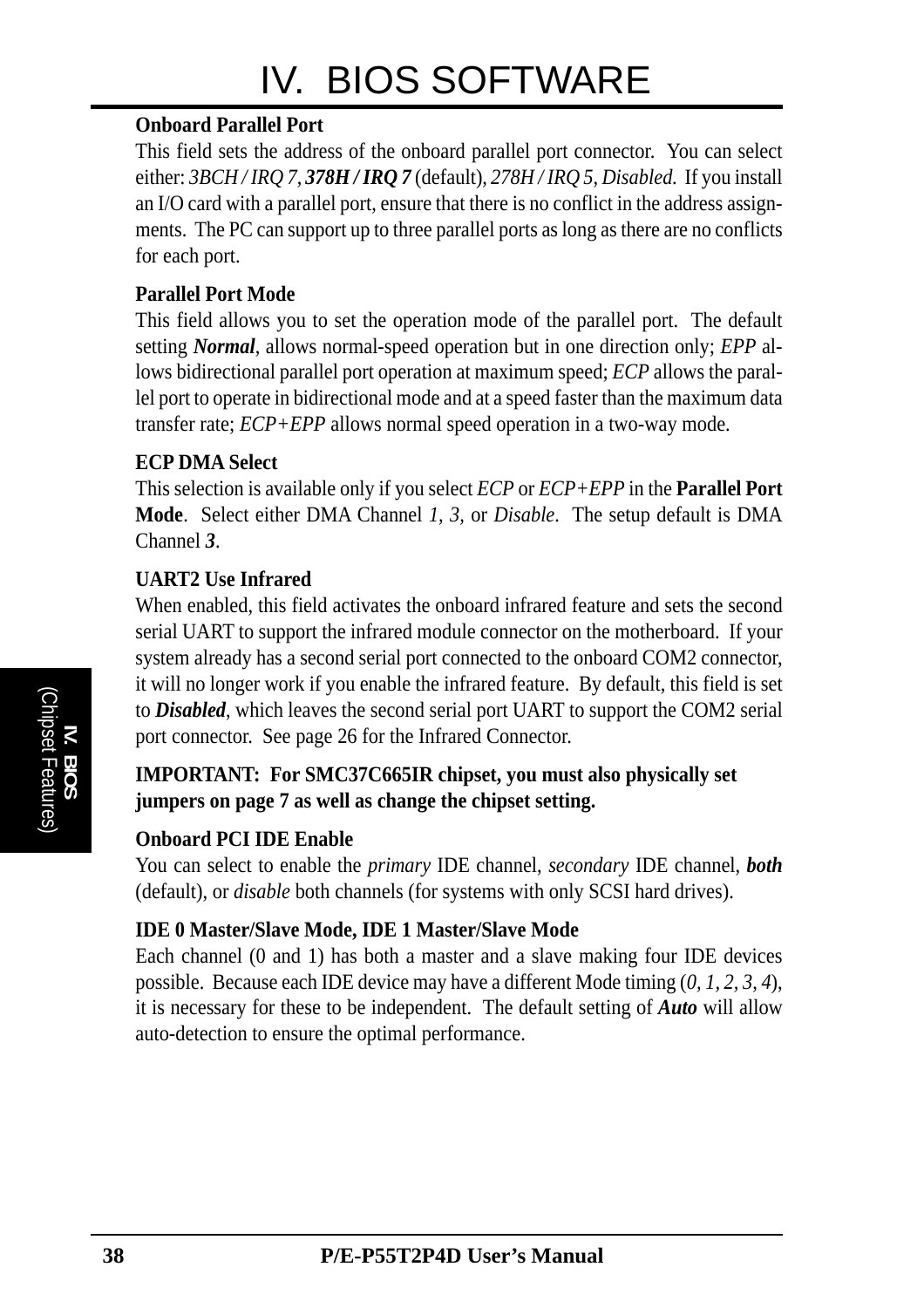## IV. BIOS SOFTWARE

#### **Onboard Parallel Port**

This field sets the address of the onboard parallel port connector. You can select either: *3BCH / IRQ 7, 378H / IRQ 7* (default)*, 278H / IRQ 5, Disabled.* If you install an I/O card with a parallel port, ensure that there is no conflict in the address assignments. The PC can support up to three parallel ports as long as there are no conflicts for each port.

#### **Parallel Port Mode**

This field allows you to set the operation mode of the parallel port. The default setting *Normal*, allows normal-speed operation but in one direction only; *EPP* allows bidirectional parallel port operation at maximum speed; *ECP* allows the parallel port to operate in bidirectional mode and at a speed faster than the maximum data transfer rate; *ECP+EPP* allows normal speed operation in a two-way mode.

#### **ECP DMA Select**

This selection is available only if you select *ECP* or *ECP+EPP* in the **Parallel Port Mode**. Select either DMA Channel *1, 3,* or *Disable*. The setup default is DMA Channel *3*.

#### **UART2 Use Infrared**

When enabled, this field activates the onboard infrared feature and sets the second serial UART to support the infrared module connector on the motherboard. If your system already has a second serial port connected to the onboard COM2 connector, it will no longer work if you enable the infrared feature. By default, this field is set to *Disabled*, which leaves the second serial port UART to support the COM2 serial port connector. See page 26 for the Infrared Connector.

#### **IMPORTANT: For SMC37C665IR chipset, you must also physically set jumpers on page 7 as well as change the chipset setting.**

#### **Onboard PCI IDE Enable**

You can select to enable the *primary* IDE channel, *secondary* IDE channel, *both* (default), or *disable* both channels (for systems with only SCSI hard drives).

#### **IDE 0 Master/Slave Mode, IDE 1 Master/Slave Mode**

Each channel (0 and 1) has both a master and a slave making four IDE devices possible. Because each IDE device may have a different Mode timing (*0, 1, 2, 3, 4*), it is necessary for these to be independent. The default setting of *Auto* will allow auto-detection to ensure the optimal performance.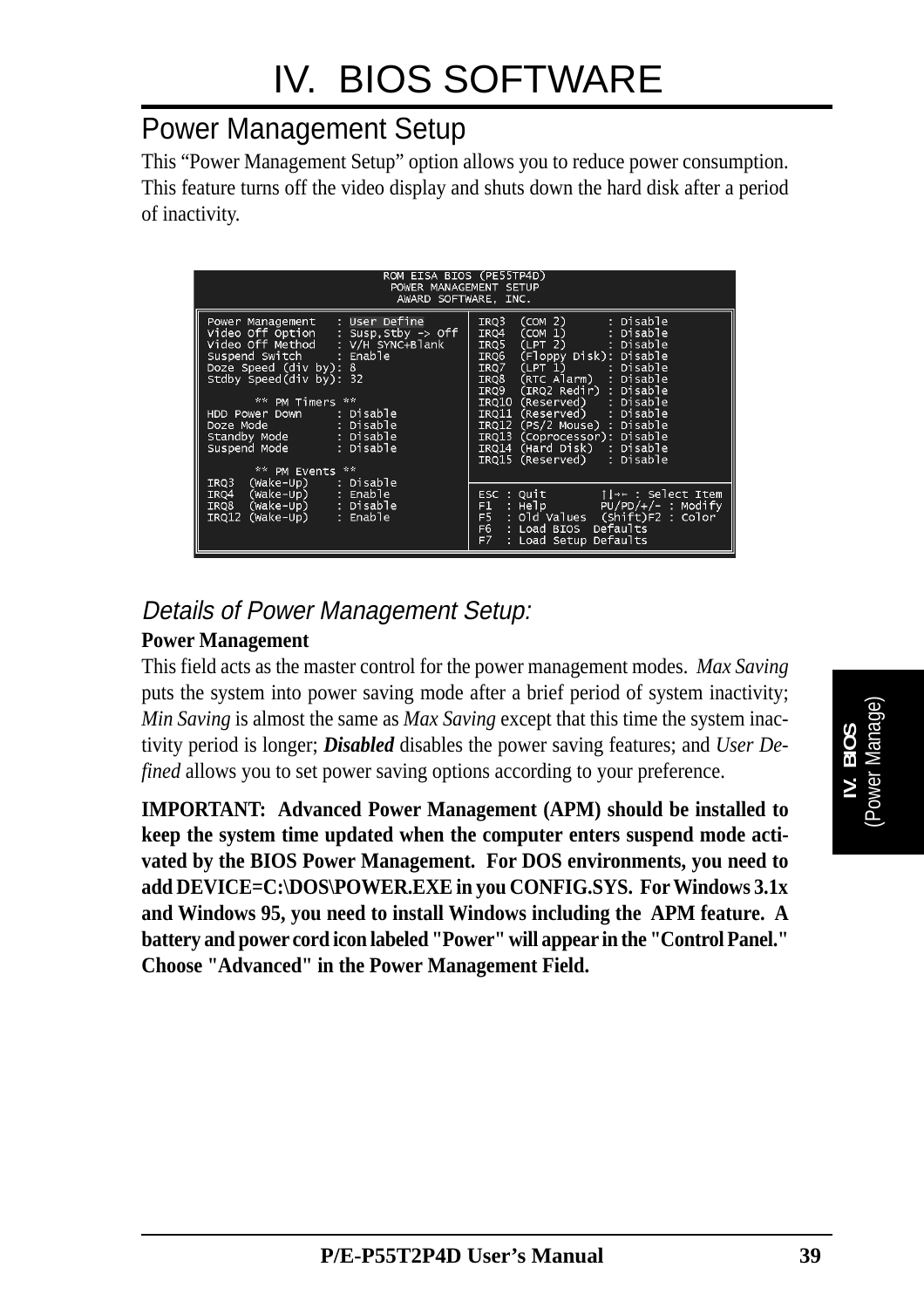### Power Management Setup

This "Power Management Setup" option allows you to reduce power consumption. This feature turns off the video display and shuts down the hard disk after a period of inactivity.

| ROM EISA BIOS (PE55TP4D)<br>POWER MANAGEMENT SETUP<br>AWARD SOFTWARE, INC.                                                                                                                                                                                                                                                                                                                               |                                                                                                                                                                                                                                                                                                                                                                                                                  |
|----------------------------------------------------------------------------------------------------------------------------------------------------------------------------------------------------------------------------------------------------------------------------------------------------------------------------------------------------------------------------------------------------------|------------------------------------------------------------------------------------------------------------------------------------------------------------------------------------------------------------------------------------------------------------------------------------------------------------------------------------------------------------------------------------------------------------------|
| Power Management : User Define<br>Video Off Option $\therefore$ Susp, Stby $\rightarrow$ Off<br>Video Off Method : V/H SYNC+Blank<br>Suspend Switch ___: Enable<br>Doze Speed (div by): 8<br>Stdby Speed(div by): $32$<br>** PM Timers **<br>HDD Power Down : Disable<br>Doze Mode : Disable<br>Standby Mode : Disable<br>Suspend Mode : Disable<br>18.96<br>** PM Events<br>IRO3<br>(wake-Up) : Disable | (COM 2) : Disable<br>IRQ3<br>(COM 1) : Disable<br>IRQ4<br>(LPT 2) : Disable<br>IRQ5<br>(Floppy Disk): Disable<br>IRQ6<br>$(LPT 1)$ : Disable<br>IRQ7<br>(RTC Alarm) : Disable<br>TRQ8<br>(IRO2 Redir) : Disable<br>IRO9<br>IRQ10 (Reserved) : Disable<br>IRQ11 (Reserved) : Disable<br>IRQ12 (PS/2 Mouse) : Disable<br>IRQ13 (Coprocessor): Disable<br>IRO14 (Hard Disk) : Disable<br>IRQ15 (Reserved) : Disable |
| (wake-Up) : Enable<br>(wake-Up) : Disable<br>IRQ4<br>IRQ8<br>: Enable<br>(Wake-Up)<br>IRQ12                                                                                                                                                                                                                                                                                                              | ESC : Ouit<br>il→← : Select Item<br>F1 : Help<br>$PU/PD/+/-$ : Modify<br>F5 : Old Values (Shift)F2 : Color<br>F6 : Load BIOS Defaults<br>F7<br>: Load Setup Defaults                                                                                                                                                                                                                                             |

### Details of Power Management Setup:

#### **Power Management**

This field acts as the master control for the power management modes. *Max Saving* puts the system into power saving mode after a brief period of system inactivity; *Min Saving* is almost the same as *Max Saving* except that this time the system inactivity period is longer; *Disabled* disables the power saving features; and *User Defined* allows you to set power saving options according to your preference.

**IMPORTANT: Advanced Power Management (APM) should be installed to keep the system time updated when the computer enters suspend mode activated by the BIOS Power Management. For DOS environments, you need to add DEVICE=C:\DOS\POWER.EXE in you CONFIG.SYS. For Windows 3.1x and Windows 95, you need to install Windows including the APM feature. A battery and power cord icon labeled "Power" will appear in the "Control Panel." Choose "Advanced" in the Power Management Field.**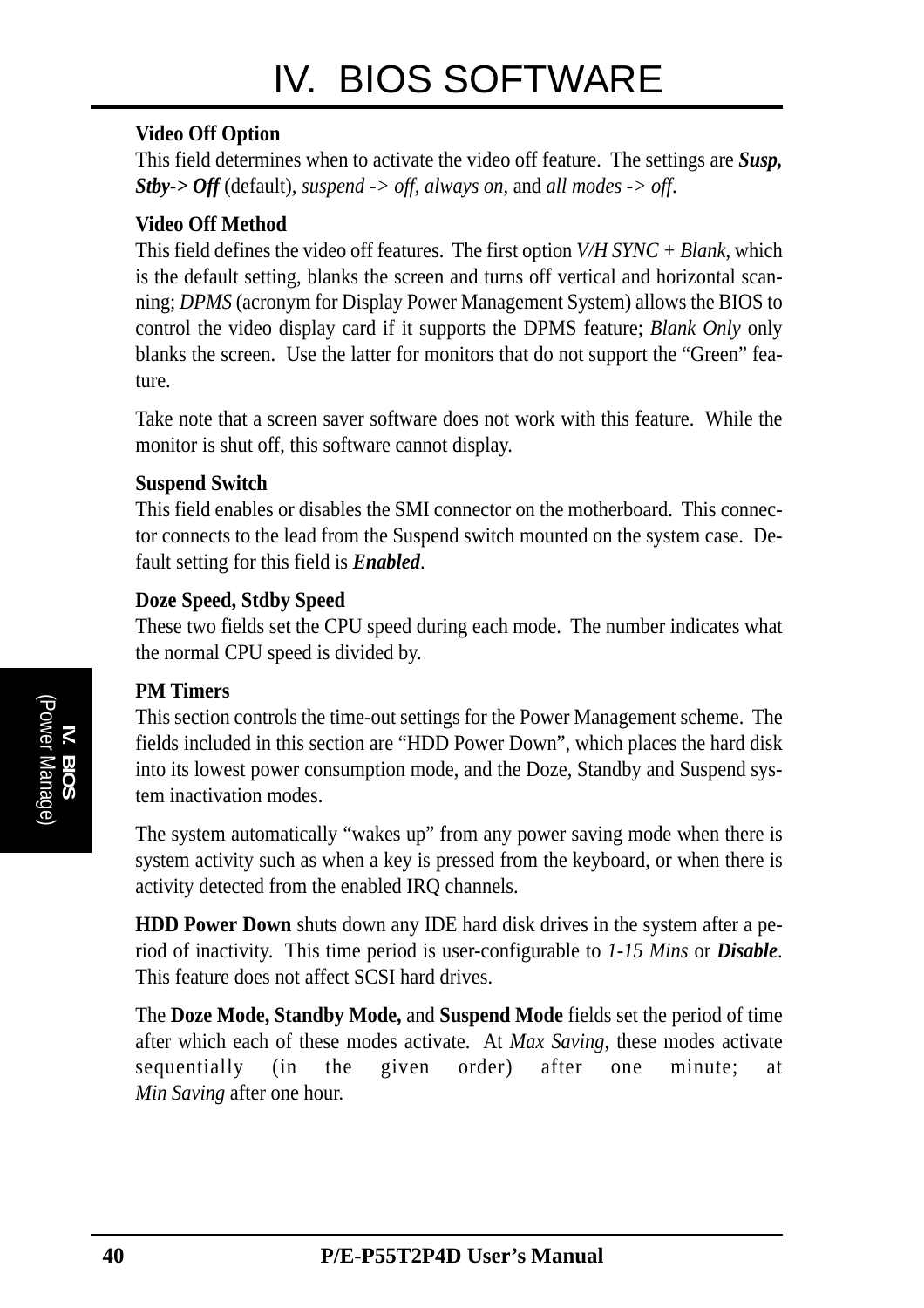## IV. BIOS SOFTWARE

#### **Video Off Option**

This field determines when to activate the video off feature. The settings are *Susp, Stby-> Off* (default)*, suspend -> off, always on*, and *all modes -> off*.

#### **Video Off Method**

This field defines the video off features. The first option *V/H SYNC + Blank*, which is the default setting, blanks the screen and turns off vertical and horizontal scanning; *DPMS* (acronym for Display Power Management System) allows the BIOS to control the video display card if it supports the DPMS feature; *Blank Only* only blanks the screen. Use the latter for monitors that do not support the "Green" feature.

Take note that a screen saver software does not work with this feature. While the monitor is shut off, this software cannot display.

#### **Suspend Switch**

This field enables or disables the SMI connector on the motherboard. This connector connects to the lead from the Suspend switch mounted on the system case. Default setting for this field is *Enabled*.

#### **Doze Speed, Stdby Speed**

These two fields set the CPU speed during each mode. The number indicates what the normal CPU speed is divided by.

#### **PM Timers**

This section controls the time-out settings for the Power Management scheme. The fields included in this section are "HDD Power Down", which places the hard disk into its lowest power consumption mode, and the Doze, Standby and Suspend system inactivation modes.

The system automatically "wakes up" from any power saving mode when there is system activity such as when a key is pressed from the keyboard, or when there is activity detected from the enabled IRQ channels.

**HDD Power Down** shuts down any IDE hard disk drives in the system after a period of inactivity. This time period is user-configurable to *1-15 Mins* or *Disable*. This feature does not affect SCSI hard drives.

The **Doze Mode, Standby Mode,** and **Suspend Mode** fields set the period of time after which each of these modes activate. At *Max Saving*, these modes activate sequentially (in the given order) after one minute; at *Min Saving* after one hour.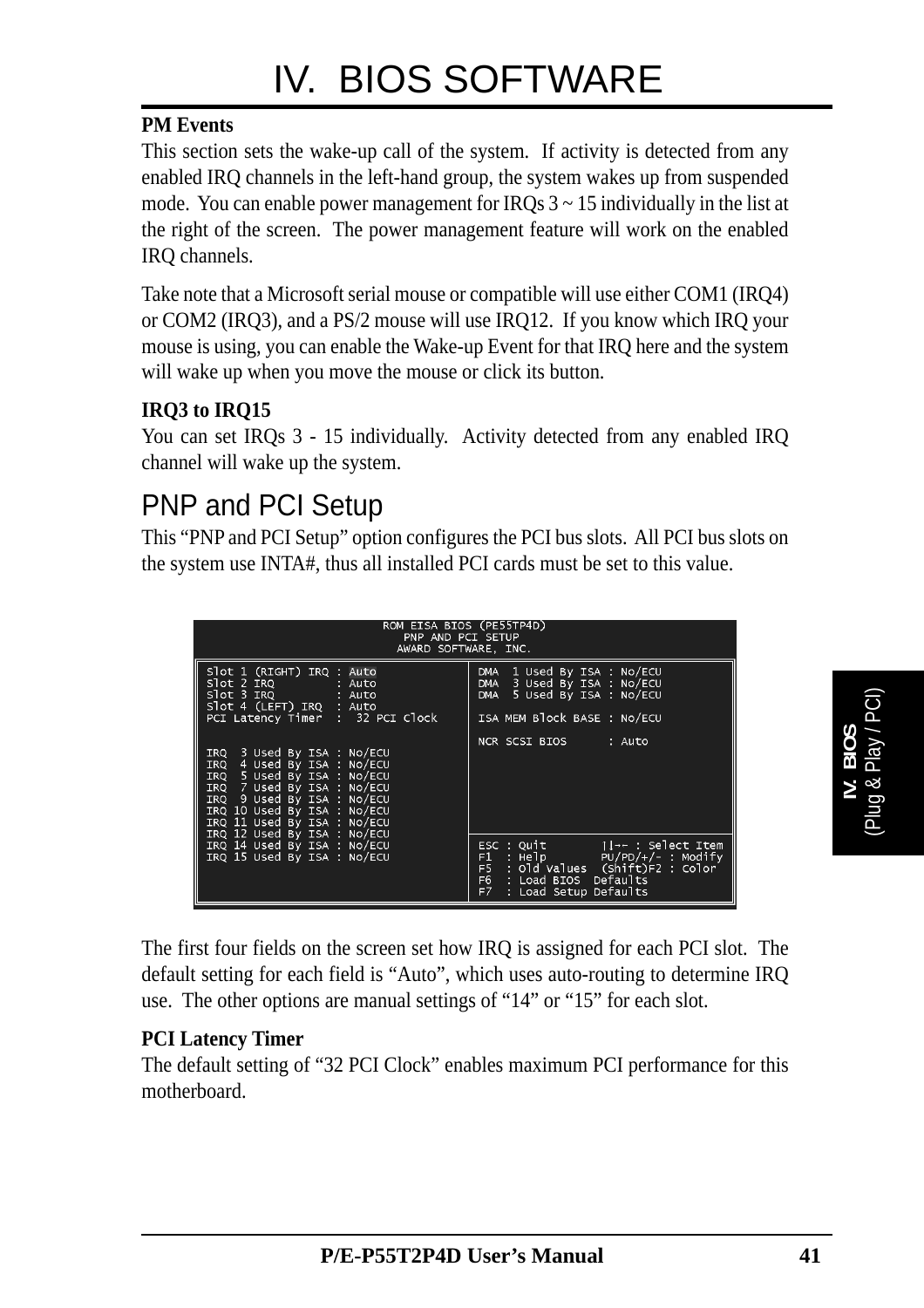## IV. BIOS SOFTWARE

#### **PM Events**

This section sets the wake-up call of the system. If activity is detected from any enabled IRQ channels in the left-hand group, the system wakes up from suspended mode. You can enable power management for IRQs  $3 \sim 15$  individually in the list at the right of the screen. The power management feature will work on the enabled IRQ channels.

Take note that a Microsoft serial mouse or compatible will use either COM1 (IRQ4) or COM2 (IRQ3), and a PS/2 mouse will use IRQ12. If you know which IRQ your mouse is using, you can enable the Wake-up Event for that IRQ here and the system will wake up when you move the mouse or click its button.

#### **IRQ3 to IRQ15**

You can set IRQs 3 - 15 individually. Activity detected from any enabled IRQ channel will wake up the system.

### PNP and PCI Setup

This "PNP and PCI Setup" option configures the PCI bus slots. All PCI bus slots on the system use INTA#, thus all installed PCI cards must be set to this value.

| ROM EISA BIOS (PE55TP4D)<br>PNP AND PCI SETUP<br>AWARD SOFTWARE, INC.                                                                                                                                                                                      |                                                                                                                                                                                        |
|------------------------------------------------------------------------------------------------------------------------------------------------------------------------------------------------------------------------------------------------------------|----------------------------------------------------------------------------------------------------------------------------------------------------------------------------------------|
| Slot 1 (RIGHT) IRQ : Auto<br>Slot 2 IRQ : Auto<br>Slot 3 IRQ : Auto<br>Slot 4 (LEFT) IRQ : Auto                                                                                                                                                            | 1 Used By ISA : No/ECU<br>DMA<br>3 Used By ISA : No/ECU<br>DMA<br>5 Used By ISA : NO/ECU<br>DMA                                                                                        |
| PCI Latency Timer : 32 PCI Clock<br>3 Used By ISA : No/ECU<br>IRQ<br>4 Used By ISA : No/ECU<br>IRQ<br>IRQ 5 Used By ISA : No/ECU<br>IRQ 7 Used By ISA : No/ECU<br>IRQ 9 Used By ISA : No/ECU<br>IRQ 10 Used By ISA : No/ECU<br>IRQ 11 Used By ISA : No/ECU | ISA MEM Block BASE : No/ECU<br>NCR SCSI BIOS : Auto                                                                                                                                    |
| IRQ 12 Used By ISA : No/ECU<br>IRQ 14 Used By ISA : No/ECU<br>IRQ 15 Used By ISA : No/ECU                                                                                                                                                                  | ESC : Quit<br>$1 \rightarrow \leftarrow$ : Select Item<br>$F1$ : Help $PU/PD/+/-$ : Modify<br>F5 : Old Values (Shift)F2 : Color<br>F6 : Load BIOS Defaults<br>F7 : Load Setup Defaults |

The first four fields on the screen set how IRQ is assigned for each PCI slot. The default setting for each field is "Auto", which uses auto-routing to determine IRQ use. The other options are manual settings of "14" or "15" for each slot.

#### **PCI Latency Timer**

The default setting of "32 PCI Clock" enables maximum PCI performance for this motherboard.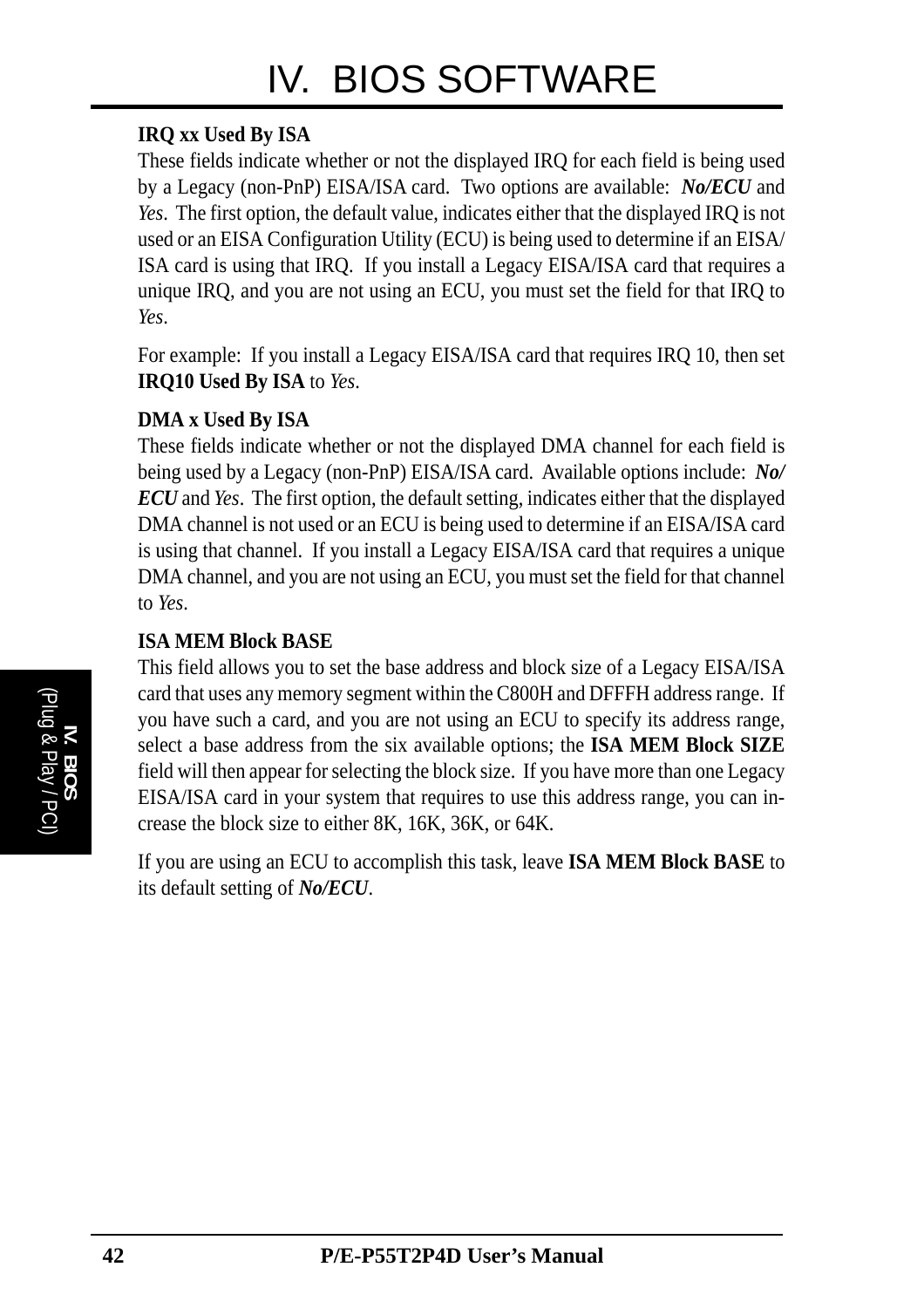#### **IRQ xx Used By ISA**

These fields indicate whether or not the displayed IRQ for each field is being used by a Legacy (non-PnP) EISA/ISA card. Two options are available: *No/ECU* and *Yes*. The first option, the default value, indicates either that the displayed IRQ is not used or an EISA Configuration Utility (ECU) is being used to determine if an EISA/ ISA card is using that IRQ. If you install a Legacy EISA/ISA card that requires a unique IRQ, and you are not using an ECU, you must set the field for that IRQ to *Yes*.

For example: If you install a Legacy EISA/ISA card that requires IRQ 10, then set **IRQ10 Used By ISA** to *Yes*.

#### **DMA x Used By ISA**

These fields indicate whether or not the displayed DMA channel for each field is being used by a Legacy (non-PnP) EISA/ISA card. Available options include: *No/ ECU* and *Yes*. The first option, the default setting, indicates either that the displayed DMA channel is not used or an ECU is being used to determine if an EISA/ISA card is using that channel. If you install a Legacy EISA/ISA card that requires a unique DMA channel, and you are not using an ECU, you must set the field for that channel to *Yes*.

#### **ISA MEM Block BASE**

This field allows you to set the base address and block size of a Legacy EISA/ISA card that uses any memory segment within the C800H and DFFFH address range. If you have such a card, and you are not using an ECU to specify its address range, select a base address from the six available options; the **ISA MEM Block SIZE** field will then appear for selecting the block size. If you have more than one Legacy EISA/ISA card in your system that requires to use this address range, you can increase the block size to either 8K, 16K, 36K, or 64K.

If you are using an ECU to accomplish this task, leave **ISA MEM Block BASE** to its default setting of *No/ECU*.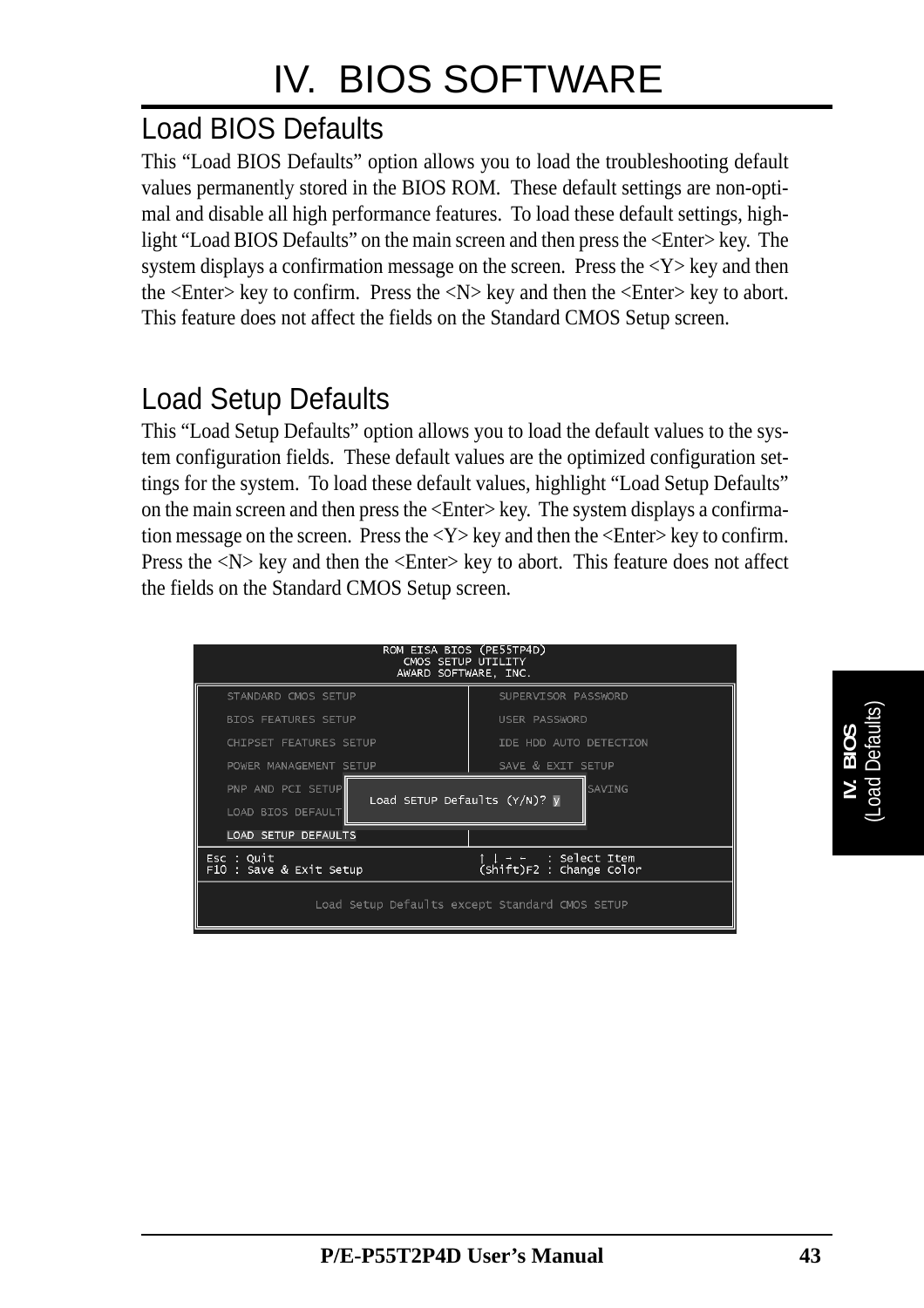## IV. BIOS SOFTWARE

### Load BIOS Defaults

This "Load BIOS Defaults" option allows you to load the troubleshooting default values permanently stored in the BIOS ROM. These default settings are non-optimal and disable all high performance features. To load these default settings, highlight "Load BIOS Defaults" on the main screen and then press the <Enter> key. The system displays a confirmation message on the screen. Press the  $\langle Y \rangle$  key and then the  $\leq$ Enter $>$  key to confirm. Press the  $\leq$ N $>$  key and then the  $\leq$ Enter $>$  key to abort. This feature does not affect the fields on the Standard CMOS Setup screen.

### Load Setup Defaults

This "Load Setup Defaults" option allows you to load the default values to the system configuration fields. These default values are the optimized configuration settings for the system. To load these default values, highlight "Load Setup Defaults" on the main screen and then press the <Enter> key. The system displays a confirmation message on the screen. Press the  $\langle Y \rangle$  key and then the  $\langle$ Enter $\rangle$  key to confirm. Press the  $\langle N \rangle$  key and then the  $\langle$ Enter $\rangle$  key to abort. This feature does not affect the fields on the Standard CMOS Setup screen.

| ROM EISA BIOS (PE55TP4D)<br>CMOS SETUP UTILITY<br>AWARD SOFTWARE, INC.                  |                                                                      |  |  |  |  |
|-----------------------------------------------------------------------------------------|----------------------------------------------------------------------|--|--|--|--|
| STANDARD CMOS SETUP                                                                     | SUPERVISOR PASSWORD                                                  |  |  |  |  |
| <b>BIOS FEATURES SETUP</b>                                                              | USER PASSWORD                                                        |  |  |  |  |
| CHIPSET FEATURES SETUP                                                                  | IDE HDD AUTO DETECTION                                               |  |  |  |  |
| POWER MANAGEMENT SETUP                                                                  | SAVE & EXIT SETUP                                                    |  |  |  |  |
| SAVING<br>PNP AND PCI SETUP<br>Load SETUP Defaults $(Y/N)? \nabla$<br>LOAD BIOS DEFAULT |                                                                      |  |  |  |  |
| LOAD SETUP DEFAULTS                                                                     |                                                                      |  |  |  |  |
| Esc : Quit<br>F10 : Save & Exit Setup                                                   | $\rightarrow$ $\leftarrow$ : Select Item<br>(Shift)F2 : Change Color |  |  |  |  |
| Load Setup Defaults except Standard CMOS SETUP                                          |                                                                      |  |  |  |  |

**IV. BIOS** (Load Defaults)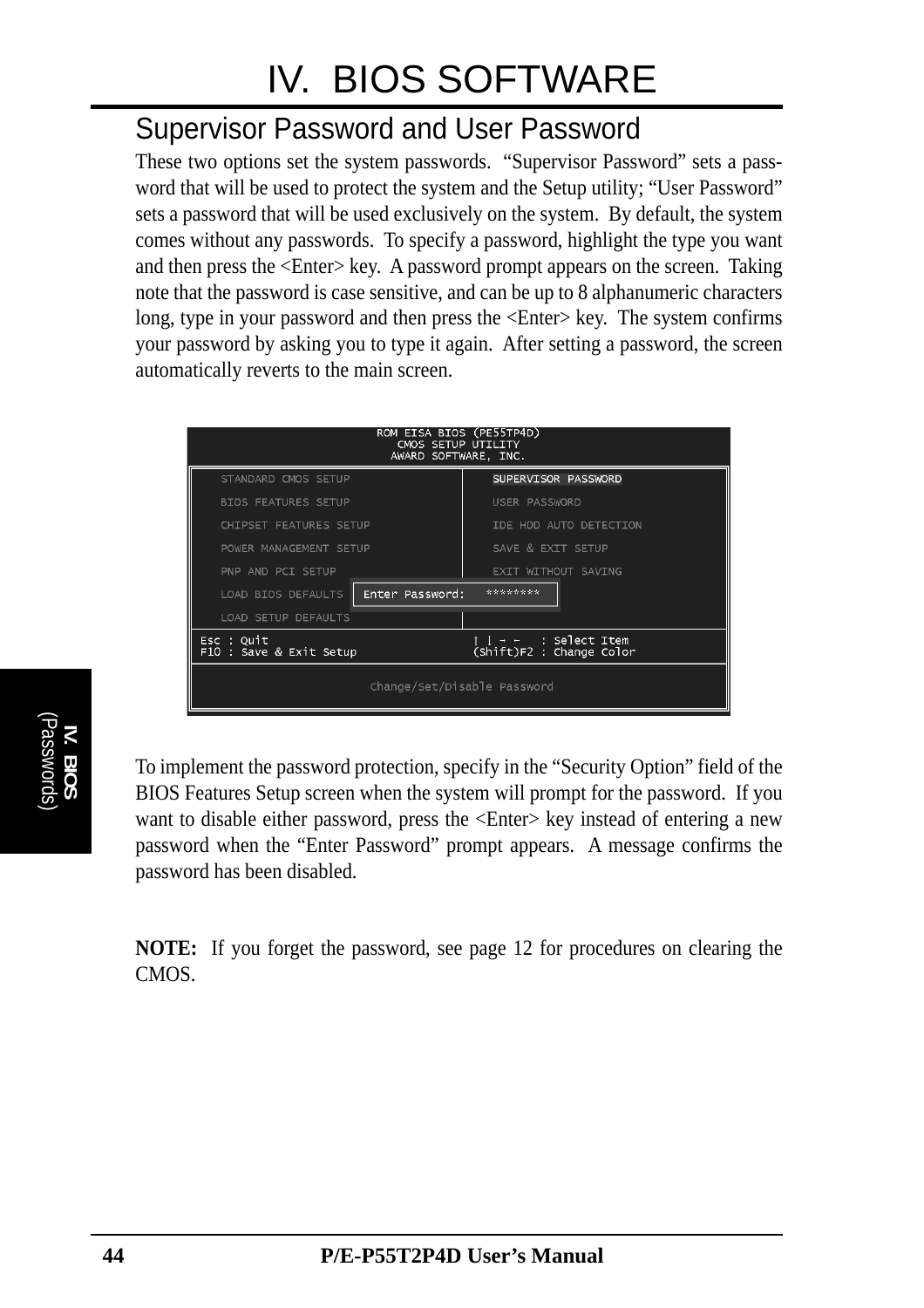### Supervisor Password and User Password

These two options set the system passwords. "Supervisor Password" sets a password that will be used to protect the system and the Setup utility; "User Password" sets a password that will be used exclusively on the system. By default, the system comes without any passwords. To specify a password, highlight the type you want and then press the <Enter> key. A password prompt appears on the screen. Taking note that the password is case sensitive, and can be up to 8 alphanumeric characters long, type in your password and then press the  $\leq$  Enter $\geq$  key. The system confirms your password by asking you to type it again. After setting a password, the screen automatically reverts to the main screen.

| ROM EISA BIOS (PE55TP4D)<br>CMOS SETUP UTILITY<br>AWARD SOFTWARE, INC. |                                                                      |  |  |  |
|------------------------------------------------------------------------|----------------------------------------------------------------------|--|--|--|
| STANDARD CMOS SETUP                                                    | SUPERVISOR PASSWORD                                                  |  |  |  |
| <b>BIOS FEATURES SETUP</b>                                             | USER PASSWORD                                                        |  |  |  |
| CHIPSET FEATURES SETUP                                                 | IDE HDD AUTO DETECTION                                               |  |  |  |
| POWER MANAGEMENT SETUP                                                 | SAVE & EXIT SETUP                                                    |  |  |  |
| PNP AND PCI SETUP                                                      | EXIT WITHOUT SAVING                                                  |  |  |  |
| Enter Password:<br>LOAD BIOS DEFAULTS                                  | ********                                                             |  |  |  |
| LOAD SETUP DEFAULTS                                                    |                                                                      |  |  |  |
| Esc : Quit<br>F10 : Save & Exit Setup                                  | $\rightarrow$ $\leftarrow$ : Select Item<br>(Shift)F2 : Change Color |  |  |  |
| Change/Set/Disable Password                                            |                                                                      |  |  |  |

**IV. BIOS** (Passwords)

To implement the password protection, specify in the "Security Option" field of the BIOS Features Setup screen when the system will prompt for the password. If you want to disable either password, press the  $\leq$ Enter $\geq$  key instead of entering a new password when the "Enter Password" prompt appears. A message confirms the password has been disabled.

**NOTE:** If you forget the password, see page 12 for procedures on clearing the CMOS.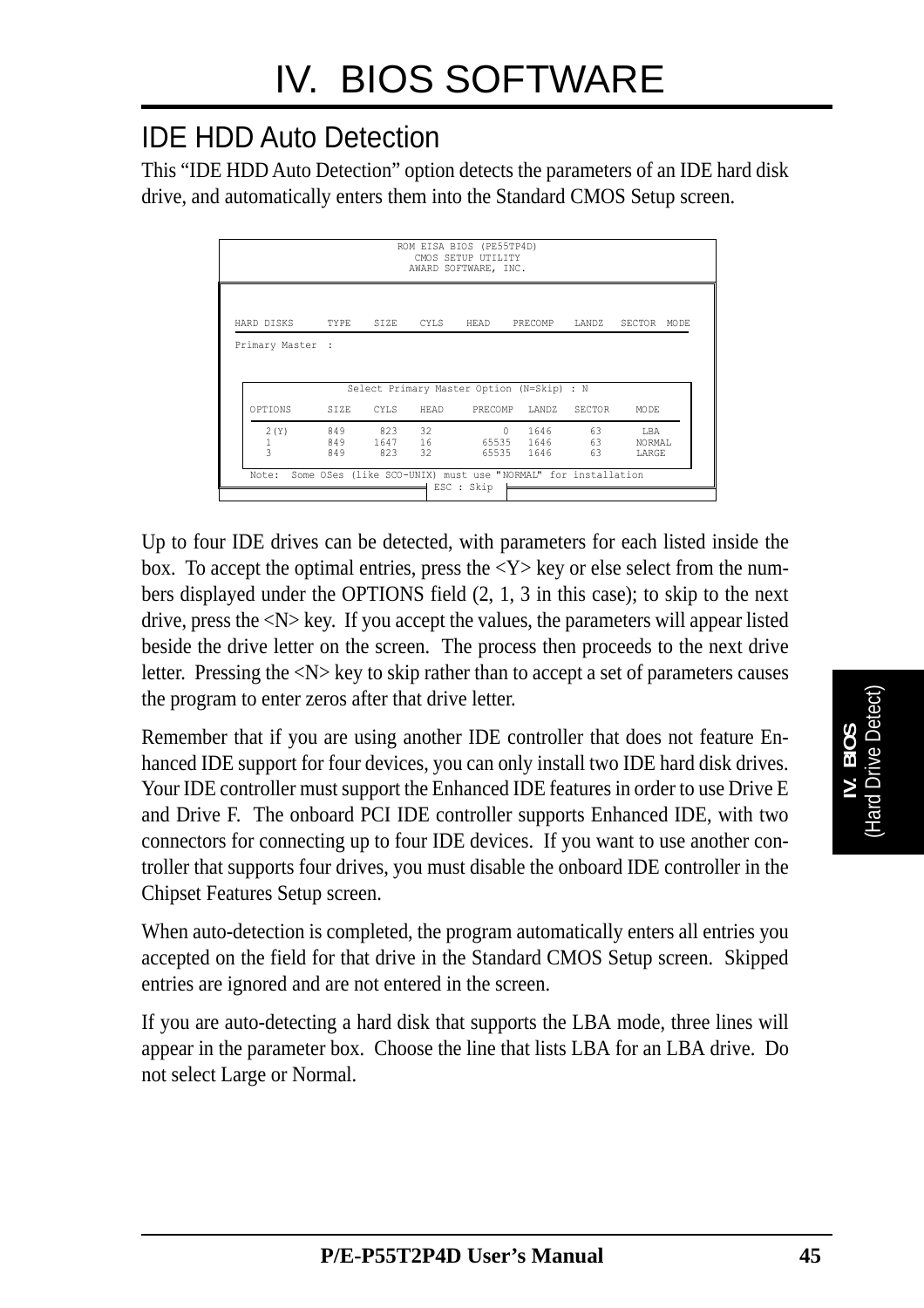### IDE HDD Auto Detection

This "IDE HDD Auto Detection" option detects the parameters of an IDE hard disk drive, and automatically enters them into the Standard CMOS Setup screen.

| ROM EISA BIOS (PE55TP4D)<br>CMOS SETUP UTILITY<br>AWARD SOFTWARE, INC. |            |                           |          |                                                      |                               |          |                         |  |
|------------------------------------------------------------------------|------------|---------------------------|----------|------------------------------------------------------|-------------------------------|----------|-------------------------|--|
| HARD DISKS                                                             | TYPE       | SIZE                      | CYLS     | HEAD                                                 | PRECOMP                       | LANDZ    | SECTOR MODE             |  |
| Primary Master :                                                       |            |                           |          |                                                      |                               |          |                         |  |
|                                                                        |            |                           |          |                                                      |                               |          |                         |  |
|                                                                        |            |                           |          |                                                      |                               |          |                         |  |
| OPTIONS                                                                | SIZE       | CYLS                      | HEAD     | Select Primary Master Option (N=Skip) : N<br>PRECOMP | LANDZ                         | SECTOR   | MODE                    |  |
| 2(Y)<br>$\frac{1}{3}$                                                  | 849<br>849 | 823<br>849 1647 16<br>823 | 32<br>32 | $\Omega$<br>65535                                    | 1646<br>65535 1646 63<br>1646 | 63<br>63 | LBA<br>NORMAI.<br>LARGE |  |

Up to four IDE drives can be detected, with parameters for each listed inside the box. To accept the optimal entries, press the  $\langle Y \rangle$  key or else select from the numbers displayed under the OPTIONS field (2, 1, 3 in this case); to skip to the next drive, press the  $\langle N \rangle$  key. If you accept the values, the parameters will appear listed beside the drive letter on the screen. The process then proceeds to the next drive letter. Pressing the  $\langle N \rangle$  key to skip rather than to accept a set of parameters causes the program to enter zeros after that drive letter.

Remember that if you are using another IDE controller that does not feature Enhanced IDE support for four devices, you can only install two IDE hard disk drives. Your IDE controller must support the Enhanced IDE features in order to use Drive E and Drive F. The onboard PCI IDE controller supports Enhanced IDE, with two connectors for connecting up to four IDE devices. If you want to use another controller that supports four drives, you must disable the onboard IDE controller in the Chipset Features Setup screen.

When auto-detection is completed, the program automatically enters all entries you accepted on the field for that drive in the Standard CMOS Setup screen. Skipped entries are ignored and are not entered in the screen.

If you are auto-detecting a hard disk that supports the LBA mode, three lines will appear in the parameter box. Choose the line that lists LBA for an LBA drive. Do not select Large or Normal.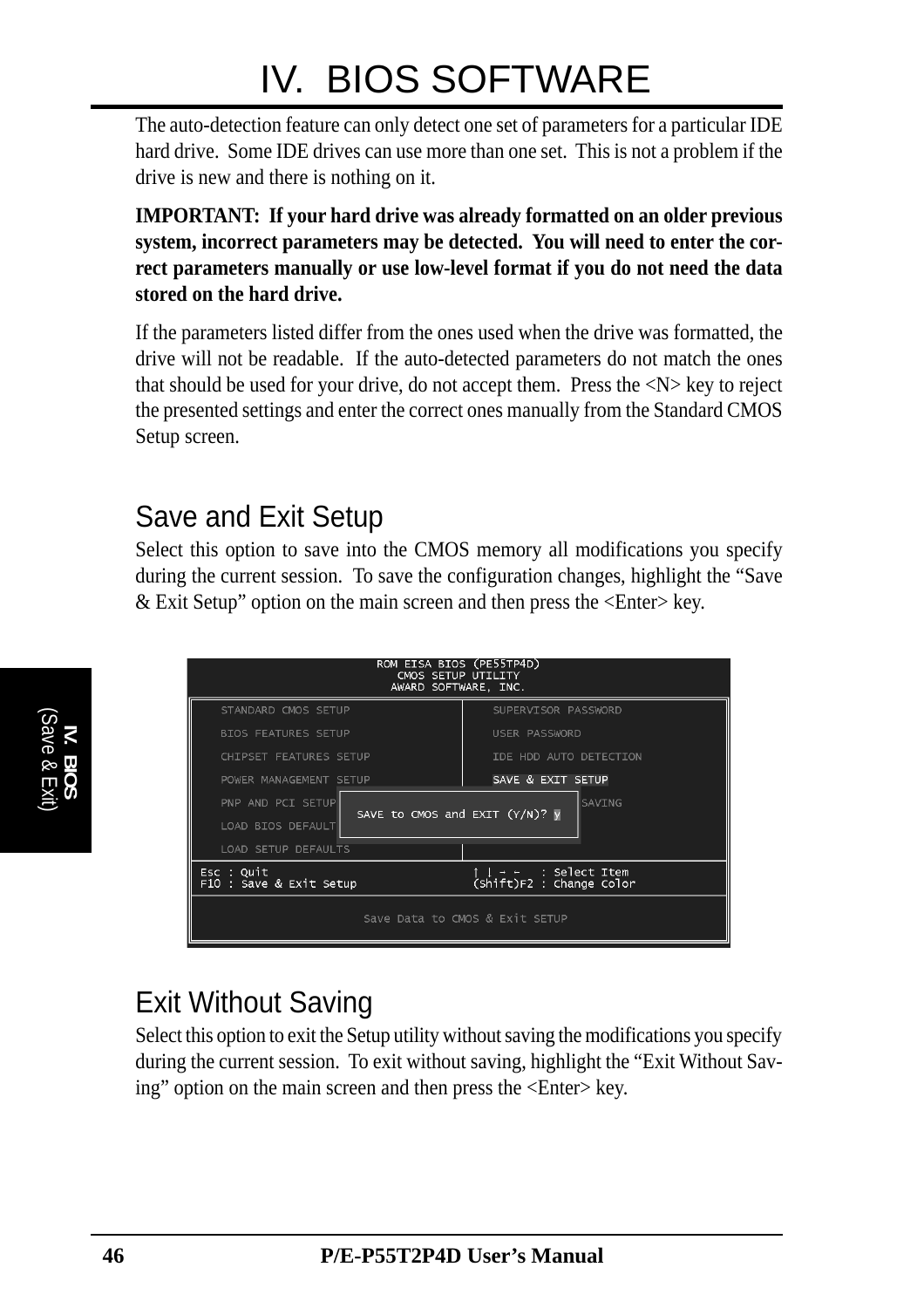## IV. BIOS SOFTWARE

The auto-detection feature can only detect one set of parameters for a particular IDE hard drive. Some IDE drives can use more than one set. This is not a problem if the drive is new and there is nothing on it.

**IMPORTANT: If your hard drive was already formatted on an older previous system, incorrect parameters may be detected. You will need to enter the correct parameters manually or use low-level format if you do not need the data stored on the hard drive.**

If the parameters listed differ from the ones used when the drive was formatted, the drive will not be readable. If the auto-detected parameters do not match the ones that should be used for your drive, do not accept them. Press the  $\langle N \rangle$  key to reject the presented settings and enter the correct ones manually from the Standard CMOS Setup screen.

### Save and Exit Setup

Select this option to save into the CMOS memory all modifications you specify during the current session. To save the configuration changes, highlight the "Save  $&$  Exit Setup" option on the main screen and then press the  $<$  Enter $>$  key.

| ROM EISA BIOS (PE55TP4D)<br>CMOS SETUP UTILITY<br>AWARD SOFTWARE, INC.     |                                               |  |  |
|----------------------------------------------------------------------------|-----------------------------------------------|--|--|
| STANDARD CMOS SETUP                                                        | SUPERVISOR PASSWORD                           |  |  |
| <b>BIOS FEATURES SETUP</b>                                                 | USER PASSWORD                                 |  |  |
| CHIPSET FEATURES SETUP                                                     | IDE HDD AUTO DETECTION                        |  |  |
| POWER MANAGEMENT SETUP                                                     | SAVE & EXIT SETUP                             |  |  |
| PNP AND PCI SETUP<br>SAVE to CMOS and EXIT $(Y/N)?$ y<br>LOAD BIOS DEFAULT | <b>SAVING</b>                                 |  |  |
| LOAD SETUP DEFAULTS                                                        |                                               |  |  |
| Esc : Quit<br>F10 : Save & Exit Setup                                      | → ← : Select Item<br>(Shift)F2 : Change Color |  |  |
| Save Data to CMOS & Exit SETUP                                             |                                               |  |  |

### Exit Without Saving

Select this option to exit the Setup utility without saving the modifications you specify during the current session. To exit without saving, highlight the "Exit Without Saving" option on the main screen and then press the <Enter> key.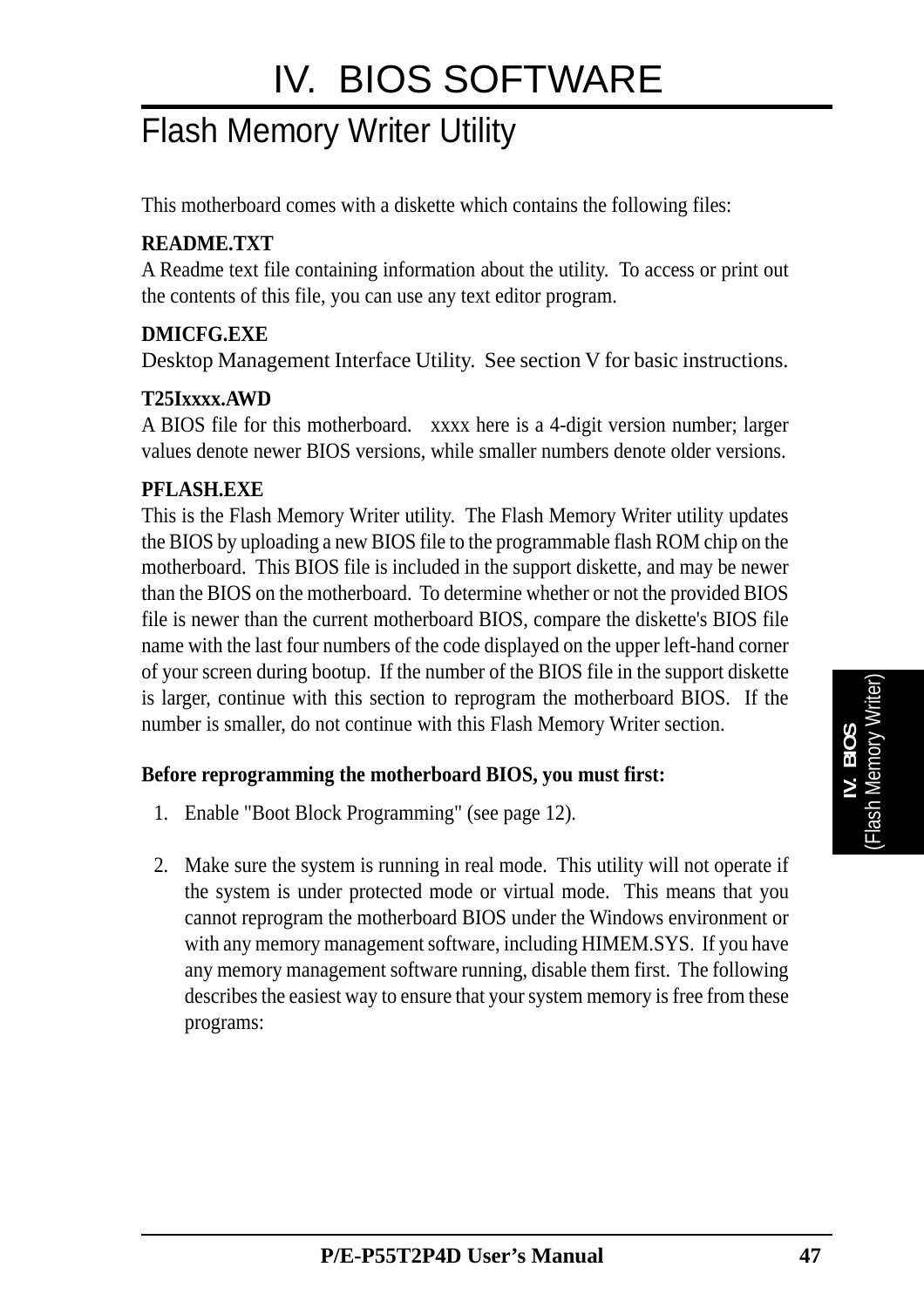### Flash Memory Writer Utility

This motherboard comes with a diskette which contains the following files:

#### **README.TXT**

A Readme text file containing information about the utility. To access or print out the contents of this file, you can use any text editor program.

#### **DMICFG.EXE**

Desktop Management Interface Utility. See section V for basic instructions.

#### **T25Ixxxx.AWD**

A BIOS file for this motherboard. xxxx here is a 4-digit version number; larger values denote newer BIOS versions, while smaller numbers denote older versions.

#### **PFLASH.EXE**

This is the Flash Memory Writer utility. The Flash Memory Writer utility updates the BIOS by uploading a new BIOS file to the programmable flash ROM chip on the motherboard. This BIOS file is included in the support diskette, and may be newer than the BIOS on the motherboard. To determine whether or not the provided BIOS file is newer than the current motherboard BIOS, compare the diskette's BIOS file name with the last four numbers of the code displayed on the upper left-hand corner of your screen during bootup. If the number of the BIOS file in the support diskette is larger, continue with this section to reprogram the motherboard BIOS. If the number is smaller, do not continue with this Flash Memory Writer section.

#### **Before reprogramming the motherboard BIOS, you must first:**

- 1. Enable "Boot Block Programming" (see page 12).
- 2. Make sure the system is running in real mode. This utility will not operate if the system is under protected mode or virtual mode. This means that you cannot reprogram the motherboard BIOS under the Windows environment or with any memory management software, including HIMEM.SYS. If you have any memory management software running, disable them first. The following describes the easiest way to ensure that your system memory is free from these programs: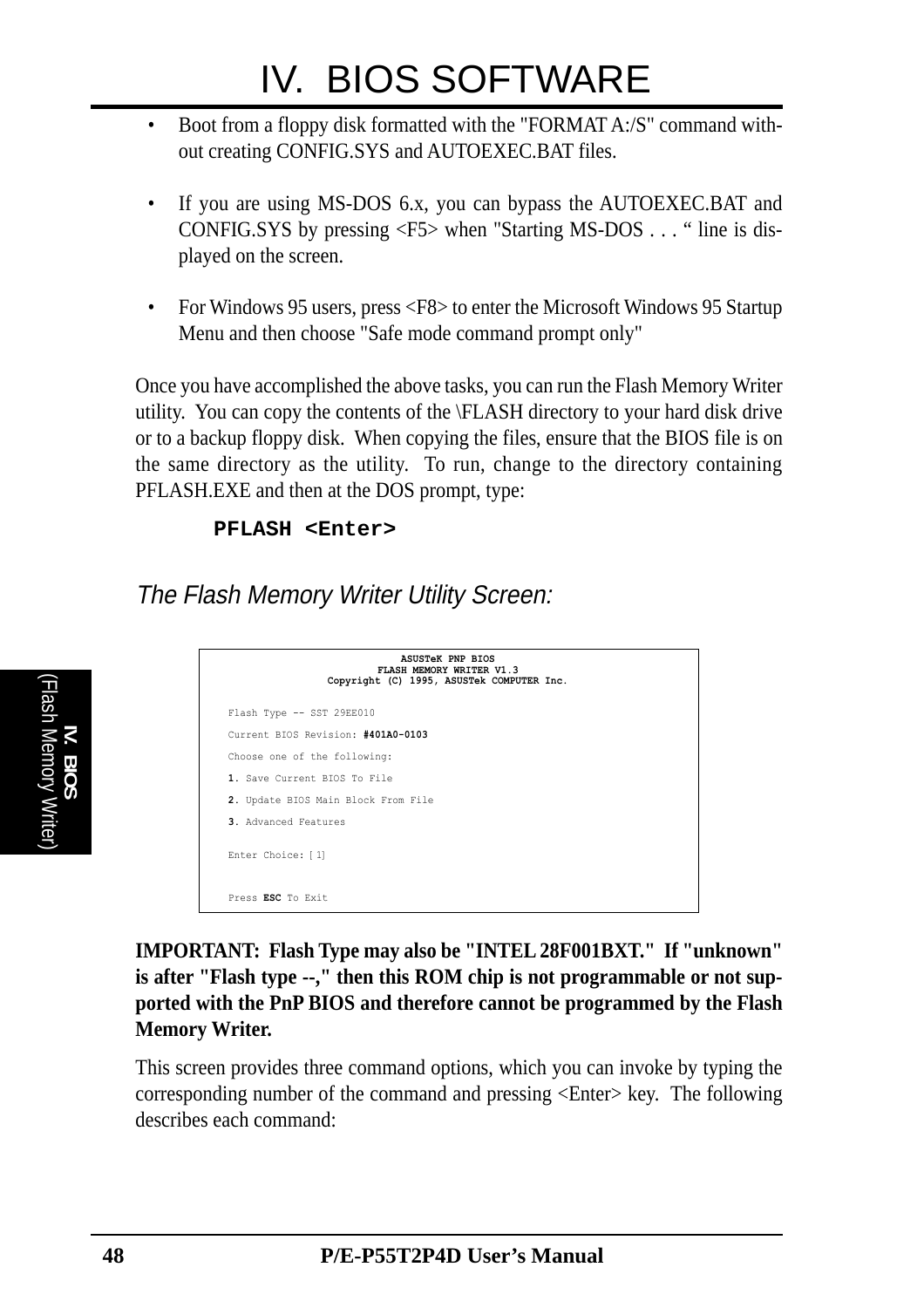## IV. BIOS SOFTWARE

- Boot from a floppy disk formatted with the "FORMAT A:/S" command without creating CONFIG.SYS and AUTOEXEC.BAT files.
- If you are using MS-DOS 6.x, you can bypass the AUTOEXEC.BAT and CONFIG.SYS by pressing  $\langle F5 \rangle$  when "Starting MS-DOS ... " line is displayed on the screen.
- For Windows 95 users, press <F8> to enter the Microsoft Windows 95 Startup Menu and then choose "Safe mode command prompt only"

Once you have accomplished the above tasks, you can run the Flash Memory Writer utility. You can copy the contents of the \FLASH directory to your hard disk drive or to a backup floppy disk. When copying the files, ensure that the BIOS file is on the same directory as the utility. To run, change to the directory containing PFLASH.EXE and then at the DOS prompt, type:

#### **PFLASH <Enter>**

The Flash Memory Writer Utility Screen:



**IMPORTANT: Flash Type may also be "INTEL 28F001BXT." If "unknown" is after "Flash type --," then this ROM chip is not programmable or not supported with the PnP BIOS and therefore cannot be programmed by the Flash Memory Writer.**

This screen provides three command options, which you can invoke by typing the corresponding number of the command and pressing <Enter> key. The following describes each command:

**IV. BIOS** (Flash Memory Writer)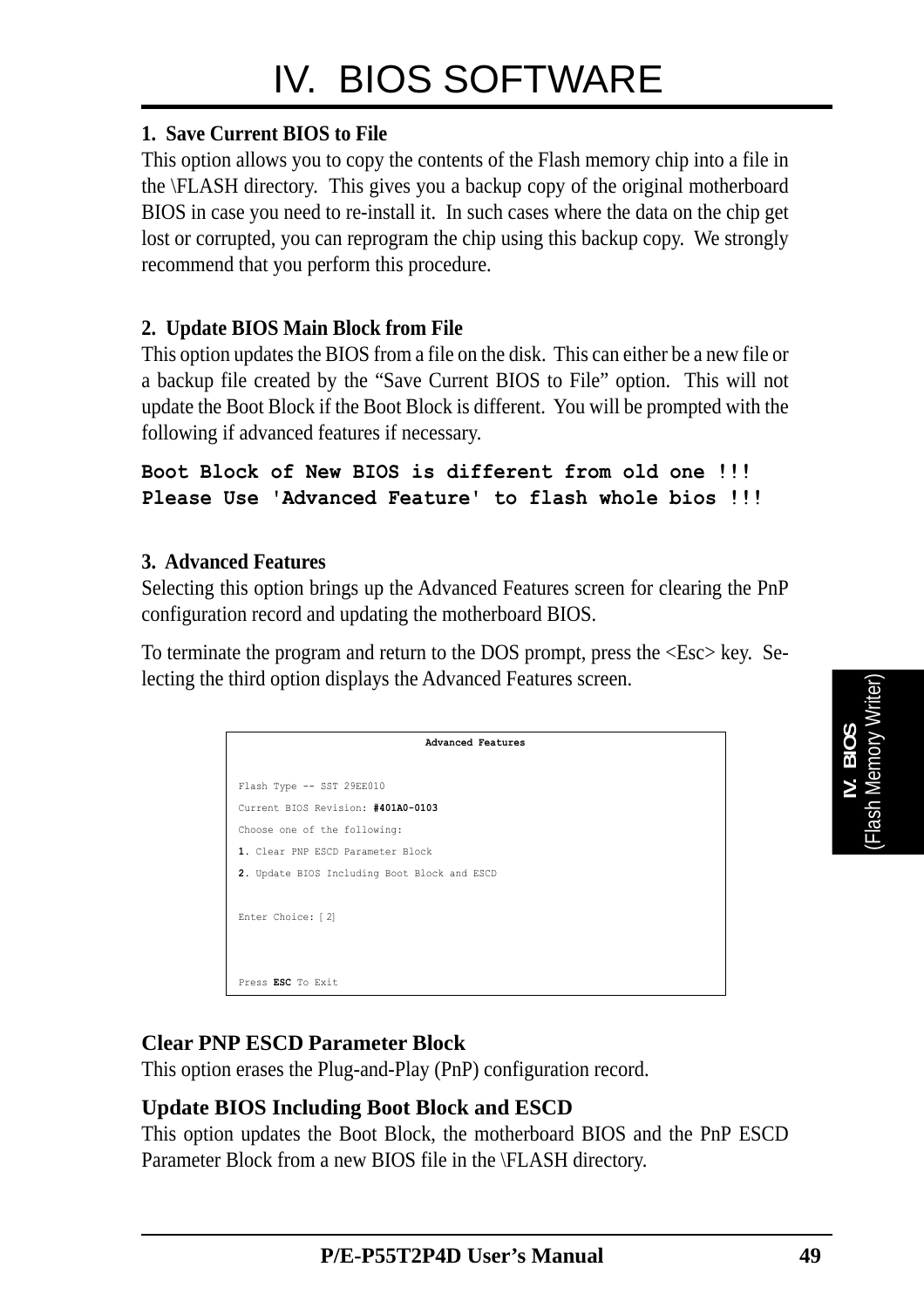#### **1. Save Current BIOS to File**

This option allows you to copy the contents of the Flash memory chip into a file in the \FLASH directory. This gives you a backup copy of the original motherboard BIOS in case you need to re-install it. In such cases where the data on the chip get lost or corrupted, you can reprogram the chip using this backup copy. We strongly recommend that you perform this procedure.

#### **2. Update BIOS Main Block from File**

This option updates the BIOS from a file on the disk. This can either be a new file or a backup file created by the "Save Current BIOS to File" option. This will not update the Boot Block if the Boot Block is different. You will be prompted with the following if advanced features if necessary.

```
Boot Block of New BIOS is different from old one !!!
Please Use 'Advanced Feature' to flash whole bios !!!
```
#### **3. Advanced Features**

Selecting this option brings up the Advanced Features screen for clearing the PnP configuration record and updating the motherboard BIOS.

To terminate the program and return to the DOS prompt, press the <Esc> key. Selecting the third option displays the Advanced Features screen.

| Advanced Features                            |
|----------------------------------------------|
| Flash Type -- SST 29EE010                    |
| Current BIOS Revision: #401A0-0103           |
| Choose one of the following:                 |
| 1. Clear PNP ESCD Parameter Block            |
| 2. Update BIOS Including Boot Block and ESCD |
|                                              |
| Enter Choice: [2]                            |
|                                              |
|                                              |
| Press ESC To Exit                            |

#### **Clear PNP ESCD Parameter Block**

This option erases the Plug-and-Play (PnP) configuration record.

#### **Update BIOS Including Boot Block and ESCD**

This option updates the Boot Block, the motherboard BIOS and the PnP ESCD Parameter Block from a new BIOS file in the \FLASH directory.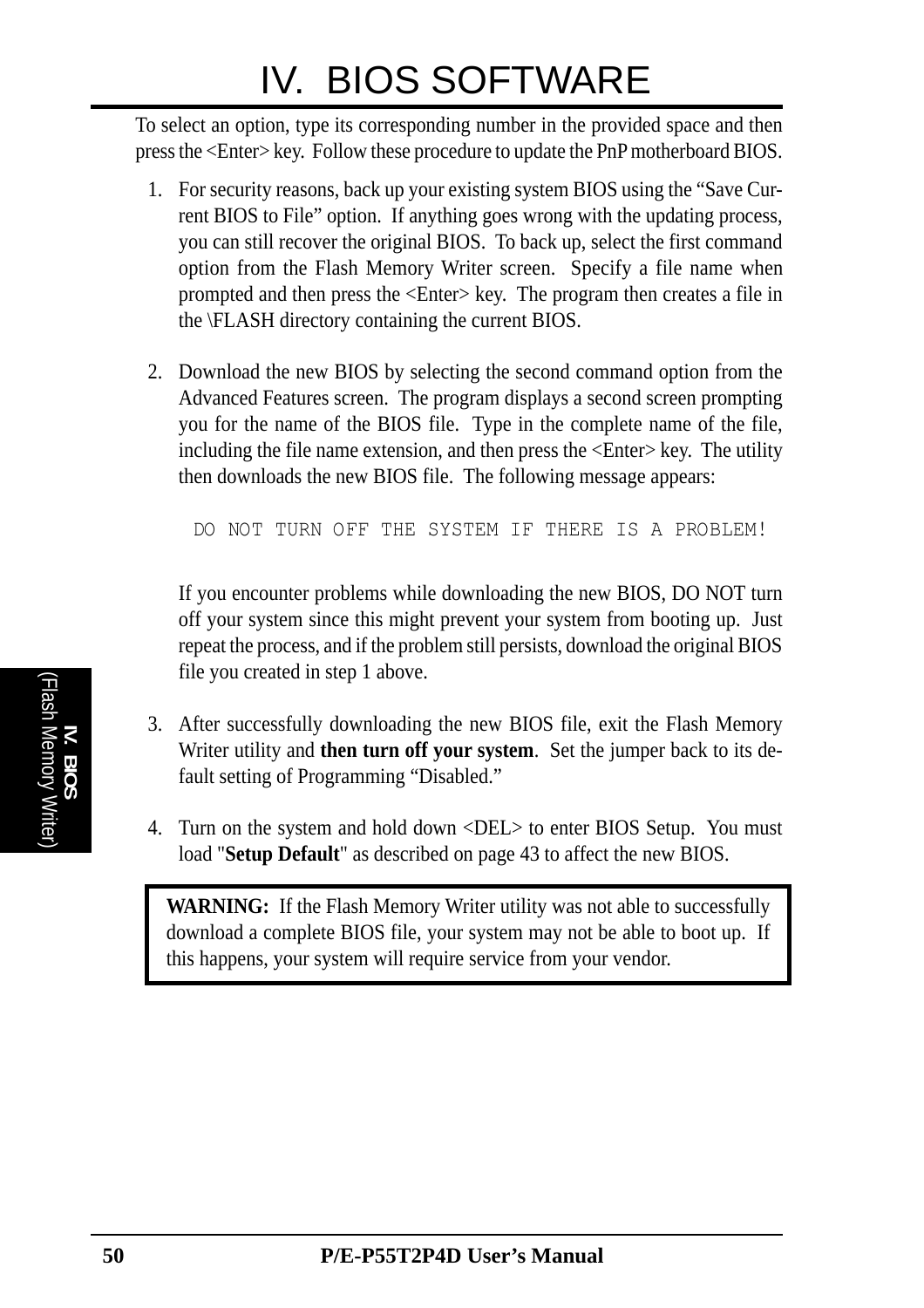## IV. BIOS SOFTWARE

To select an option, type its corresponding number in the provided space and then press the <Enter> key. Follow these procedure to update the PnP motherboard BIOS.

- 1. For security reasons, back up your existing system BIOS using the "Save Current BIOS to File" option. If anything goes wrong with the updating process, you can still recover the original BIOS. To back up, select the first command option from the Flash Memory Writer screen. Specify a file name when prompted and then press the <Enter> key. The program then creates a file in the \FLASH directory containing the current BIOS.
- 2. Download the new BIOS by selecting the second command option from the Advanced Features screen. The program displays a second screen prompting you for the name of the BIOS file. Type in the complete name of the file, including the file name extension, and then press the <Enter> key. The utility then downloads the new BIOS file. The following message appears:

DO NOT TURN OFF THE SYSTEM IF THERE IS A PROBLEM!

If you encounter problems while downloading the new BIOS, DO NOT turn off your system since this might prevent your system from booting up. Just repeat the process, and if the problem still persists, download the original BIOS file you created in step 1 above.

- 3. After successfully downloading the new BIOS file, exit the Flash Memory Writer utility and **then turn off your system**. Set the jumper back to its default setting of Programming "Disabled."
- 4. Turn on the system and hold down <DEL> to enter BIOS Setup. You must load "**Setup Default**" as described on page 43 to affect the new BIOS.

WARNING: If the Flash Memory Writer utility was not able to successfully download a complete BIOS file, your system may not be able to boot up. If this happens, your system will require service from your vendor.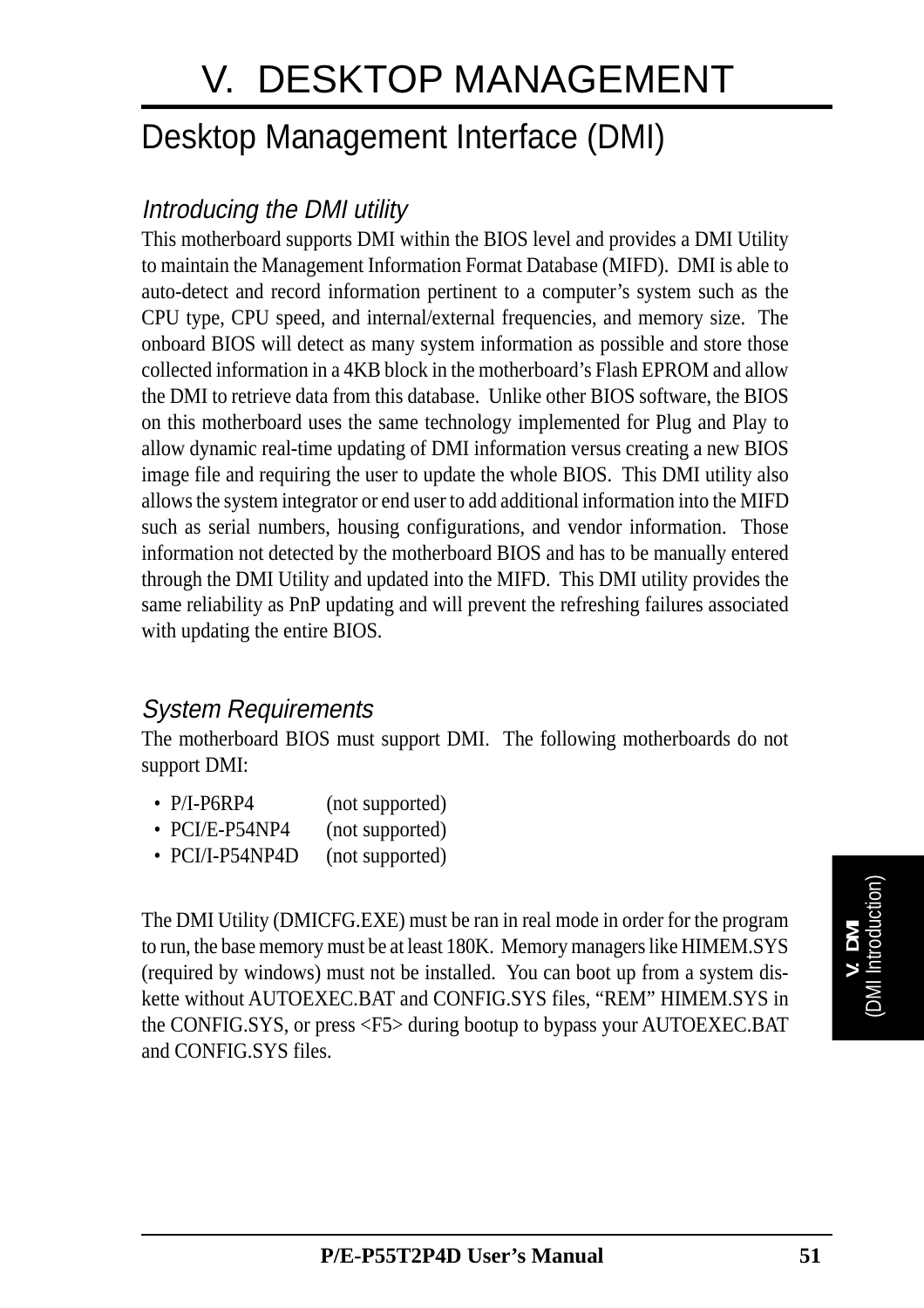## V. DESKTOP MANAGEMENT

### Desktop Management Interface (DMI)

### Introducing the DMI utility

This motherboard supports DMI within the BIOS level and provides a DMI Utility to maintain the Management Information Format Database (MIFD). DMI is able to auto-detect and record information pertinent to a computer's system such as the CPU type, CPU speed, and internal/external frequencies, and memory size. The onboard BIOS will detect as many system information as possible and store those collected information in a 4KB block in the motherboard's Flash EPROM and allow the DMI to retrieve data from this database. Unlike other BIOS software, the BIOS on this motherboard uses the same technology implemented for Plug and Play to allow dynamic real-time updating of DMI information versus creating a new BIOS image file and requiring the user to update the whole BIOS. This DMI utility also allows the system integrator or end user to add additional information into the MIFD such as serial numbers, housing configurations, and vendor information. Those information not detected by the motherboard BIOS and has to be manually entered through the DMI Utility and updated into the MIFD. This DMI utility provides the same reliability as PnP updating and will prevent the refreshing failures associated with updating the entire BIOS.

#### System Requirements

The motherboard BIOS must support DMI. The following motherboards do not support DMI:

- P/I-P6RP4 (not supported)
- PCI/E-P54NP4 (not supported)
- PCI/I-P54NP4D (not supported)

The DMI Utility (DMICFG.EXE) must be ran in real mode in order for the program to run, the base memory must be at least 180K. Memory managers like HIMEM.SYS (required by windows) must not be installed. You can boot up from a system diskette without AUTOEXEC.BAT and CONFIG.SYS files, "REM" HIMEM.SYS in the CONFIG.SYS, or press <F5> during bootup to bypass your AUTOEXEC.BAT and CONFIG.SYS files.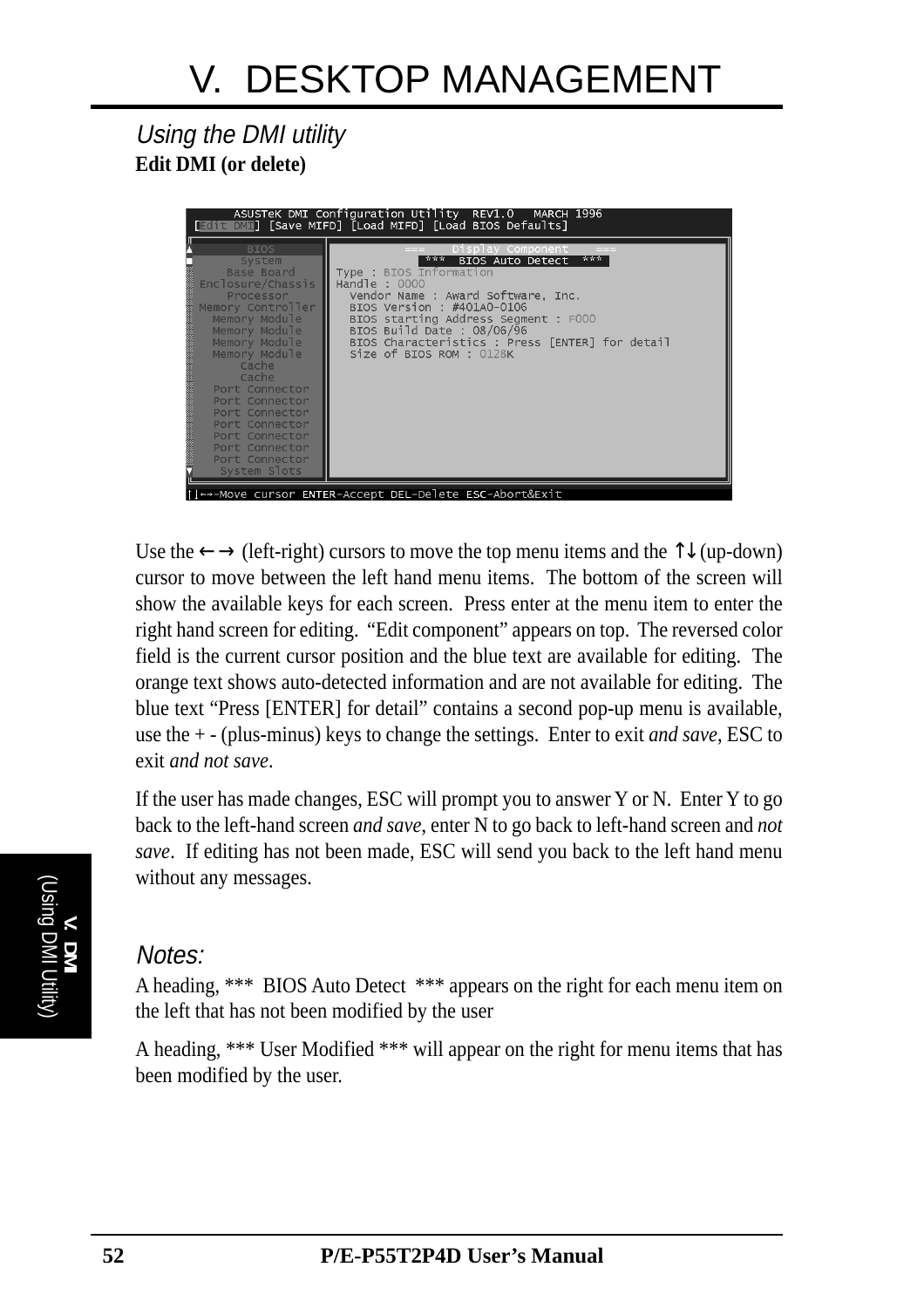### Using the DMI utility **Edit DMI (or delete)**



Use the  $\leftarrow \rightarrow$  (left-right) cursors to move the top menu items and the  $\uparrow \downarrow$  (up-down) cursor to move between the left hand menu items. The bottom of the screen will show the available keys for each screen. Press enter at the menu item to enter the right hand screen for editing. "Edit component" appears on top. The reversed color field is the current cursor position and the blue text are available for editing. The orange text shows auto-detected information and are not available for editing. The blue text "Press [ENTER] for detail" contains a second pop-up menu is available, use the + - (plus-minus) keys to change the settings. Enter to exit *and save*, ESC to exit *and not save*.

If the user has made changes, ESC will prompt you to answer Y or N. Enter Y to go back to the left-hand screen *and save*, enter N to go back to left-hand screen and *not save*. If editing has not been made, ESC will send you back to the left hand menu without any messages.

#### Notes:

A heading, \*\*\* BIOS Auto Detect \*\*\* appears on the right for each menu item on the left that has not been modified by the user

A heading, \*\*\* User Modified \*\*\* will appear on the right for menu items that has been modified by the user.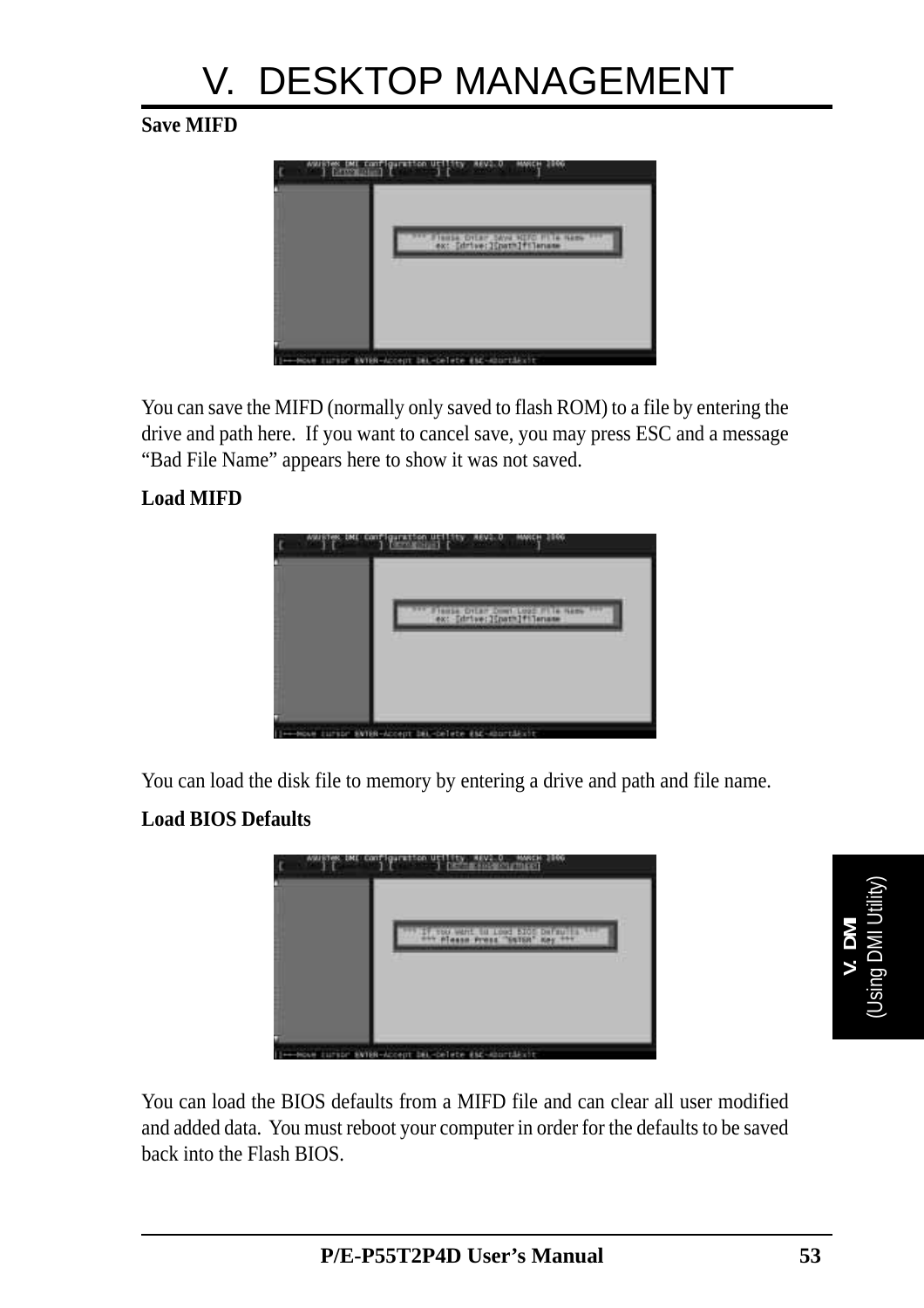## V. DESKTOP MANAGEMENT

#### **Save MIFD**



You can save the MIFD (normally only saved to flash ROM) to a file by entering the drive and path here. If you want to cancel save, you may press ESC and a message "Bad File Name" appears here to show it was not saved.

#### **Load MIFD**



You can load the disk file to memory by entering a drive and path and file name.

#### **Load BIOS Defaults**



You can load the BIOS defaults from a MIFD file and can clear all user modified and added data. You must reboot your computer in order for the defaults to be saved back into the Flash BIOS.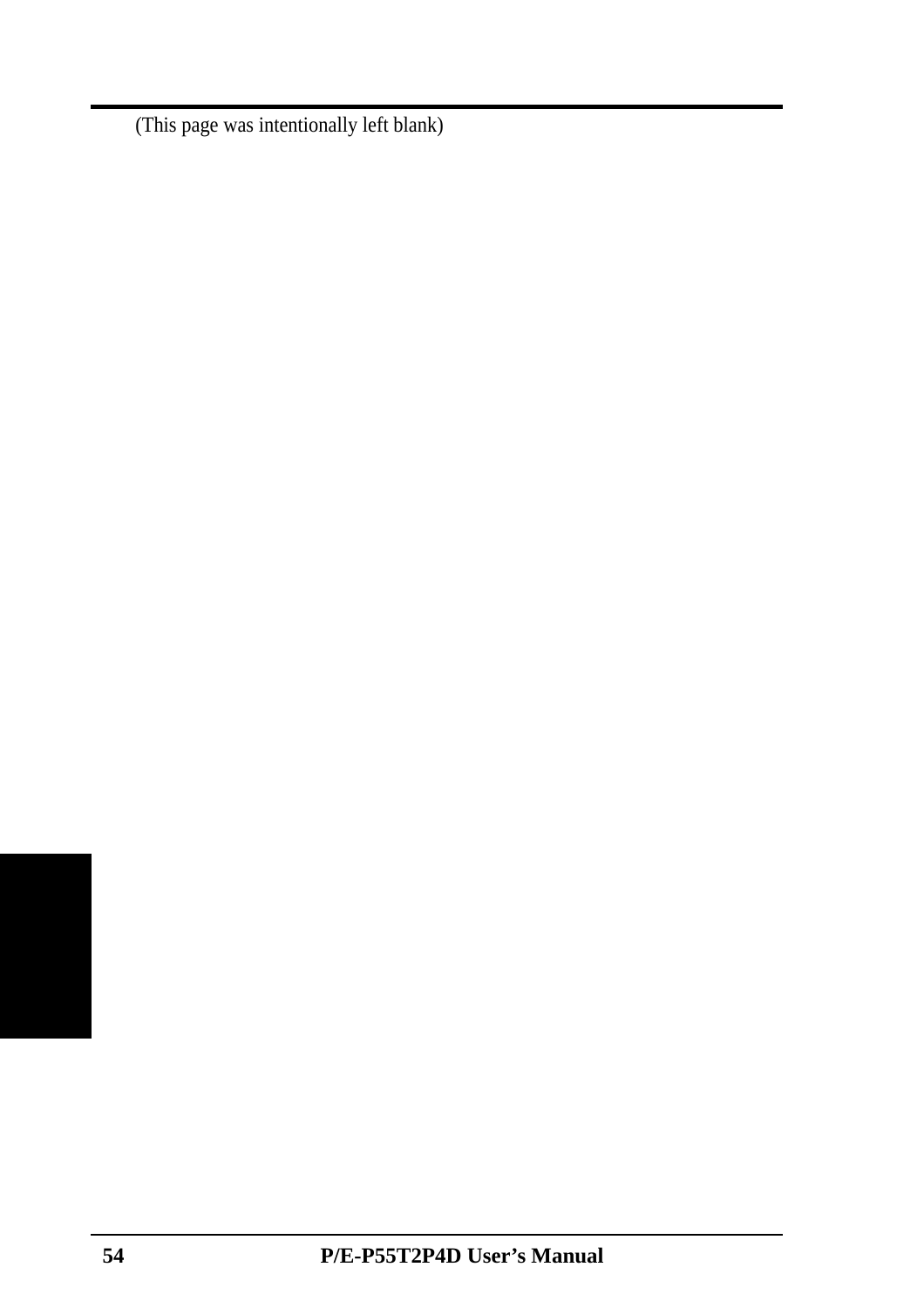(This page was intentionally left blank)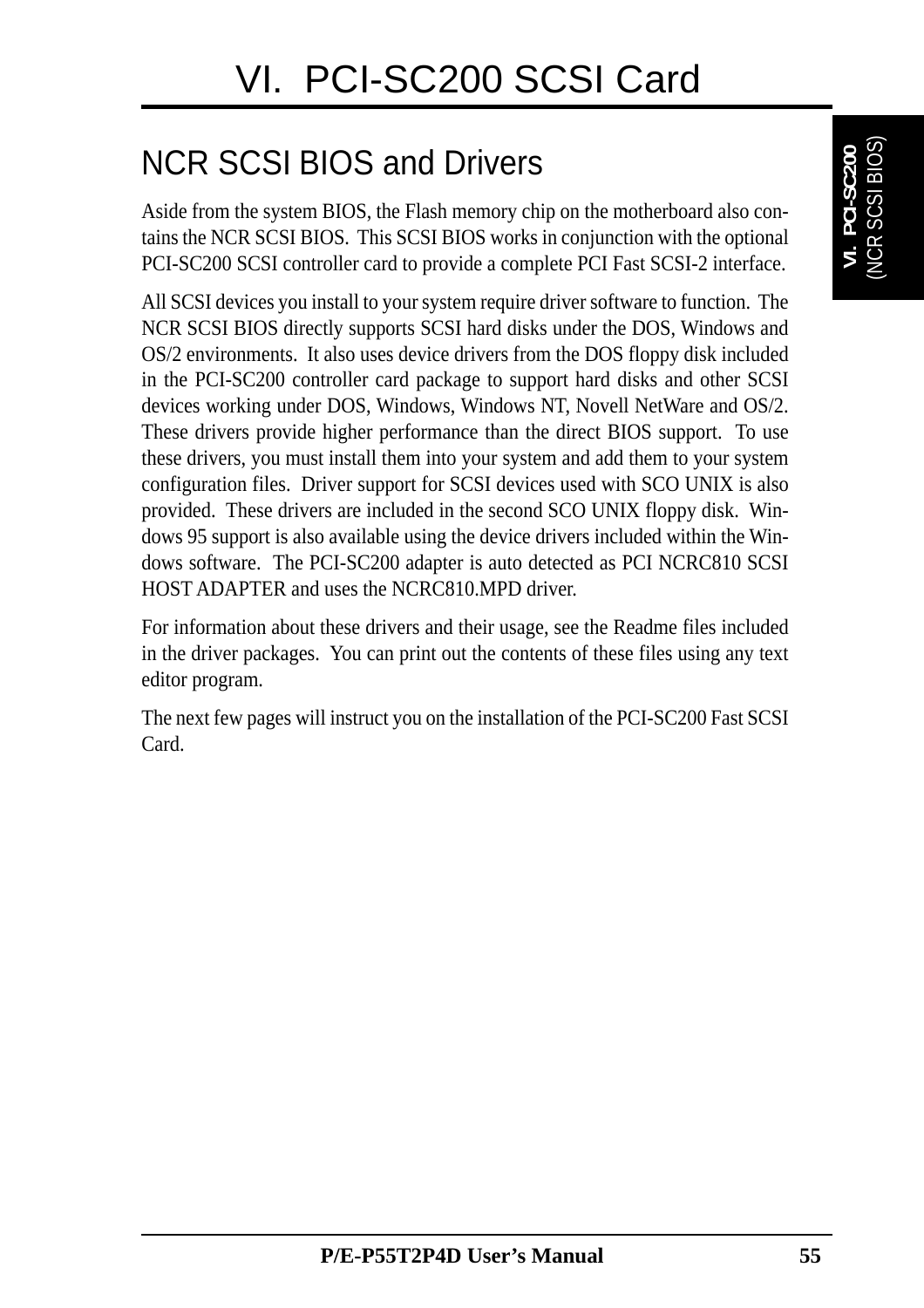## NCR SCSI BIOS and Drivers

Aside from the system BIOS, the Flash memory chip on the motherboard also contains the NCR SCSI BIOS. This SCSI BIOS works in conjunction with the optional PCI-SC200 SCSI controller card to provide a complete PCI Fast SCSI-2 interface.

All SCSI devices you install to your system require driver software to function. The NCR SCSI BIOS directly supports SCSI hard disks under the DOS, Windows and OS/2 environments. It also uses device drivers from the DOS floppy disk included in the PCI-SC200 controller card package to support hard disks and other SCSI devices working under DOS, Windows, Windows NT, Novell NetWare and OS/2. These drivers provide higher performance than the direct BIOS support. To use these drivers, you must install them into your system and add them to your system configuration files. Driver support for SCSI devices used with SCO UNIX is also provided. These drivers are included in the second SCO UNIX floppy disk. Windows 95 support is also available using the device drivers included within the Windows software. The PCI-SC200 adapter is auto detected as PCI NCRC810 SCSI HOST ADAPTER and uses the NCRC810.MPD driver.

For information about these drivers and their usage, see the Readme files included in the driver packages. You can print out the contents of these files using any text editor program.

The next few pages will instruct you on the installation of the PCI-SC200 Fast SCSI Card.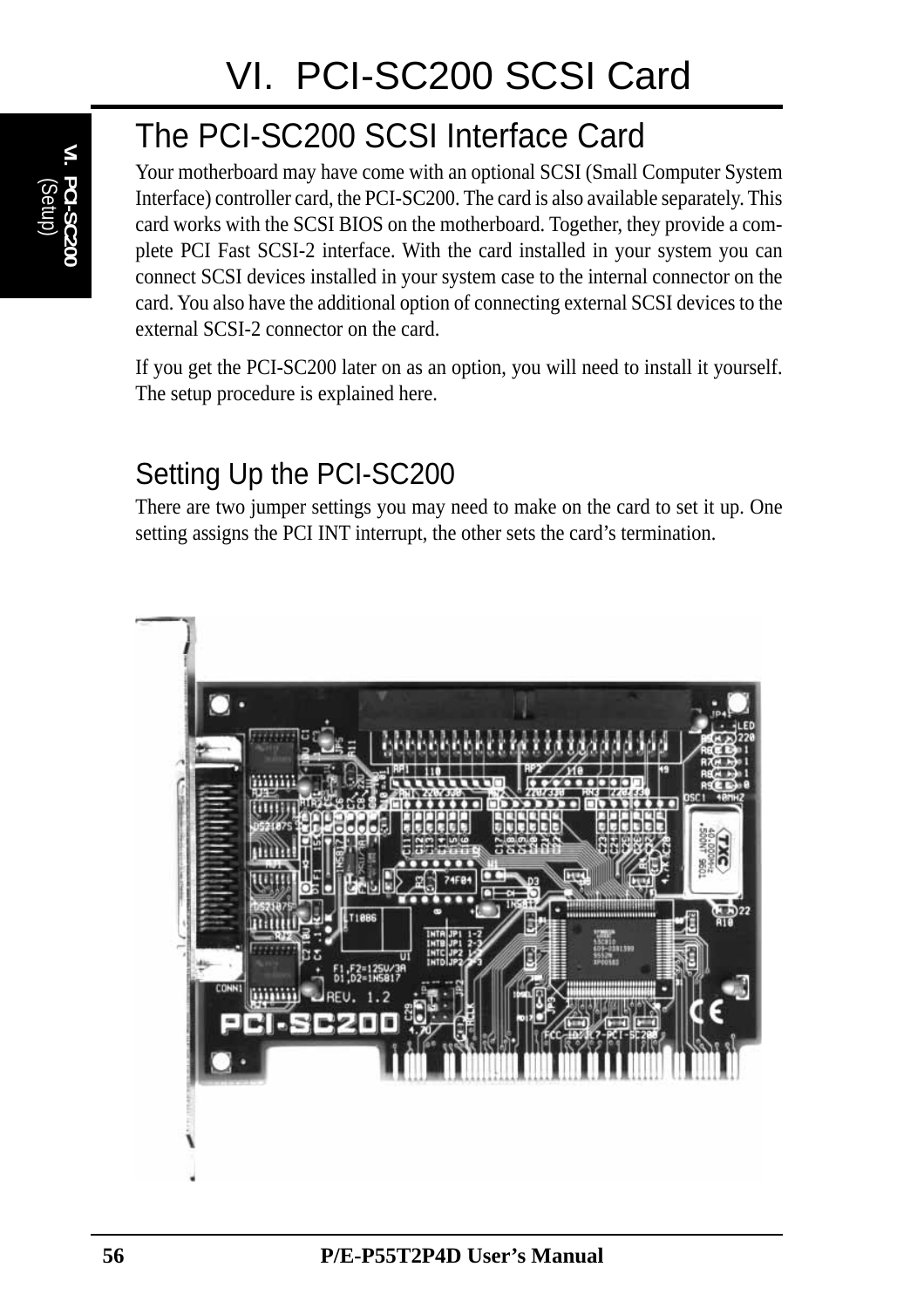## The PCI-SC200 SCSI Interface Card

Your motherboard may have come with an optional SCSI (Small Computer System Interface) controller card, the PCI-SC200. The card is also available separately. This card works with the SCSI BIOS on the motherboard. Together, they provide a complete PCI Fast SCSI-2 interface. With the card installed in your system you can connect SCSI devices installed in your system case to the internal connector on the card. You also have the additional option of connecting external SCSI devices to the external SCSI-2 connector on the card.

If you get the PCI-SC200 later on as an option, you will need to install it yourself. The setup procedure is explained here.

### Setting Up the PCI-SC200

There are two jumper settings you may need to make on the card to set it up. One setting assigns the PCI INT interrupt, the other sets the card's termination.

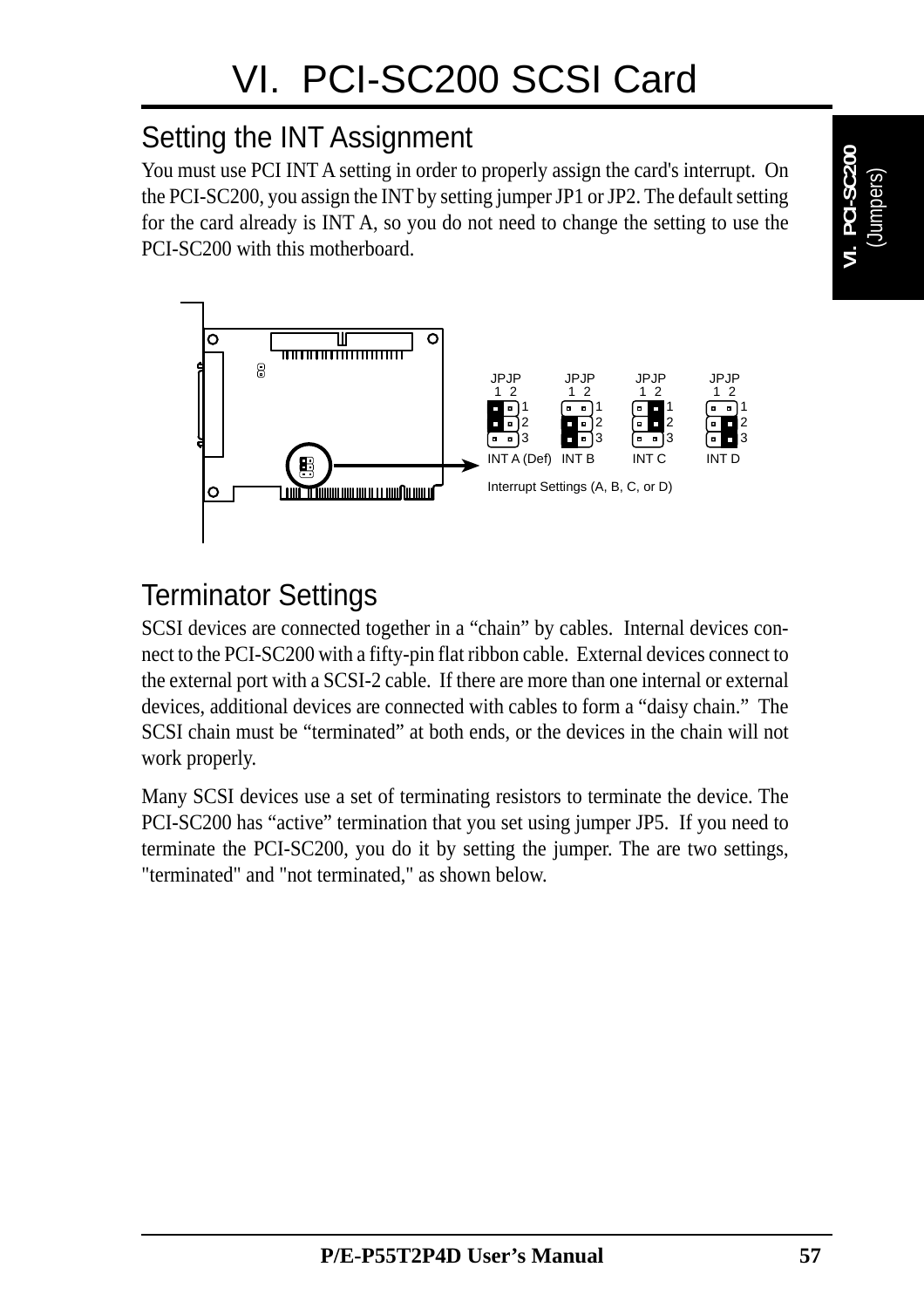### Setting the INT Assignment

You must use PCI INT A setting in order to properly assign the card's interrupt. On the PCI-SC200, you assign the INT by setting jumper JP1 or JP2. The default setting for the card already is INT A, so you do not need to change the setting to use the PCI-SC200 with this motherboard.



### Terminator Settings

SCSI devices are connected together in a "chain" by cables. Internal devices connect to the PCI-SC200 with a fifty-pin flat ribbon cable. External devices connect to the external port with a SCSI-2 cable. If there are more than one internal or external devices, additional devices are connected with cables to form a "daisy chain." The SCSI chain must be "terminated" at both ends, or the devices in the chain will not work properly.

Many SCSI devices use a set of terminating resistors to terminate the device. The PCI-SC200 has "active" termination that you set using jumper JP5. If you need to terminate the PCI-SC200, you do it by setting the jumper. The are two settings, "terminated" and "not terminated," as shown below.